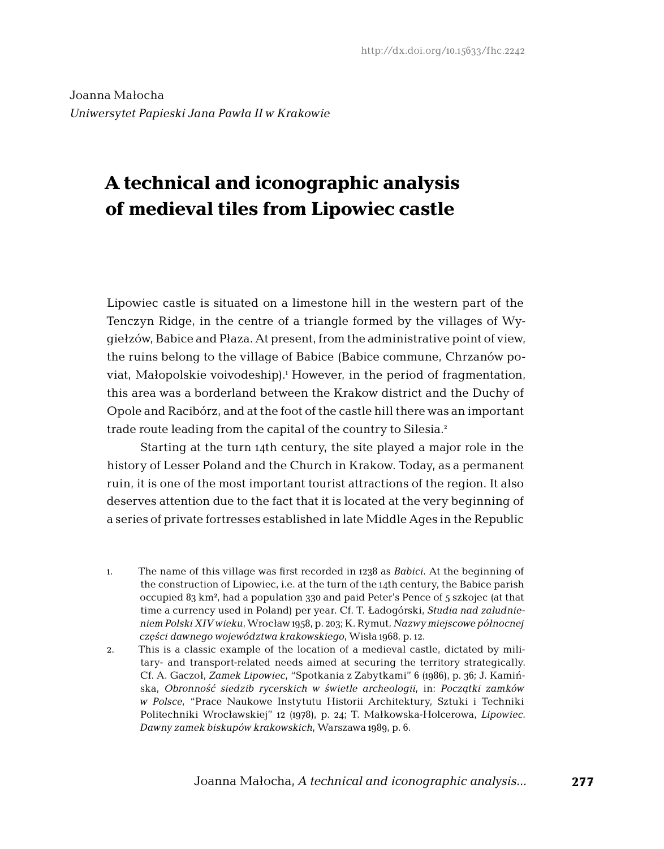Joanna Małocha *Uniwersytet Papieski Jana Pawła II w Krakowie*

# **A technical and iconographic analysis of medieval tiles from Lipowiec castle**

Lipowiec castle is situated on a limestone hill in the western part of the Tenczyn Ridge, in the centre of a triangle formed by the villages of Wygiełzów, Babice and Płaza. At present, from the administrative point of view, the ruins belong to the village of Babice (Babice commune, Chrzanów poviat, Małopolskie voivodeship).1 However, in the period of fragmentation, this area was a borderland between the Krakow district and the Duchy of Opole and Racibórz, and at the foot of the castle hill there was an important trade route leading from the capital of the country to Silesia.2

Starting at the turn 14th century, the site played a major role in the history of Lesser Poland and the Church in Krakow. Today, as a permanent ruin, it is one of the most important tourist attractions of the region. It also deserves attention due to the fact that it is located at the very beginning of a series of private fortresses established in late Middle Ages in the Republic

- 1. The name of this village was first recorded in 1238 as *Babici*. At the beginning of the construction of Lipowiec, i.e. at the turn of the 14th century, the Babice parish occupied 83 km², had a population 330 and paid Peter's Pence of 5 szkojec (at that time a currency used in Poland) per year. Cf. T. Ładogórski, *Studia nad zaludnieniem Polski XIV wieku*, Wrocław 1958, p. 203; K. Rymut, *Nazwy miejscowe północnej części dawnego województwa krakowskiego*, Wisła 1968, p. 12.
- 2. This is a classic example of the location of a medieval castle, dictated by military- and transport-related needs aimed at securing the territory strategically. Cf. A. Gaczoł, *Zamek Lipowiec*, "Spotkania z Zabytkami" 6 (1986), p. 36; J. Kamińska, *Obronność siedzib rycerskich w świetle archeologii*, in: *Początki zamków w Polsce*, "Prace Naukowe Instytutu Historii Architektury, Sztuki i Techniki Politechniki Wrocławskiej" 12 (1978), p. 24; T. Małkowska-Holcerowa, *Lipowiec. Dawny zamek biskupów krakowskich*, Warszawa 1989, p. 6.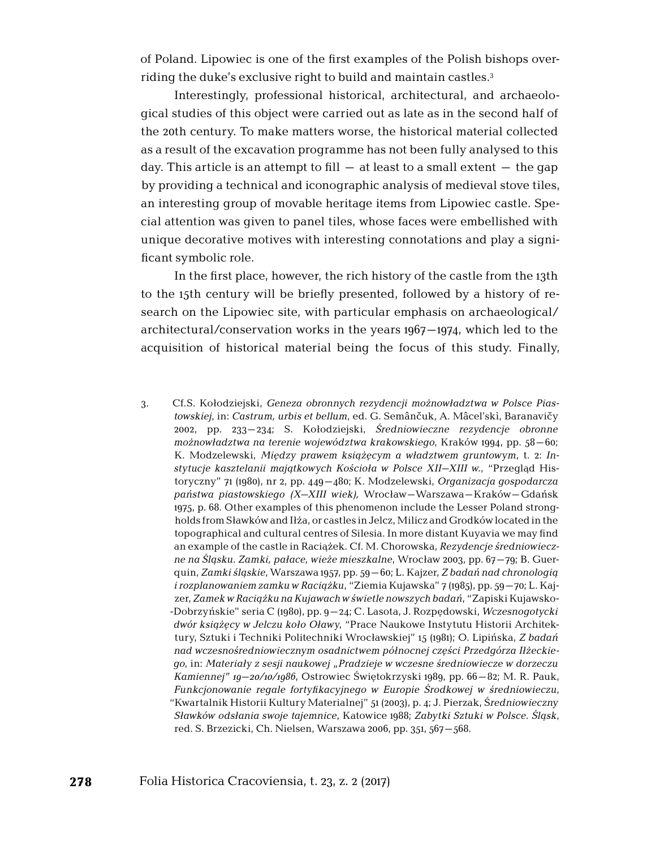of Poland. Lipowiec is one of the first examples of the Polish bishops overriding the duke's exclusive right to build and maintain castles.3

Interestingly, professional historical, architectural, and archaeological studies of this object were carried out as late as in the second half of the 20th century. To make matters worse, the historical material collected as a result of the excavation programme has not been fully analysed to this day. This article is an attempt to fill  $-$  at least to a small extent  $-$  the gap by providing a technical and iconographic analysis of medieval stove tiles, an interesting group of movable heritage items from Lipowiec castle. Special attention was given to panel tiles, whose faces were embellished with unique decorative motives with interesting connotations and play a significant symbolic role.

In the first place, however, the rich history of the castle from the 13th to the 15th century will be briefly presented, followed by a history of research on the Lipowiec site, with particular emphasis on archaeological/ architectural/conservation works in the years 1967–1974, which led to the acquisition of historical material being the focus of this study. Finally,

3. Cf.S. Kołodziejski, *Geneza obronnych rezydencji możnowładztwa w Polsce Piastowskiej*, in: *Castrum, urbis et bellum*, ed. G. Semânčuk, A. Mâcel'skì, Baranavičy 2002, pp. 233–234; S. Kołodziejski, *Średniowieczne rezydencje obronne możnowładztwa na terenie województwa krakowskiego*, Kraków 1994, pp. 58–60; K. Modzelewski, *Między prawem książęcym a władztwem gruntowym*, t. 2: *Instytucje kasztelanii majątkowych Kościoła w Polsce XII–XIII w.*, "Przegląd Historyczny" 71 (1980), nr 2, pp. 449–480; K. Modzelewski, *Organizacja gospodarcza państwa piastowskiego (X–XIII wiek),* Wrocław–Warszawa–Kraków–Gdańsk 1975, p. 68. Other examples of this phenomenon include the Lesser Poland strongholds from Sławków and Iłża, or castles in Jelcz, Milicz and Grodków located in the topographical and cultural centres of Silesia. In more distant Kuyavia we may find an example of the castle in Raciążek. Cf. M. Chorowska, *Rezydencje średniowieczne na Śląsku. Zamki, pałace, wieże mieszkalne*, Wrocław 2003, pp. 67–79; B. Guerquin, *Zamki śląskie*, Warszawa 1957, pp. 59–60; L. Kajzer, *Z badań nad chronologią i rozplanowaniem zamku w Raciążku*, "Ziemia Kujawska" 7 (1985), pp. 59–70; L. Kajzer, *Zamek w Raciążku na Kujawach w świetle nowszych badań*, "Zapiski Kujawsko-Dobrzyńskie" seria C (1980), pp. 9–24; C. Lasota, J. Rozpędowski, *Wczesnogotycki dwór książęcy w Jelczu koło Oławy*, "Prace Naukowe Instytutu Historii Architektury, Sztuki i Techniki Politechniki Wrocławskiej" 15 (1981); O. Lipińska, *Z badań nad wczesnośredniowiecznym osadnictwem północnej części Przedgórza Iłżeckiego*, in: *Materiały z sesji naukowej "Pradzieje w wczesne średniowiecze w dorzeczu Kamiennej" 19–20/10/1986*, Ostrowiec Świętokrzyski 1989, pp. 66–82; M. R. Pauk, *Funkcjonowanie regale fortyfikacyjnego w Europie Środkowej w średniowieczu*, "Kwartalnik Historii Kultury Materialnej" 51 (2003), p. 4; J. Pierzak, Ś*redniowieczny Sławków odsłania swoje tajemnice*, Katowice 1988; *Zabytki Sztuki w Polsce. Śląsk*, red. S. Brzezicki, Ch. Nielsen, Warszawa 2006, pp. 351, 567–568.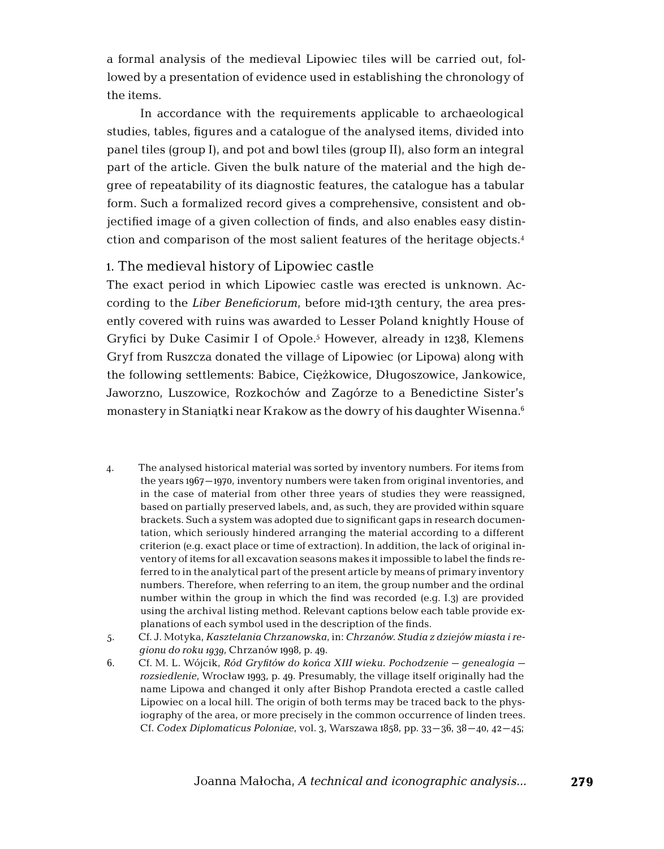a formal analysis of the medieval Lipowiec tiles will be carried out, followed by a presentation of evidence used in establishing the chronology of the items.

In accordance with the requirements applicable to archaeological studies, tables, figures and a catalogue of the analysed items, divided into panel tiles (group I), and pot and bowl tiles (group II), also form an integral part of the article. Given the bulk nature of the material and the high degree of repeatability of its diagnostic features, the catalogue has a tabular form. Such a formalized record gives a comprehensive, consistent and objectified image of a given collection of finds, and also enables easy distinction and comparison of the most salient features of the heritage objects.4

#### 1. The medieval history of Lipowiec castle

The exact period in which Lipowiec castle was erected is unknown. According to the *Liber Beneficiorum*, before mid-13th century, the area presently covered with ruins was awarded to Lesser Poland knightly House of Gryfici by Duke Casimir I of Opole.<sup>5</sup> However, already in 1238, Klemens Gryf from Ruszcza donated the village of Lipowiec (or Lipowa) along with the following settlements: Babice, Ciężkowice, Długoszowice, Jankowice, Jaworzno, Luszowice, Rozkochów and Zagórze to a Benedictine Sister's monastery in Staniątki near Krakow as the dowry of his daughter Wisenna.6

- 4. The analysed historical material was sorted by inventory numbers. For items from the years 1967–1970, inventory numbers were taken from original inventories, and in the case of material from other three years of studies they were reassigned, based on partially preserved labels, and, as such, they are provided within square brackets. Such a system was adopted due to significant gaps in research documentation, which seriously hindered arranging the material according to a different criterion (e.g. exact place or time of extraction). In addition, the lack of original inventory of items for all excavation seasons makes it impossible to label the finds referred to in the analytical part of the present article by means of primary inventory numbers. Therefore, when referring to an item, the group number and the ordinal number within the group in which the find was recorded (e.g. I.3) are provided using the archival listing method. Relevant captions below each table provide explanations of each symbol used in the description of the finds.
- 5. Cf. J. Motyka, *Kasztelania Chrzanowska*, in: *Chrzanów. Studia z dziejów miasta i regionu do roku 1939*, Chrzanów 1998, p. 49.
- 6. Cf. M. L. Wójcik, *Ród Gryfitów do końca XIII wieku. Pochodzenie genealogia rozsiedlenie*, Wrocław 1993, p. 49. Presumably, the village itself originally had the name Lipowa and changed it only after Bishop Prandota erected a castle called Lipowiec on a local hill. The origin of both terms may be traced back to the physiography of the area, or more precisely in the common occurrence of linden trees. Cf. *Codex Diplomaticus Poloniae*, vol. 3, Warszawa 1858, pp. 33–36, 38–40, 42–45;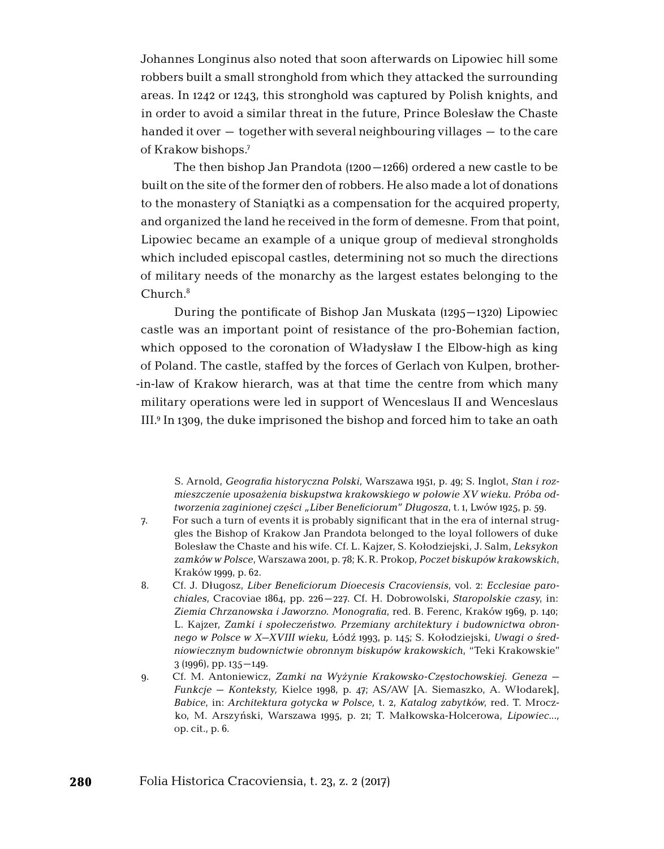Johannes Longinus also noted that soon afterwards on Lipowiec hill some robbers built a small stronghold from which they attacked the surrounding areas. In 1242 or 1243, this stronghold was captured by Polish knights, and in order to avoid a similar threat in the future, Prince Bolesław the Chaste handed it over  $-$  together with several neighbouring villages  $-$  to the care of Krakow bishops.7

The then bishop Jan Prandota (1200–1266) ordered a new castle to be built on the site of the former den of robbers. He also made a lot of donations to the monastery of Staniątki as a compensation for the acquired property, and organized the land he received in the form of demesne. From that point, Lipowiec became an example of a unique group of medieval strongholds which included episcopal castles, determining not so much the directions of military needs of the monarchy as the largest estates belonging to the Church.8

During the pontificate of Bishop Jan Muskata (1295–1320) Lipowiec castle was an important point of resistance of the pro-Bohemian faction, which opposed to the coronation of Władysław I the Elbow-high as king of Poland. The castle, staffed by the forces of Gerlach von Kulpen, brother -in-law of Krakow hierarch, was at that time the centre from which many military operations were led in support of Wenceslaus II and Wenceslaus III.9 In 1309, the duke imprisoned the bishop and forced him to take an oath

S. Arnold, *Geografia historyczna Polski*, Warszawa 1951, p. 49; S. Inglot, *Stan i rozmieszczenie uposażenia biskupstwa krakowskiego w połowie XV wieku. Próba odtworzenia zaginionej części "Liber Beneficiorum" Długosza*, t. 1, Lwów 1925, p. 59.

- 7. For such a turn of events it is probably significant that in the era of internal struggles the Bishop of Krakow Jan Prandota belonged to the loyal followers of duke Bolesław the Chaste and his wife. Cf. L. Kajzer, S. Kołodziejski, J. Salm, *Leksykon zamków w Polsce*, Warszawa 2001, p. 78; K.R. Prokop, *Poczet biskupów krakowskich*, Kraków 1999, p. 62.
- 8. Cf. J. Długosz, *Liber Beneficiorum Dioecesis Cracoviensis*, vol. 2: *Ecclesiae parochiales*, Cracoviae 1864, pp. 226–227. Cf. H. Dobrowolski, *Staropolskie czasy*, in: *Ziemia Chrzanowska i Jaworzno. Monografia*, red. B. Ferenc, Kraków 1969, p. 140; L. Kajzer, *Zamki i społeczeństwo. Przemiany architektury i budownictwa obronnego w Polsce w X–XVIII wieku,* Łódź 1993, p. 145; S. Kołodziejski, *Uwagi o średniowiecznym budownictwie obronnym biskupów krakowskich*, "Teki Krakowskie" 3 (1996), pp. 135–149.
- 9. Cf. M. Antoniewicz, *Zamki na Wyżynie Krakowsko-Częstochowskiej. Geneza Funkcje – Konteksty,* Kielce 1998, p. 47; AS/AW [A. Siemaszko, A. Włodarek], *Babice*, in: *Architektura gotycka w Polsce,* t. 2, *Katalog zabytków*, red. T. Mroczko, M. Arszyński, Warszawa 1995, p. 21; T. Małkowska-Holcerowa, *Lipowiec...,*  op. cit., p. 6.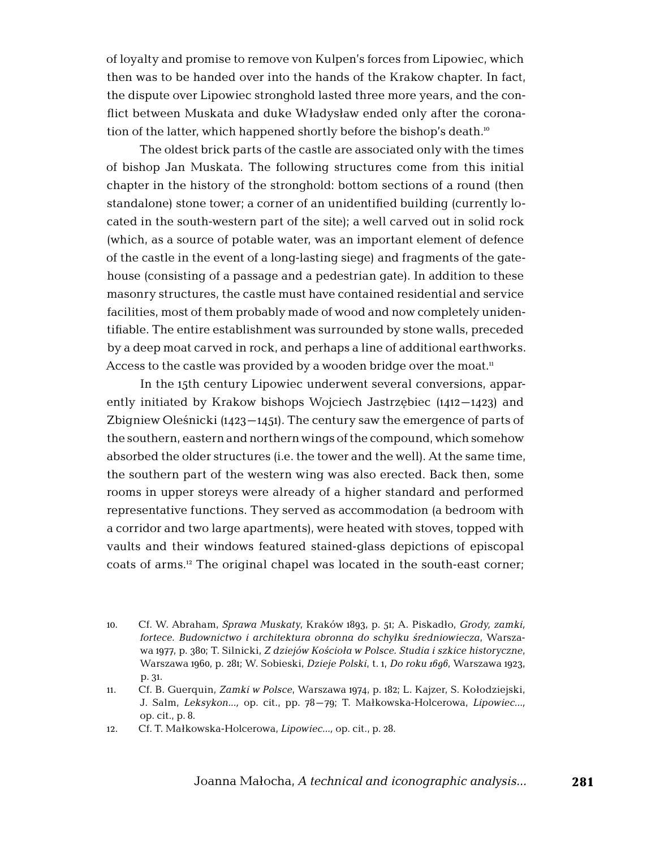of loyalty and promise to remove von Kulpen's forces from Lipowiec, which then was to be handed over into the hands of the Krakow chapter. In fact, the dispute over Lipowiec stronghold lasted three more years, and the conflict between Muskata and duke Władysław ended only after the coronation of the latter, which happened shortly before the bishop's death.<sup>10</sup>

The oldest brick parts of the castle are associated only with the times of bishop Jan Muskata. The following structures come from this initial chapter in the history of the stronghold: bottom sections of a round (then standalone) stone tower; a corner of an unidentified building (currently located in the south-western part of the site); a well carved out in solid rock (which, as a source of potable water, was an important element of defence of the castle in the event of a long-lasting siege) and fragments of the gatehouse (consisting of a passage and a pedestrian gate). In addition to these masonry structures, the castle must have contained residential and service facilities, most of them probably made of wood and now completely unidentifiable. The entire establishment was surrounded by stone walls, preceded by a deep moat carved in rock, and perhaps a line of additional earthworks. Access to the castle was provided by a wooden bridge over the moat.<sup>11</sup>

In the 15th century Lipowiec underwent several conversions, apparently initiated by Krakow bishops Wojciech Jastrzębiec (1412–1423) and Zbigniew Oleśnicki  $(1423 - 1451)$ . The century saw the emergence of parts of the southern, eastern and northern wings of the compound, which somehow absorbed the older structures (i.e. the tower and the well). At the same time, the southern part of the western wing was also erected. Back then, some rooms in upper storeys were already of a higher standard and performed representative functions. They served as accommodation (a bedroom with a corridor and two large apartments), were heated with stoves, topped with vaults and their windows featured stained-glass depictions of episcopal coats of arms.12 The original chapel was located in the south-east corner;

<sup>10.</sup> Cf. W. Abraham, *Sprawa Muskaty*, Kraków 1893, p. 51; A. Piskadło, *Grody, zamki, fortece. Budownictwo i architektura obronna do schyłku średniowiecza*, Warszawa 1977, p. 380; T. Silnicki, *Z dziejów Kościoła w Polsce. Studia i szkice historyczne*, Warszawa 1960, p. 281; W. Sobieski, *Dzieje Polski*, t. 1, *Do roku 1696*, Warszawa 1923, p. 31.

<sup>11.</sup> Cf. B. Guerquin, *Zamki w Polsce*, Warszawa 1974, p. 182; L. Kajzer, S. Kołodziejski, J. Salm, *Leksykon...,* op. cit., pp. 78–79; T. Małkowska-Holcerowa, *Lipowiec...,*  op. cit., p. 8.

<sup>12.</sup> Cf. T. Małkowska-Holcerowa, *Lipowiec...,* op. cit., p. 28.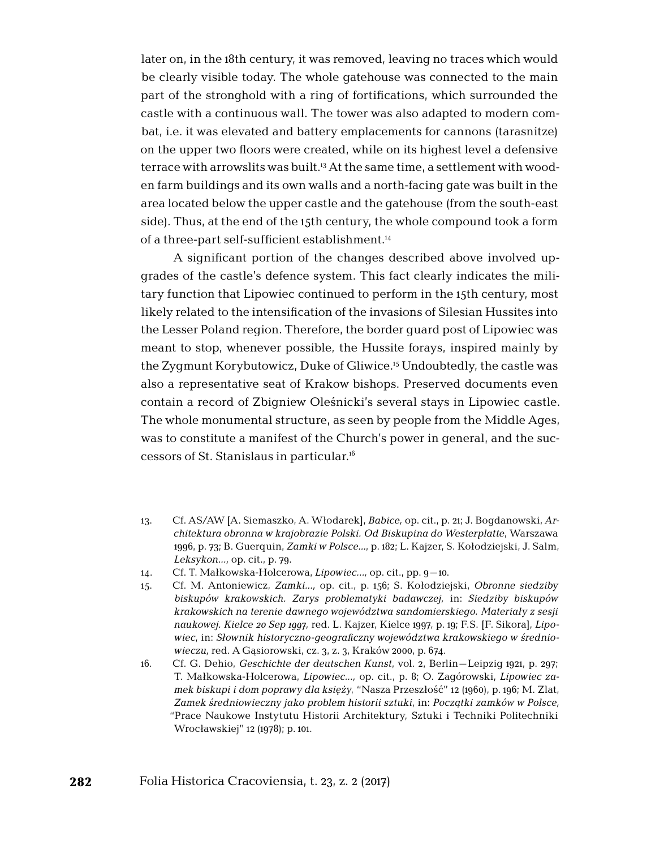later on, in the 18th century, it was removed, leaving no traces which would be clearly visible today. The whole gatehouse was connected to the main part of the stronghold with a ring of fortifications, which surrounded the castle with a continuous wall. The tower was also adapted to modern combat, i.e. it was elevated and battery emplacements for cannons (tarasnitze) on the upper two floors were created, while on its highest level a defensive terrace with arrowslits was built.13 At the same time, a settlement with wooden farm buildings and its own walls and a north-facing gate was built in the area located below the upper castle and the gatehouse (from the south-east side). Thus, at the end of the 15th century, the whole compound took a form of a three-part self-sufficient establishment.14

A significant portion of the changes described above involved upgrades of the castle's defence system. This fact clearly indicates the military function that Lipowiec continued to perform in the 15th century, most likely related to the intensification of the invasions of Silesian Hussites into the Lesser Poland region. Therefore, the border guard post of Lipowiec was meant to stop, whenever possible, the Hussite forays, inspired mainly by the Zygmunt Korybutowicz, Duke of Gliwice.15 Undoubtedly, the castle was also a representative seat of Krakow bishops. Preserved documents even contain a record of Zbigniew Oleśnicki's several stays in Lipowiec castle. The whole monumental structure, as seen by people from the Middle Ages, was to constitute a manifest of the Church's power in general, and the successors of St. Stanislaus in particular.16

- 13. Cf. AS/AW [A. Siemaszko, A. Włodarek], *Babice,* op. cit., p. 21; J. Bogdanowski, *Architektura obronna w krajobrazie Polski. Od Biskupina do Westerplatte*, Warszawa 1996, p. 73; B. Guerquin, *Zamki w Polsce…*, p. 182; L. Kajzer, S. Kołodziejski, J. Salm, *Leksykon...,* op. cit., p. 79.
- 14. Cf. T. Małkowska-Holcerowa, *Lipowiec...,* op. cit., pp. 9–10.
- 15. Cf. M. Antoniewicz, *Zamki...,* op. cit., p. 156; S. Kołodziejski, *Obronne siedziby biskupów krakowskich. Zarys problematyki badawczej,* in: *Siedziby biskupów krakowskich na terenie dawnego województwa sandomierskiego. Materiały z sesji naukowej. Kielce 20 Sep 1997,* red. L. Kajzer, Kielce 1997, p. 19; F.S. [F. Sikora], *Lipowiec*, in: *Słownik historyczno-geograficzny województwa krakowskiego w średniowieczu,* red. A Gąsiorowski, cz. 3, z. 3, Kraków 2000, p. 674.
- 16. Cf. G. Dehio, *Geschichte der deutschen Kunst*, vol. 2, Berlin–Leipzig 1921, p. 297; T. Małkowska-Holcerowa, *Lipowiec...,* op. cit., p. 8; O. Zagórowski, *Lipowiec zamek biskupi i dom poprawy dla księży*, "Nasza Przeszłość" 12 (1960), p. 196; M. Zlat, *Zamek średniowieczny jako problem historii sztuki*, in: *Początki zamków w Polsce,* "Prace Naukowe Instytutu Historii Architektury, Sztuki i Techniki Politechniki Wrocławskiej" 12 (1978); p. 101.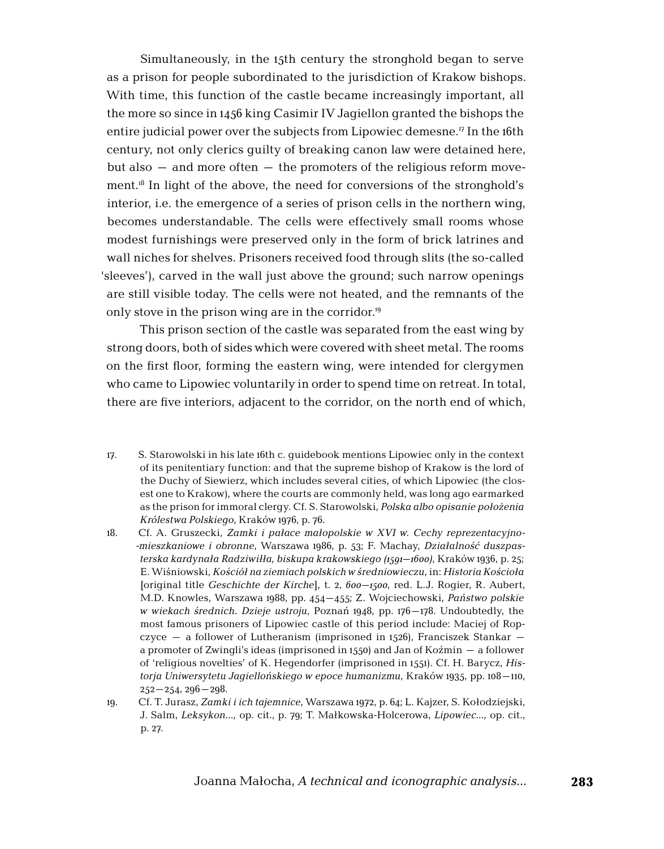Simultaneously, in the 15th century the stronghold began to serve as a prison for people subordinated to the jurisdiction of Krakow bishops. With time, this function of the castle became increasingly important, all the more so since in 1456 king Casimir IV Jagiellon granted the bishops the entire judicial power over the subjects from Lipowiec demesne.17 In the 16th century, not only clerics guilty of breaking canon law were detained here, but also – and more often – the promoters of the religious reform movement.18 In light of the above, the need for conversions of the stronghold's interior, i.e. the emergence of a series of prison cells in the northern wing, becomes understandable. The cells were effectively small rooms whose modest furnishings were preserved only in the form of brick latrines and wall niches for shelves. Prisoners received food through slits (the so-called 'sleeves'), carved in the wall just above the ground; such narrow openings are still visible today. The cells were not heated, and the remnants of the only stove in the prison wing are in the corridor.19

This prison section of the castle was separated from the east wing by strong doors, both of sides which were covered with sheet metal. The rooms on the first floor, forming the eastern wing, were intended for clergymen who came to Lipowiec voluntarily in order to spend time on retreat. In total, there are five interiors, adjacent to the corridor, on the north end of which,

17. S. Starowolski in his late 16th c. guidebook mentions Lipowiec only in the context of its penitentiary function: and that the supreme bishop of Krakow is the lord of the Duchy of Siewierz, which includes several cities, of which Lipowiec (the closest one to Krakow), where the courts are commonly held, was long ago earmarked as the prison for immoral clergy. Cf. S. Starowolski, *Polska albo opisanie położenia Królestwa Polskiego*, Kraków 1976, p. 76.

18. Cf. A. Gruszecki, *Zamki i pałace małopolskie w XVI w. Cechy reprezentacyjno -mieszkaniowe i obronne*, Warszawa 1986, p. 53; F. Machay, *Działalność duszpasterska kardynała Radziwiłła, biskupa krakowskiego (1591–1600)*, Kraków 1936, p. 25; E. Wiśniowski, *Kościół na ziemiach polskich w średniowieczu*, in: *Historia Kościoła* [original title *Geschichte der Kirche*], t. 2, *600–1500*, red. L.J. Rogier, R. Aubert, M.D. Knowles, Warszawa 1988, pp. 454–455; Z. Wojciechowski, *Państwo polskie w wiekach średnich. Dzieje ustroju*, Poznań 1948, pp. 176–178. Undoubtedly, the most famous prisoners of Lipowiec castle of this period include: Maciej of Ropczyce – a follower of Lutheranism (imprisoned in 1526), Franciszek Stankar – a promoter of Zwingli's ideas (imprisoned in 1550) and Jan of Koźmin – a follower of 'religious novelties' of K. Hegendorfer (imprisoned in 1551). Cf. H. Barycz, *Historja Uniwersytetu Jagiellońskiego w epoce humanizmu*, Kraków 1935, pp. 108–110,  $252 - 254$ ,  $296 - 298$ .

19. Cf. T. Jurasz, *Zamki i ich tajemnice*, Warszawa 1972, p. 64; L. Kajzer, S. Kołodziejski, J. Salm, *Leksykon...,* op. cit., p. 79; T. Małkowska-Holcerowa, *Lipowiec...,* op. cit., p. 27.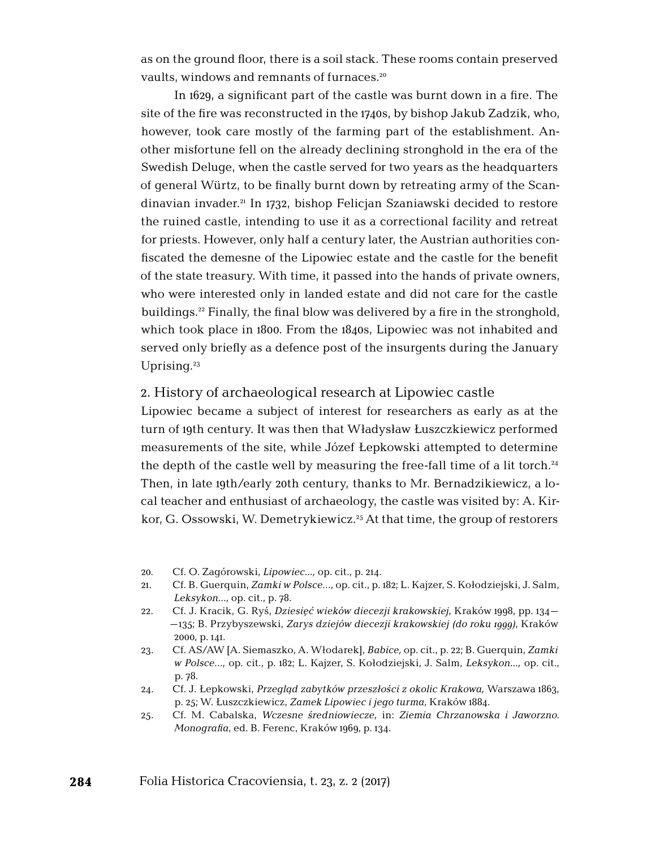as on the ground floor, there is a soil stack. These rooms contain preserved vaults, windows and remnants of furnaces.<sup>20</sup>

In 1629, a significant part of the castle was burnt down in a fire. The site of the fire was reconstructed in the 1740s, by bishop Jakub Zadzik, who, however, took care mostly of the farming part of the establishment. Another misfortune fell on the already declining stronghold in the era of the Swedish Deluge, when the castle served for two years as the headquarters of general Würtz, to be finally burnt down by retreating army of the Scandinavian invader.21 In 1732, bishop Felicjan Szaniawski decided to restore the ruined castle, intending to use it as a correctional facility and retreat for priests. However, only half a century later, the Austrian authorities confiscated the demesne of the Lipowiec estate and the castle for the benefit of the state treasury. With time, it passed into the hands of private owners, who were interested only in landed estate and did not care for the castle buildings.22 Finally, the final blow was delivered by a fire in the stronghold, which took place in 1800. From the 1840s, Lipowiec was not inhabited and served only briefly as a defence post of the insurgents during the January Uprising.<sup>23</sup>

#### 2. History of archaeological research at Lipowiec castle

Lipowiec became a subject of interest for researchers as early as at the turn of 19th century. It was then that Władysław Łuszczkiewicz performed measurements of the site, while Józef Łepkowski attempted to determine the depth of the castle well by measuring the free-fall time of a lit torch.<sup>24</sup> Then, in late 19th/early 20th century, thanks to Mr. Bernadzikiewicz, a local teacher and enthusiast of archaeology, the castle was visited by: A. Kirkor, G. Ossowski, W. Demetrykiewicz.<sup>25</sup> At that time, the group of restorers

- 20. Cf. O. Zagórowski, *Lipowiec...,* op. cit., p. 214.
- 21. Cf. B. Guerquin, *Zamki w Polsce*…, op. cit., p. 182; L. Kajzer, S. Kołodziejski, J. Salm, *Leksykon...,* op. cit., p. 78.
- 22. Cf. J. Kracik, G. Ryś, *Dziesięć wieków diecezji krakowskiej*, Kraków 1998, pp. 134– –135; B. Przybyszewski, *Zarys dziejów diecezji krakowskiej (do roku 1999)*, Kraków 2000, p. 141.
- 23. Cf. AS/AW [A. Siemaszko, A. Włodarek], *Babice,* op. cit., p. 22; B. Guerquin, *Zamki w Polsce*…, op. cit., p. 182; L. Kajzer, S. Kołodziejski, J. Salm, *Leksykon...,* op. cit., p. 78.
- 24. Cf. J. Łepkowski, *Przegląd zabytków przeszłości z okolic Krakowa,* Warszawa 1863, p. 25; W. Łuszczkiewicz, *Zamek Lipowiec i jego turma*, Kraków 1884.
- 25. Cf. M. Cabalska, *Wczesne średniowiecze,* in: *Ziemia Chrzanowska i Jaworzno. Monografia*, ed. B. Ferenc, Kraków 1969, p. 134.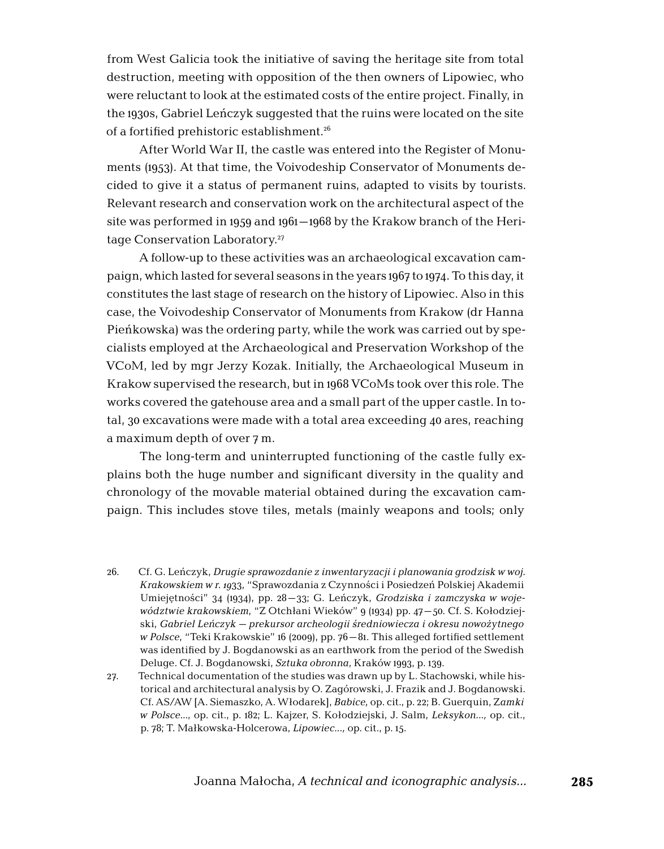from West Galicia took the initiative of saving the heritage site from total destruction, meeting with opposition of the then owners of Lipowiec, who were reluctant to look at the estimated costs of the entire project. Finally, in the 1930s, Gabriel Leńczyk suggested that the ruins were located on the site of a fortified prehistoric establishment.26

After World War II, the castle was entered into the Register of Monuments (1953). At that time, the Voivodeship Conservator of Monuments decided to give it a status of permanent ruins, adapted to visits by tourists. Relevant research and conservation work on the architectural aspect of the site was performed in 1959 and 1961–1968 by the Krakow branch of the Heritage Conservation Laboratory.27

A follow-up to these activities was an archaeological excavation campaign, which lasted for several seasons in the years 1967 to 1974. To this day, it constitutes the last stage of research on the history of Lipowiec. Also in this case, the Voivodeship Conservator of Monuments from Krakow (dr Hanna Pieńkowska) was the ordering party, while the work was carried out by specialists employed at the Archaeological and Preservation Workshop of the VCoM, led by mgr Jerzy Kozak. Initially, the Archaeological Museum in Krakow supervised the research, but in 1968 VCoMs took over this role. The works covered the gatehouse area and a small part of the upper castle. In total, 30 excavations were made with a total area exceeding 40 ares, reaching a maximum depth of over 7 m.

The long-term and uninterrupted functioning of the castle fully explains both the huge number and significant diversity in the quality and chronology of the movable material obtained during the excavation campaign. This includes stove tiles, metals (mainly weapons and tools; only

- 26. Cf. G. Leńczyk, *Drugie sprawozdanie z inwentaryzacji i planowania grodzisk w woj. Krakowskiem w r. 19*33, "Sprawozdania z Czynności i Posiedzeń Polskiej Akademii Umiejętności" 34 (1934), pp. 28–33; G. Leńczyk, *Grodziska i zamczyska w województwie krakowskiem*, "Z Otchłani Wieków" 9 (1934) pp. 47–50. Cf. S. Kołodziejski, *Gabriel Leńczyk – prekursor archeologii średniowiecza i okresu nowożytnego w Polsce*, "Teki Krakowskie" 16 (2009), pp. 76–81. This alleged fortified settlement was identified by J. Bogdanowski as an earthwork from the period of the Swedish Deluge. Cf. J. Bogdanowski, *Sztuka obronna*, Kraków 1993, p. 139.
- 27. Technical documentation of the studies was drawn up by L. Stachowski, while historical and architectural analysis by O. Zagórowski, J. Frazik and J. Bogdanowski. Cf. AS/AW [A. Siemaszko, A. Włodarek], *Babice,* op. cit., p. 22; B. Guerquin, Z*amki w Polsce…*, op. cit., p. 182; L. Kajzer, S. Kołodziejski, J. Salm, *Leksykon...,* op. cit., p. 78; T. Małkowska-Holcerowa, *Lipowiec...,* op. cit., p. 15.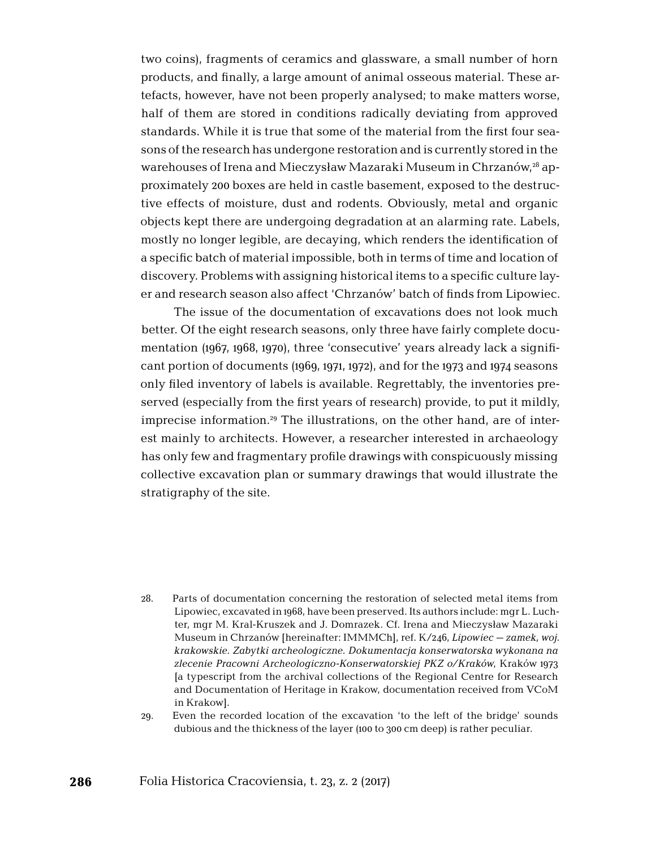two coins), fragments of ceramics and glassware, a small number of horn products, and finally, a large amount of animal osseous material. These artefacts, however, have not been properly analysed; to make matters worse, half of them are stored in conditions radically deviating from approved standards. While it is true that some of the material from the first four seasons of the research has undergone restoration and is currently stored in the warehouses of Irena and Mieczysław Mazaraki Museum in Chrzanów,<sup>28</sup> approximately 200 boxes are held in castle basement, exposed to the destructive effects of moisture, dust and rodents. Obviously, metal and organic objects kept there are undergoing degradation at an alarming rate. Labels, mostly no longer legible, are decaying, which renders the identification of a specific batch of material impossible, both in terms of time and location of discovery. Problems with assigning historical items to a specific culture layer and research season also affect 'Chrzanów' batch of finds from Lipowiec.

The issue of the documentation of excavations does not look much better. Of the eight research seasons, only three have fairly complete documentation (1967, 1968, 1970), three 'consecutive' years already lack a significant portion of documents (1969, 1971, 1972), and for the 1973 and 1974 seasons only filed inventory of labels is available. Regrettably, the inventories preserved (especially from the first years of research) provide, to put it mildly, imprecise information.<sup>29</sup> The illustrations, on the other hand, are of interest mainly to architects. However, a researcher interested in archaeology has only few and fragmentary profile drawings with conspicuously missing collective excavation plan or summary drawings that would illustrate the stratigraphy of the site.

- 28. Parts of documentation concerning the restoration of selected metal items from Lipowiec, excavated in 1968, have been preserved. Its authors include: mgr L. Luchter, mgr M. Kral-Kruszek and J. Domrazek. Cf. Irena and Mieczysław Mazaraki Museum in Chrzanów [hereinafter: IMMMCh], ref. K/246, *Lipowiec – zamek, woj. krakowskie. Zabytki archeologiczne. Dokumentacja konserwatorska wykonana na zlecenie Pracowni Archeologiczno-Konserwatorskiej PKZ o/Kraków*, Kraków 1973 [a typescript from the archival collections of the Regional Centre for Research and Documentation of Heritage in Krakow, documentation received from VCoM in Krakow].
- 29. Even the recorded location of the excavation 'to the left of the bridge' sounds dubious and the thickness of the layer (100 to 300 cm deep) is rather peculiar.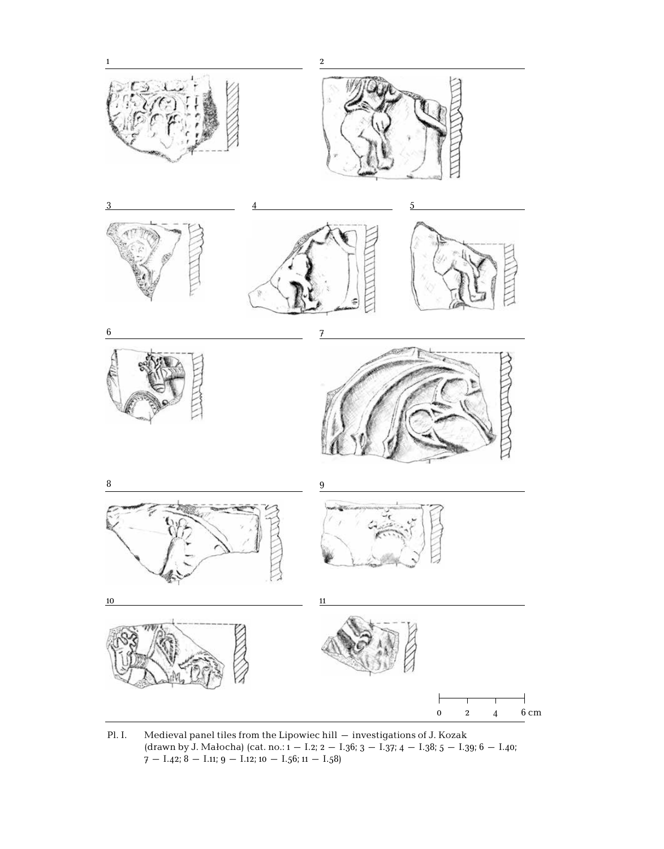

Pl. I. Medieval panel tiles from the Lipowiec hill – investigations of J. Kozak (drawn by J. Małocha) (cat. no.:  $1 - 1.2$ ;  $2 - 1.36$ ;  $3 - 1.37$ ;  $4 - 1.38$ ;  $5 - 1.39$ ;  $6 - 1.40$ ;  $7 - I.42$ ;  $8 - I.11$ ;  $9 - I.12$ ;  $10 - I.56$ ;  $11 - I.58$ )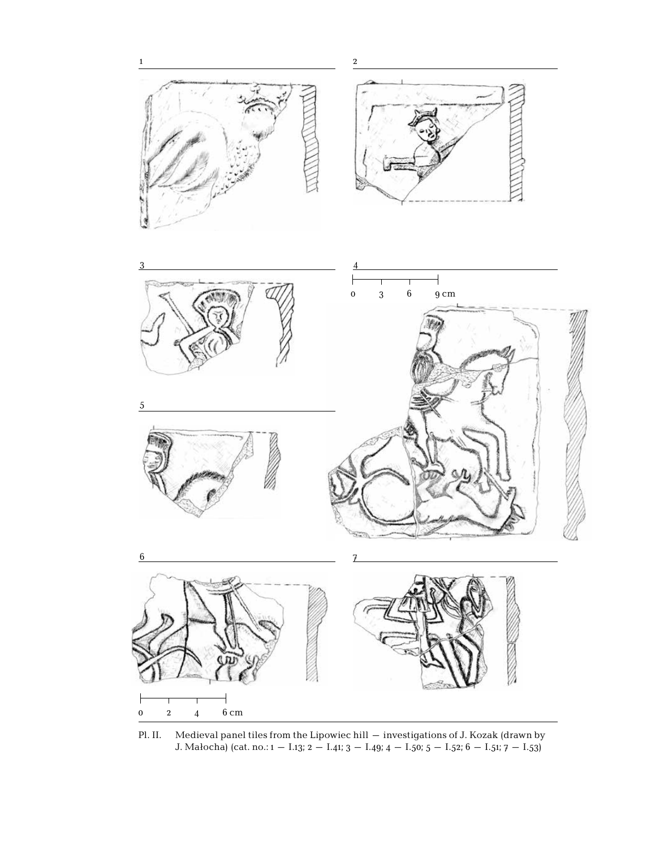5





Pl. II. Medieval panel tiles from the Lipowiec hill – investigations of J. Kozak (drawn by J. Małocha) (cat. no.: 1 – I.13; 2 – I.41; 3 – I.49; 4 – I.50; 5 – I.52; 6 – I.51; 7 – I.53)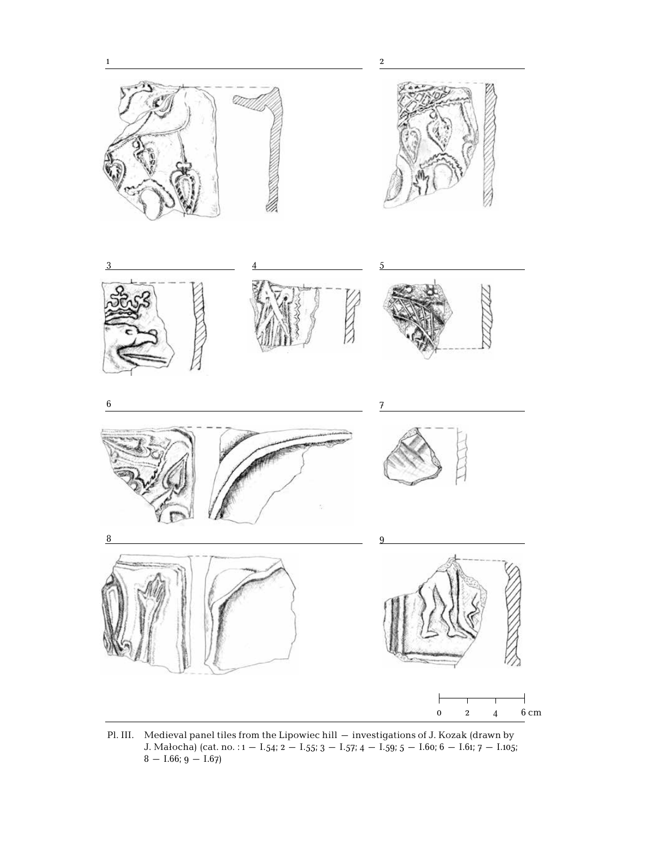





Pl. III. Medieval panel tiles from the Lipowiec hill – investigations of J. Kozak (drawn by J. Małocha) (cat. no. : 1 – 1.54; 2 – 1.55; 3 – 1.57; 4 – 1.59; 5 – 1.60; 6 – 1.61; 7 – 1.105;  $8 - 1.66$ ; 9  $- 1.67$ )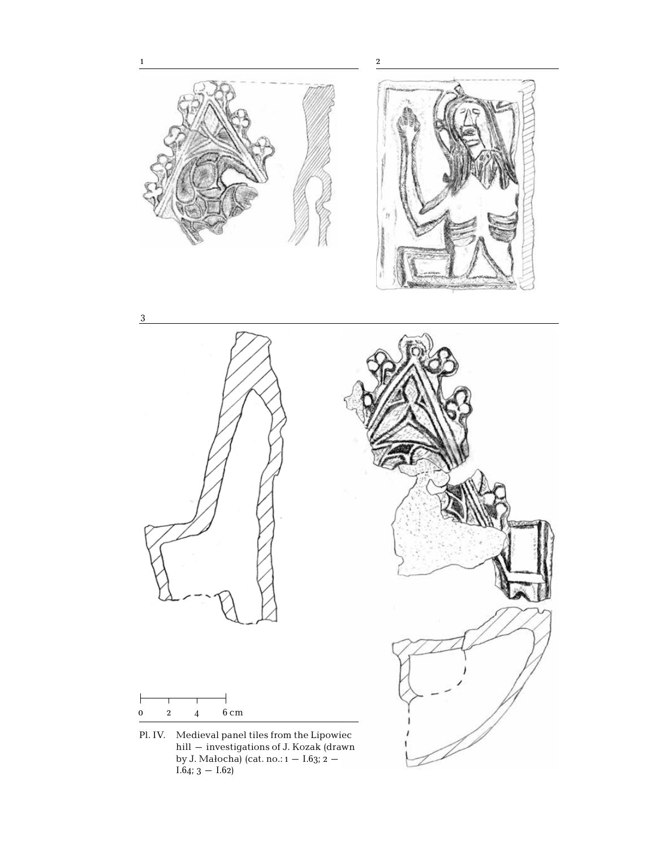

by J. Małocha) (cat. no.: 1 – I.63; 2 –  $I.64; 3 - I.62$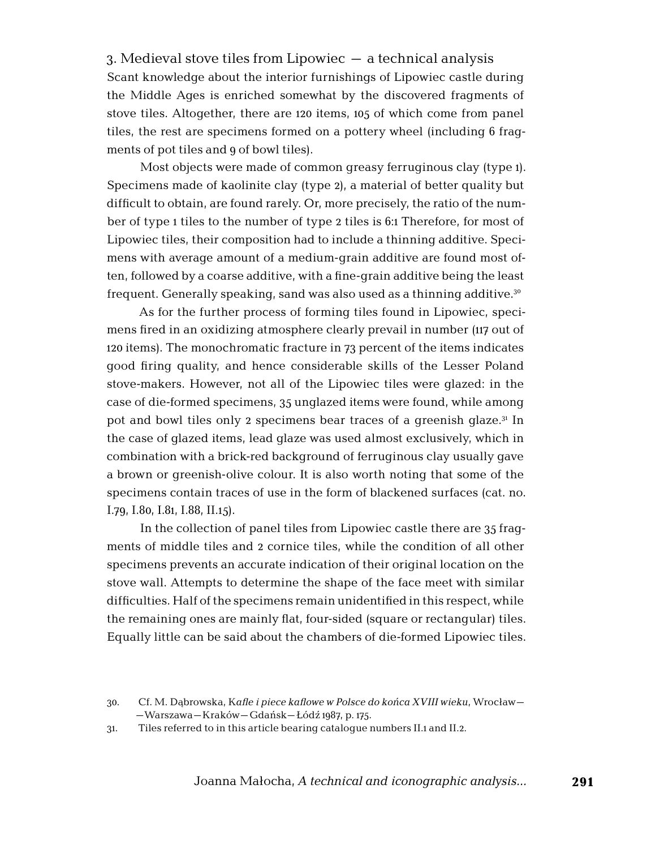3. Medieval stove tiles from Lipowiec – a technical analysis Scant knowledge about the interior furnishings of Lipowiec castle during the Middle Ages is enriched somewhat by the discovered fragments of stove tiles. Altogether, there are 120 items, 105 of which come from panel tiles, the rest are specimens formed on a pottery wheel (including 6 fragments of pot tiles and 9 of bowl tiles).

Most objects were made of common greasy ferruginous clay (type 1). Specimens made of kaolinite clay (type 2), a material of better quality but difficult to obtain, are found rarely. Or, more precisely, the ratio of the number of type 1 tiles to the number of type 2 tiles is 6:1 Therefore, for most of Lipowiec tiles, their composition had to include a thinning additive. Specimens with average amount of a medium-grain additive are found most often, followed by a coarse additive, with a fine-grain additive being the least frequent. Generally speaking, sand was also used as a thinning additive.30

As for the further process of forming tiles found in Lipowiec, specimens fired in an oxidizing atmosphere clearly prevail in number (117 out of 120 items). The monochromatic fracture in 73 percent of the items indicates good firing quality, and hence considerable skills of the Lesser Poland stove-makers. However, not all of the Lipowiec tiles were glazed: in the case of die-formed specimens, 35 unglazed items were found, while among pot and bowl tiles only 2 specimens bear traces of a greenish glaze.31 In the case of glazed items, lead glaze was used almost exclusively, which in combination with a brick-red background of ferruginous clay usually gave a brown or greenish-olive colour. It is also worth noting that some of the specimens contain traces of use in the form of blackened surfaces (cat. no. I.79, I.80, I.81, I.88, II.15).

In the collection of panel tiles from Lipowiec castle there are 35 fragments of middle tiles and 2 cornice tiles, while the condition of all other specimens prevents an accurate indication of their original location on the stove wall. Attempts to determine the shape of the face meet with similar difficulties. Half of the specimens remain unidentified in this respect, while the remaining ones are mainly flat, four-sided (square or rectangular) tiles. Equally little can be said about the chambers of die-formed Lipowiec tiles.

<sup>30.</sup> Cf. M. Dąbrowska, K*afle i piece kaflowe w Polsce do końca XVIII wieku*, Wrocław– –Warszawa–Kraków–Gdańsk–Łódź 1987, p. 175.

<sup>31.</sup> Tiles referred to in this article bearing catalogue numbers II.1 and II.2.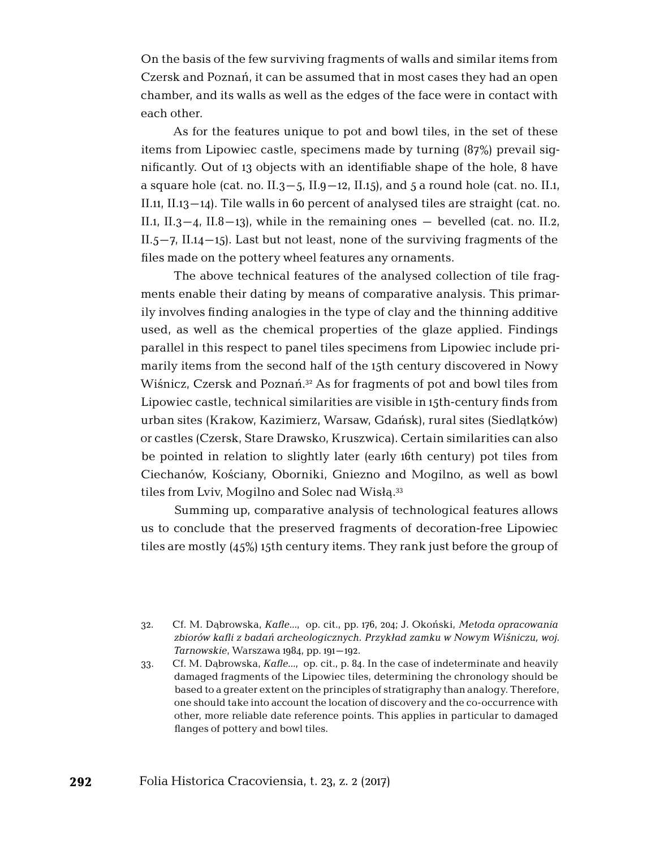On the basis of the few surviving fragments of walls and similar items from Czersk and Poznań, it can be assumed that in most cases they had an open chamber, and its walls as well as the edges of the face were in contact with each other.

As for the features unique to pot and bowl tiles, in the set of these items from Lipowiec castle, specimens made by turning (87%) prevail significantly. Out of 13 objects with an identifiable shape of the hole, 8 have a square hole (cat. no. II.3–5, II.9–12, II.15), and 5 a round hole (cat. no. II.1, II.11, II.13–14). Tile walls in 60 percent of analysed tiles are straight (cat. no. II.1, II.3–4, II.8–13), while in the remaining ones – bevelled (cat. no. II.2,  $II.5-7$ ,  $II.14-15$ ). Last but not least, none of the surviving fragments of the files made on the pottery wheel features any ornaments.

The above technical features of the analysed collection of tile fragments enable their dating by means of comparative analysis. This primarily involves finding analogies in the type of clay and the thinning additive used, as well as the chemical properties of the glaze applied. Findings parallel in this respect to panel tiles specimens from Lipowiec include primarily items from the second half of the 15th century discovered in Nowy Wiśnicz, Czersk and Poznań.32 As for fragments of pot and bowl tiles from Lipowiec castle, technical similarities are visible in 15th-century finds from urban sites (Krakow, Kazimierz, Warsaw, Gdańsk), rural sites (Siedlątków) or castles (Czersk, Stare Drawsko, Kruszwica). Certain similarities can also be pointed in relation to slightly later (early 16th century) pot tiles from Ciechanów, Kościany, Oborniki, Gniezno and Mogilno, as well as bowl tiles from Lviv, Mogilno and Solec nad Wisłą.33

Summing up, comparative analysis of technological features allows us to conclude that the preserved fragments of decoration-free Lipowiec tiles are mostly (45%) 15th century items. They rank just before the group of

<sup>32.</sup> Cf. M. Dąbrowska, *Kafle…*, op. cit., pp. 176, 204; J. Okoński, *Metoda opracowania zbiorów kafli z badań archeologicznych. Przykład zamku w Nowym Wiśniczu, woj. Tarnowskie*, Warszawa 1984, pp. 191–192.

<sup>33.</sup> Cf. M. Dąbrowska, *Kafle…*, op. cit., p. 84. In the case of indeterminate and heavily damaged fragments of the Lipowiec tiles, determining the chronology should be based to a greater extent on the principles of stratigraphy than analogy. Therefore, one should take into account the location of discovery and the co-occurrence with other, more reliable date reference points. This applies in particular to damaged flanges of pottery and bowl tiles.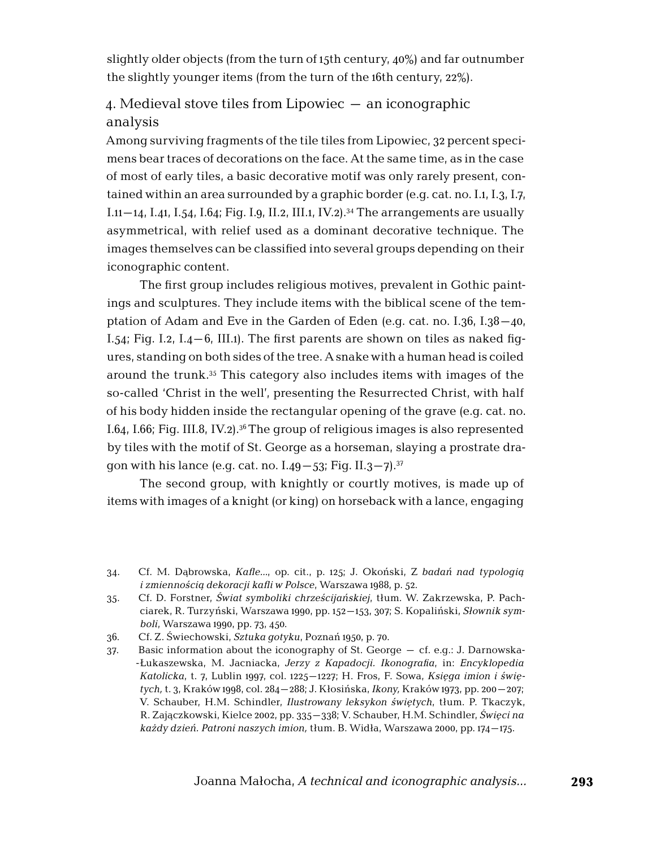slightly older objects (from the turn of 15th century, 40%) and far outnumber the slightly younger items (from the turn of the 16th century, 22%).

## 4. Medieval stove tiles from Lipowiec – an iconographic analysis

Among surviving fragments of the tile tiles from Lipowiec, 32 percent specimens bear traces of decorations on the face. At the same time, as in the case of most of early tiles, a basic decorative motif was only rarely present, contained within an area surrounded by a graphic border (e.g. cat. no. I.1, I.3, I.7, I.11–14, I.41, I.54, I.64; Fig. I.9, II.2, III.1, IV.2).<sup>34</sup> The arrangements are usually asymmetrical, with relief used as a dominant decorative technique. The images themselves can be classified into several groups depending on their iconographic content.

The first group includes religious motives, prevalent in Gothic paintings and sculptures. They include items with the biblical scene of the temptation of Adam and Eve in the Garden of Eden (e.g. cat. no. I.36, I.38–40, I.54; Fig. I.2, I.4–6, III.1). The first parents are shown on tiles as naked figures, standing on both sides of the tree. A snake with a human head is coiled around the trunk.35 This category also includes items with images of the so-called 'Christ in the well', presenting the Resurrected Christ, with half of his body hidden inside the rectangular opening of the grave (e.g. cat. no. I.64, I.66; Fig. III.8, IV.2).36 The group of religious images is also represented by tiles with the motif of St. George as a horseman, slaying a prostrate dragon with his lance (e.g. cat. no.  $I.49 - 53$ ; Fig.  $II.3 - 7$ ).<sup>37</sup>

The second group, with knightly or courtly motives, is made up of items with images of a knight (or king) on horseback with a lance, engaging

<sup>34.</sup> Cf. M. Dąbrowska, *Kafle…*, op. cit., p. 125; J. Okoński, Z *badań nad typologią i zmiennością dekoracji kafli w Polsce*, Warszawa 1988, p. 52.

<sup>35.</sup> Cf. D. Forstner, *Świat symboliki chrześcijańskiej*, tłum. W. Zakrzewska, P. Pachciarek, R. Turzyński, Warszawa 1990, pp. 152–153, 307; S. Kopaliński, *Słownik symboli*, Warszawa 1990, pp. 73, 450.

<sup>36.</sup> Cf. Z. Świechowski, *Sztuka gotyku*, Poznań 1950, p. 70.

<sup>37.</sup> Basic information about the iconography of St. George – cf. e.g.: J. Darnowska -Łukaszewska, M. Jacniacka, *Jerzy z Kapadocji. Ikonografia*, in: *Encyklopedia Katolicka*, t. 7, Lublin 1997, col. 1225–1227; H. Fros, F. Sowa, *Księga imion i świętych,* t. 3, Kraków 1998, col. 284–288; J. Kłosińska, *Ikony,* Kraków 1973, pp. 200–207; V. Schauber, H.M. Schindler, *Ilustrowany leksykon świętych*, tłum. P. Tkaczyk, R. Zajączkowski, Kielce 2002, pp. 335–338; V. Schauber, H.M. Schindler, *Święci na każdy dzień. Patroni naszych imion,* tłum. B. Widła, Warszawa 2000, pp. 174–175.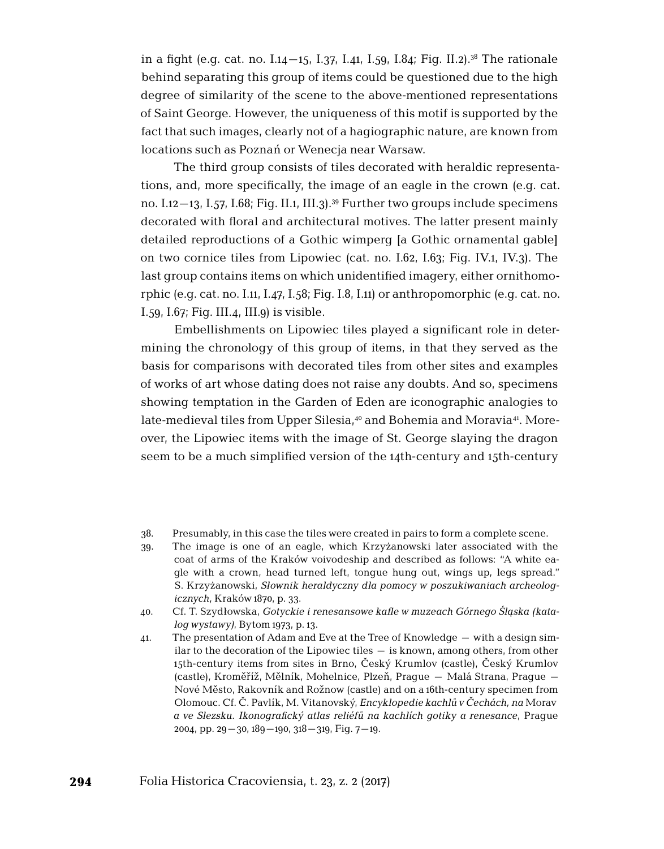in a fight (e.g. cat. no. I.14–15, I.37, I.41, I.59, I.84; Fig. II.2).<sup>38</sup> The rationale behind separating this group of items could be questioned due to the high degree of similarity of the scene to the above-mentioned representations of Saint George. However, the uniqueness of this motif is supported by the fact that such images, clearly not of a hagiographic nature, are known from locations such as Poznań or Wenecja near Warsaw.

The third group consists of tiles decorated with heraldic representations, and, more specifically, the image of an eagle in the crown (e.g. cat. no. I.12–13, I.57, I.68; Fig. II.1, III.3).<sup>39</sup> Further two groups include specimens decorated with floral and architectural motives. The latter present mainly detailed reproductions of a Gothic wimperg [a Gothic ornamental gable] on two cornice tiles from Lipowiec (cat. no. I.62, I.63; Fig. IV.1, IV.3). The last group contains items on which unidentified imagery, either ornithomorphic (e.g. cat. no. I.11, I.47, I.58; Fig. I.8, I.11) or anthropomorphic (e.g. cat. no. I.59, I.67; Fig. III.4, III.9) is visible.

Embellishments on Lipowiec tiles played a significant role in determining the chronology of this group of items, in that they served as the basis for comparisons with decorated tiles from other sites and examples of works of art whose dating does not raise any doubts. And so, specimens showing temptation in the Garden of Eden are iconographic analogies to late-medieval tiles from Upper Silesia,<sup>40</sup> and Bohemia and Moravia<sup>41</sup>. Moreover, the Lipowiec items with the image of St. George slaying the dragon seem to be a much simplified version of the 14th-century and 15th-century

- 38. Presumably, in this case the tiles were created in pairs to form a complete scene.
- 39. The image is one of an eagle, which Krzyżanowski later associated with the coat of arms of the Kraków voivodeship and described as follows: "A white eagle with a crown, head turned left, tongue hung out, wings up, legs spread." S. Krzyżanowski, *Słownik heraldyczny dla pomocy w poszukiwaniach archeologicznych*, Kraków 1870, p. 33.
- 40. Cf. T. Szydłowska, *Gotyckie i renesansowe kafle w muzeach Górnego Śląska (katalog wystawy)*, Bytom 1973, p. 13.
- 41. The presentation of Adam and Eve at the Tree of Knowledge with a design similar to the decoration of the Lipowiec tiles – is known, among others, from other 15th-century items from sites in Brno, Český Krumlov (castle), Český Krumlov (castle), Kroměříž, Mělník, Mohelnice, Plzeň, Prague – Malá Strana, Prague – Nové Město, Rakovník and Rožnow (castle) and on a 16th-century specimen from Olomouc. Cf. Č. Pavlík, M. Vitanovský, *Encyklopedie kachlů v Čechách, na* Moravĕ *a ve Slezsku. Ikonografický atlas reliéfů na kachlích gotiky a renesance*, Prague 2004, pp.  $29 - 30$ ,  $189 - 190$ ,  $318 - 319$ , Fig.  $7 - 19$ .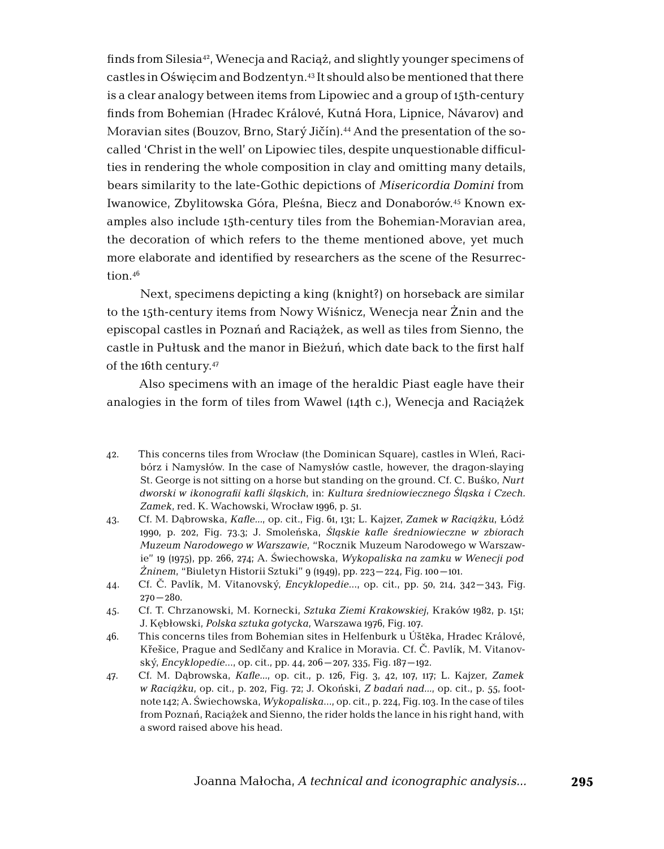finds from Silesia42, Wenecja and Raciąż, and slightly younger specimens of castles in Oświęcim and Bodzentyn.43 It should also be mentioned that there is a clear analogy between items from Lipowiec and a group of 15th-century finds from Bohemian (Hradec Králové, Kutná Hora, Lipnice, Návarov) and Moravian sites (Bouzov, Brno, Starý Jičín).44 And the presentation of the socalled 'Christ in the well' on Lipowiec tiles, despite unquestionable difficulties in rendering the whole composition in clay and omitting many details, bears similarity to the late-Gothic depictions of *Misericordia Domini* from Iwanowice, Zbylitowska Góra, Pleśna, Biecz and Donaborów.45 Known examples also include 15th-century tiles from the Bohemian-Moravian area, the decoration of which refers to the theme mentioned above, yet much more elaborate and identified by researchers as the scene of the Resurrection.46

Next, specimens depicting a king (knight?) on horseback are similar to the 15th-century items from Nowy Wiśnicz, Wenecja near Żnin and the episcopal castles in Poznań and Raciążek, as well as tiles from Sienno, the castle in Pułtusk and the manor in Bieżuń, which date back to the first half of the 16th century.47

Also specimens with an image of the heraldic Piast eagle have their analogies in the form of tiles from Wawel (14th c.), Wenecja and Raciążek

- 42. This concerns tiles from Wrocław (the Dominican Square), castles in Wleń, Racibórz i Namysłów. In the case of Namysłów castle, however, the dragon-slaying St. George is not sitting on a horse but standing on the ground. Cf. C. Buśko, *Nurt dworski w ikonografii kafli śląskich*, in: *Kultura średniowiecznego Śląska i Czech. Zamek*, red. K. Wachowski, Wrocław 1996, p. 51.
- 43. Cf. M. Dąbrowska, *Kafle…*, op. cit., Fig. 61, 131; L. Kajzer, *Zamek w Raciążku*, Łódź 1990, p. 202, Fig. 73.3; J. Smoleńska, *Śląskie kafle średniowieczne w zbiorach Muzeum Narodowego w Warszawie*, "Rocznik Muzeum Narodowego w Warszawie" 19 (1975), pp. 266, 274; A. Świechowska, *Wykopaliska na zamku w Wenecji pod Żninem*, "Biuletyn Historii Sztuki" 9 (1949), pp. 223–224, Fig. 100–101.
- 44. Cf. Č. Pavlík, M. Vitanovský, *Encyklopedie*…, op. cit., pp. 50, 214, 342–343, Fig.  $270 - 280$ .
- 45. Cf. T. Chrzanowski, M. Kornecki, *Sztuka Ziemi Krakowskiej*, Kraków 1982, p. 151; J. Kębłowski, *Polska sztuka gotycka*, Warszawa 1976, Fig. 107.
- 46. This concerns tiles from Bohemian sites in Helfenburk u Úštĕka, Hradec Králové, Křešice, Prague and Sedlčany and Kralice in Moravia. Cf. Č. Pavlík, M. Vitanovský, *Encyklopedie*…, op. cit., pp. 44, 206–207, 335, Fig. 187–192.
- 47. Cf. M. Dąbrowska, *Kafle…*, op. cit., p. 126, Fig. 3, 42, 107, 117; L. Kajzer, *Zamek w Raciążku*, op. cit., p. 202, Fig. 72; J. Okoński, *Z badań nad…*, op. cit., p. 55, footnote 142; A. Świechowska, *Wykopaliska*…, op. cit., p. 224, Fig. 103. In the case of tiles from Poznań, Raciążek and Sienno, the rider holds the lance in his right hand, with a sword raised above his head.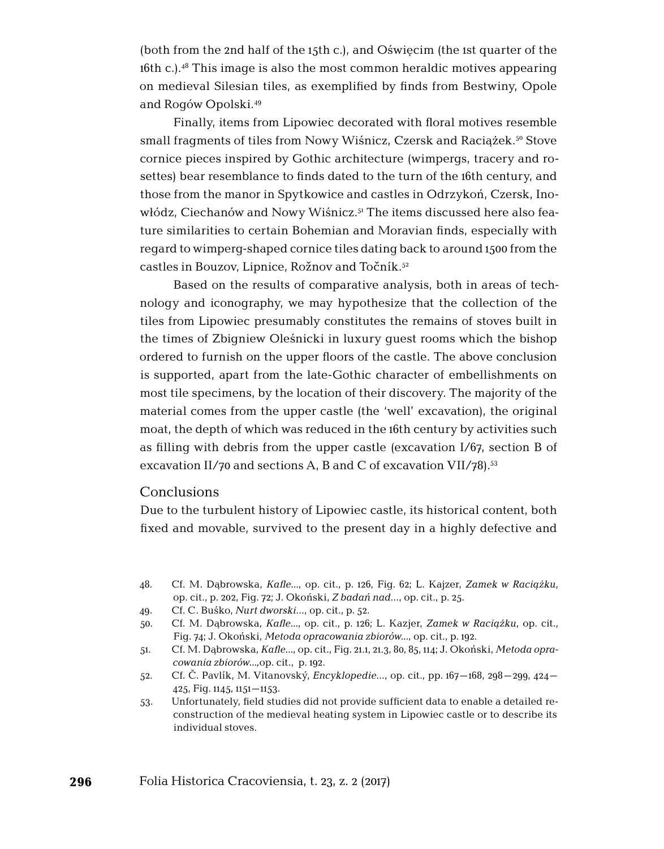(both from the 2nd half of the 15th c.), and Oświęcim (the 1st quarter of the 16th c.).48 This image is also the most common heraldic motives appearing on medieval Silesian tiles, as exemplified by finds from Bestwiny, Opole and Rogów Opolski.49

Finally, items from Lipowiec decorated with floral motives resemble small fragments of tiles from Nowy Wiśnicz, Czersk and Raciażek.<sup>50</sup> Stove cornice pieces inspired by Gothic architecture (wimpergs, tracery and rosettes) bear resemblance to finds dated to the turn of the 16th century, and those from the manor in Spytkowice and castles in Odrzykoń, Czersk, Inowłódz, Ciechanów and Nowy Wiśnicz.<sup>51</sup> The items discussed here also feature similarities to certain Bohemian and Moravian finds, especially with regard to wimperg-shaped cornice tiles dating back to around 1500 from the castles in Bouzov, Lipnice, Rožnov and Točník.<sup>52</sup>

Based on the results of comparative analysis, both in areas of technology and iconography, we may hypothesize that the collection of the tiles from Lipowiec presumably constitutes the remains of stoves built in the times of Zbigniew Oleśnicki in luxury guest rooms which the bishop ordered to furnish on the upper floors of the castle. The above conclusion is supported, apart from the late-Gothic character of embellishments on most tile specimens, by the location of their discovery. The majority of the material comes from the upper castle (the 'well' excavation), the original moat, the depth of which was reduced in the 16th century by activities such as filling with debris from the upper castle (excavation  $I/67$ , section B of excavation II/70 and sections A, B and C of excavation VII/78).<sup>53</sup>

#### **Conclusions**

Due to the turbulent history of Lipowiec castle, its historical content, both fixed and movable, survived to the present day in a highly defective and

- 48. Cf. M. Dąbrowska, *Kafle…*, op. cit., p. 126, Fig. 62; L. Kajzer, *Zamek w Raciążku*, op. cit., p. 202, Fig. 72; J. Okoński, *Z badań nad*…, op. cit., p. 25.
- 49. Cf. C. Buśko, *Nurt dworski*…, op. cit., p. 52.
- 50. Cf. M. Dąbrowska, *Kafle…*, op. cit., p. 126; L. Kazjer, *Zamek w Raciążku*, op. cit., Fig. 74; J. Okoński, *Metoda opracowania zbiorów…*, op. cit., p. 192.
- 51. Cf. M. Dąbrowska, *Kafle…*, op. cit., Fig. 21.1, 21.3, 80, 85, 114; J. Okoński, *Metoda opracowania zbiorów…,*op. cit., p. 192.
- 52. Cf. Č. Pavlík, M. Vitanovský, *Encyklopedie*…, op. cit., pp. 167–168, 298–299, 424– 425, Fig. 1145, 1151–1153.
- 53. Unfortunately, field studies did not provide sufficient data to enable a detailed reconstruction of the medieval heating system in Lipowiec castle or to describe its individual stoves.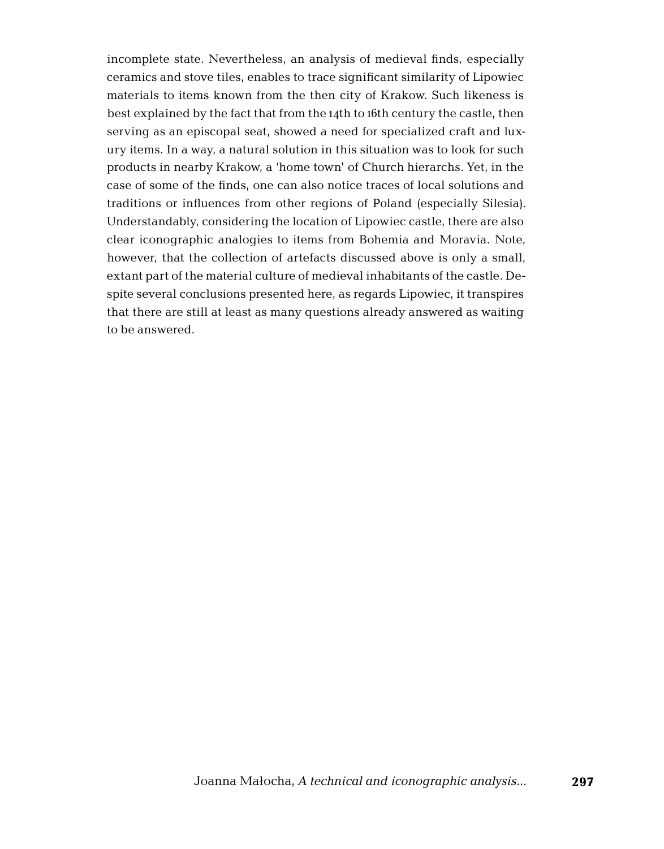incomplete state. Nevertheless, an analysis of medieval finds, especially ceramics and stove tiles, enables to trace significant similarity of Lipowiec materials to items known from the then city of Krakow. Such likeness is best explained by the fact that from the 14th to 16th century the castle, then serving as an episcopal seat, showed a need for specialized craft and luxury items. In a way, a natural solution in this situation was to look for such products in nearby Krakow, a 'home town' of Church hierarchs. Yet, in the case of some of the finds, one can also notice traces of local solutions and traditions or influences from other regions of Poland (especially Silesia). Understandably, considering the location of Lipowiec castle, there are also clear iconographic analogies to items from Bohemia and Moravia. Note, however, that the collection of artefacts discussed above is only a small, extant part of the material culture of medieval inhabitants of the castle. Despite several conclusions presented here, as regards Lipowiec, it transpires that there are still at least as many questions already answered as waiting to be answered.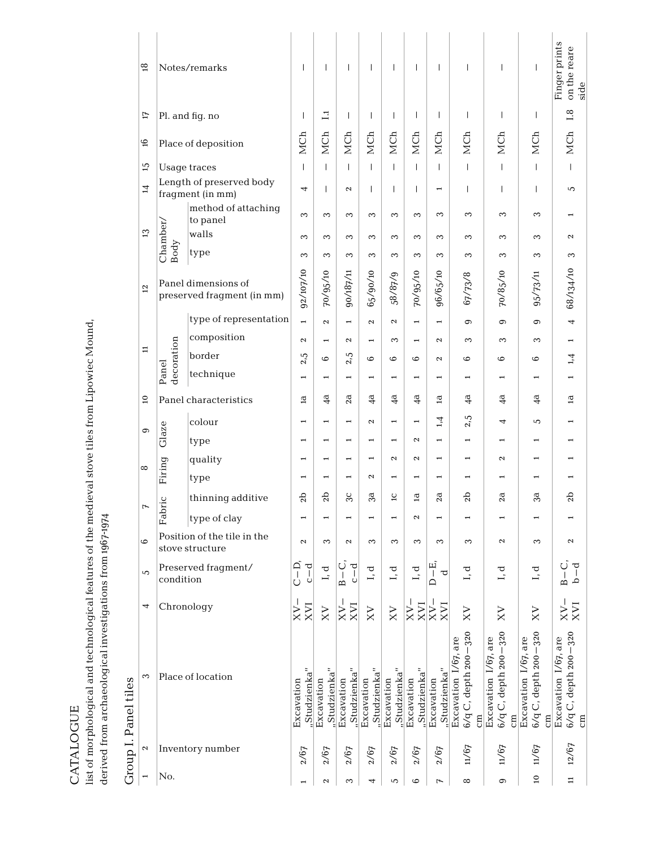| ٦<br>Ľ |  |
|--------|--|
|        |  |
|        |  |

list of morphological and technological features of the medieval stove tiles from Lipowiec Mound,<br>derived from archaeological investigations from 1967-1974 list of morphological and technological features of the medieval stove tiles from Lipowiec Mound, derived from archaeological investigations from 1967-1974

| )<br>}<br>}<br>ŗ<br>۴<br>c |
|----------------------------|
|                            |
| Ĺ                          |

| త                         |                     | Notes/remarks                                     | Т                          | $\mathbf{I}$             | $\overline{\phantom{a}}$         | т                          | $\mathbf{I}$              | $\overline{1}$             | $\mathbf{I}$             | T                                                                         | $\mathbf{I}$                                             | $\mathbf{I}$                                              | Finger prints<br>on the reare<br>side                          |
|---------------------------|---------------------|---------------------------------------------------|----------------------------|--------------------------|----------------------------------|----------------------------|---------------------------|----------------------------|--------------------------|---------------------------------------------------------------------------|----------------------------------------------------------|-----------------------------------------------------------|----------------------------------------------------------------|
| ĽI                        |                     | Pl. and fig. no                                   | $\mathbf{I}$               | $\Xi$                    | $\overline{1}$                   | $\mathbf{I}$               | $\mathbf{I}$              | $\overline{1}$             | $\mathbf{I}$             | $\overline{1}$                                                            | $\mathbf{I}$                                             | $\mathsf{I}$                                              | 1.8                                                            |
| 9                         |                     | Place of deposition                               | MCh                        | MCh                      | MCh                              | MCh                        | MCh                       | MCh                        | MCh                      | MCh                                                                       | MCh                                                      | MCh                                                       | MCh                                                            |
| 15                        |                     | <b>Usage traces</b>                               | $\mathbf{I}$               | $\mathsf{I}$             | $\mathsf{I}$                     | $\mathbf{I}$               | $\mathbf{I}$              | $\mathbf{I}$               | $\mathbf{I}$             | $\mathsf{I}$                                                              | $\mathbf{I}$                                             | $\mathbf{I}$                                              | $\mathbf{I}$                                                   |
| 4                         |                     | Length of preserved body<br>fragment (in mm)      | 4                          | $\overline{1}$           | $\sim$                           | L                          | $\mathbf{I}$              | $\mathbf{I}$               | $\overline{ }$           | $\overline{1}$                                                            | T                                                        | $\mathsf{I}$                                              | 5                                                              |
|                           |                     | method of attaching<br>to panel                   | S                          | 3                        | 3                                | 3                          | 3                         | $\infty$                   | 3                        | 3                                                                         | 3                                                        | 3                                                         |                                                                |
| $\mathfrak{D}$            | Chamber/            | walls                                             | S                          | 3                        | 3                                | 3                          | 3                         | 3                          | 3                        | 3                                                                         | 3                                                        | 3                                                         | $\mathbf{\mathcal{L}}$                                         |
|                           | Body                | type                                              | S                          | 3                        | 3                                | 3                          | $\infty$                  | 3                          | 3                        | 3                                                                         | $\infty$                                                 | 3                                                         | 3                                                              |
| $\overline{12}$           |                     | Panel dimensions of<br>preserved fragment (in mm) | 92/107/10                  | 70/95/10                 | 90/187/11                        | 65/90/10                   | 58/87/9                   | 70/95/10                   | 96/65/10                 | 67/73/8                                                                   | 70/85/10                                                 | 95/73/11                                                  | 68/134/10                                                      |
|                           |                     | type of representation                            | $\overline{a}$             | $\mathbf{\Omega}$        | $\overline{ }$                   | $\mathbf{\hat{c}}$         | $\mathbf{\Omega}$         | $\overline{ }$             | $\overline{\phantom{0}}$ | $\circ$                                                                   | $\sigma$                                                 | $\sigma$                                                  | 4                                                              |
|                           |                     | composition                                       | $\mathbf{\hat{z}}$         | $\overline{ }$           | $\mathbf{\mathcal{L}}$           | $\blacksquare$             | 3                         | $\overline{ }$             | $\mathbf{c}$             | 3                                                                         | 3                                                        | 3                                                         |                                                                |
| $\Xi$                     |                     | border                                            | 2.5                        | $\circ$                  | 2.5                              | $\circ$                    | $\circ$                   | $\circ$                    | $\mathbf{\Omega}$        | $\circ$                                                                   | $\circ$                                                  | $\circ$                                                   | 1,4                                                            |
|                           | decoration<br>Panel | technique                                         | ÷                          | $\overline{\phantom{0}}$ | $\overline{ }$                   | $\overline{\phantom{0}}$   | $\overline{\phantom{0}}$  | $\overline{ }$             | $\overline{\phantom{0}}$ |                                                                           |                                                          | $\overline{\phantom{0}}$                                  |                                                                |
| $\overline{a}$            |                     | Panel characteristics                             | $\mathbf{\overline{a}}$    | $\frac{4}{3}$            | 2a                               | $\frac{a}{4}$              | $\frac{4}{3}$             | $\frac{4}{3}$              | ā                        | 4a                                                                        | 4 <sup>d</sup>                                           | $\frac{4}{3}$                                             | $\overline{a}$                                                 |
| G                         |                     | colour                                            | $\overline{ }$             |                          | $\overline{ }$                   | $\mathbf{\mathcal{L}}$     | $\overline{ }$            | $\overline{ }$             | 1,4                      | 2.5                                                                       | 4                                                        | 5                                                         |                                                                |
|                           | Glaze               | type                                              | $\overline{\phantom{0}}$   |                          | $\overline{\phantom{0}}$         | $\blacksquare$             | $\overline{\phantom{0}}$  | $\mathbf{\mathcal{L}}$     | $\overline{\phantom{0}}$ | $\overline{ }$                                                            |                                                          |                                                           |                                                                |
| $\infty$                  |                     | quality                                           |                            |                          | $\overline{\phantom{0}}$         | $\overline{\phantom{0}}$   | $\mathbf{\Omega}$         | $\sim$                     | $\overline{\phantom{0}}$ | 1                                                                         | $\mathbf{\mathcal{L}}$                                   |                                                           |                                                                |
|                           | Firing              | type                                              |                            |                          | $\overline{ }$                   | 2                          | $\overline{ }$            | $\overline{\phantom{0}}$   | $\overline{\phantom{0}}$ |                                                                           | $\overline{ }$                                           |                                                           |                                                                |
| $\overline{r}$            | Fabric              | thinning additive                                 | Sp                         | 2b                       | 3C                               | 3ā                         | $\overline{c}$            | $\mathbf{\overline{a}}$    | 2a                       | 2 <sub>b</sub>                                                            | 2a                                                       | 3a                                                        | 2 <sub>b</sub>                                                 |
|                           |                     | type of clay                                      | $\overline{ }$             | $\overline{\phantom{0}}$ |                                  | $\overline{\phantom{0}}$   | $\overline{ }$            | $\boldsymbol{\sim}$        | $\overline{\phantom{0}}$ |                                                                           |                                                          |                                                           |                                                                |
| $\circ$                   |                     | Position of the tile in the<br>stove structure    | $\mathbf{\mathcal{L}}$     | 3                        | 2                                | 3                          | S                         | 3                          | 3                        | 3                                                                         | $\mathbf{\mathcal{L}}$                                   | 3                                                         | $\mathbf{\mathcal{L}}$                                         |
| 5                         | condition           | Preserved fragment/                               | ⊂ −<br>C − d<br>C −        | ರ<br>L,                  | ت<br>ರ<br>$\frac{1}{2}$<br>$B -$ | ರ<br>Ĩ,                    | ರ<br>L,                   | ರ<br>L                     | щ<br>ြု ဗ<br>$\triangle$ | ರ<br>Lĩ                                                                   | ರ                                                        | ರ<br>Ĩ,                                                   | ರ ಕ<br>$\mathbf{\Omega}$                                       |
| 4                         | Chronology          |                                                   | $\frac{N}{N}$              | XV                       | $\frac{NN}{NN}$                  | $_{\rm XY}$                | XV                        |                            | $\frac{1}{2}$            | $\boxtimes$                                                               | ℅                                                        | $\mathsf{x}$                                              | XX                                                             |
| 3                         |                     | Place of location                                 | "Studzienka"<br>Excavation | Studzienka<br>Excavation | "Studzienka"<br>Excavation       | "Studzienka"<br>Excavation | Studzienka'<br>Excavation | "Studzienka"<br>Excavation | Excavation               | 6/q C, depth 200-320<br>"Studzienka"<br>Excavation 1/67, are<br>$\rm{cm}$ | 6/q C, depth 200-320<br>Excavation 1/67, are<br>$\rm{g}$ | 6/q C, depth 200-320<br>Excavation 1/67, are<br>$\rm{cm}$ | 6/q C, depth 200-320<br>Excavation 1/67, are<br>$\overline{e}$ |
| $\boldsymbol{\mathsf{c}}$ |                     | Inventory number                                  | 2/67                       | 2/67                     | 2/67                             | 2/67                       | 2/67                      | 2/67                       | 2/67                     | 11/67                                                                     | 11/67                                                    | 11/67                                                     | 12/67                                                          |
| H                         | No.                 |                                                   |                            | 2                        | 3                                | 4                          | 5                         | $\circ$                    | 7                        | $\infty$                                                                  | 0                                                        | $\mathbf{Q}$                                              | $\Xi$                                                          |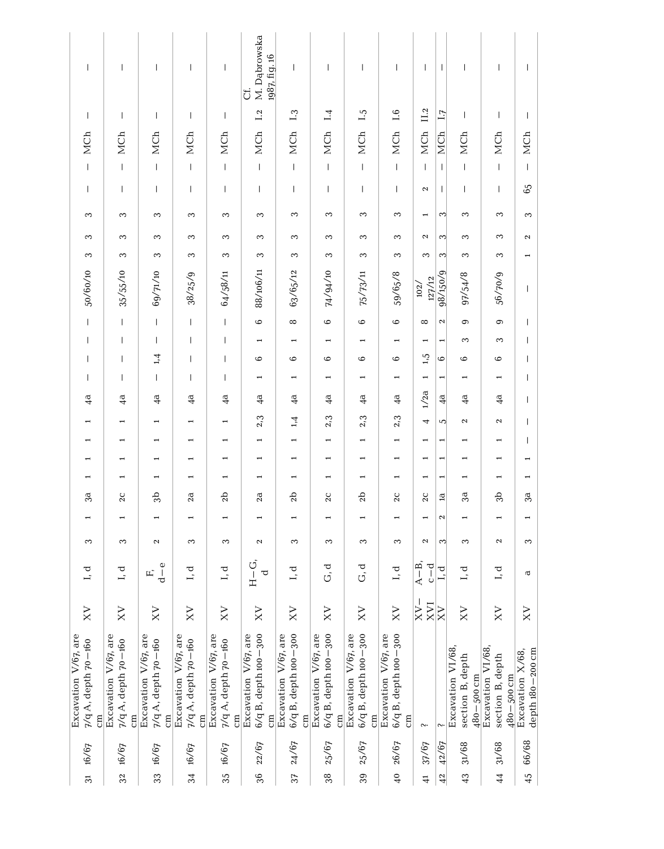| $\overline{1}$                                    | $\overline{\phantom{a}}$                          | $\overline{\phantom{a}}$                                | $\mathbf{I}$                                                | $\mathbf{I}$                                                | M. Dąbrowska<br>1987, fig. 16<br>U.                | $\overline{\phantom{a}}$                          | $\overline{1}$                                               | T                                                  | $\overline{\phantom{a}}$                                 | $\overline{1}$           | $\mathbf{I}$             | $\mathbf{I}$                                           | T                                                  | $\overline{\phantom{a}}$               |
|---------------------------------------------------|---------------------------------------------------|---------------------------------------------------------|-------------------------------------------------------------|-------------------------------------------------------------|----------------------------------------------------|---------------------------------------------------|--------------------------------------------------------------|----------------------------------------------------|----------------------------------------------------------|--------------------------|--------------------------|--------------------------------------------------------|----------------------------------------------------|----------------------------------------|
| I                                                 | $\overline{\phantom{a}}$                          | $\mathsf{I}$                                            | $\mathbf{I}$                                                | $\mathbf{I}$                                                | 1.2                                                | 1.3                                               | 1.4                                                          | $\ddot{1}$                                         | 1.6                                                      | II.2                     | $\overline{11}$          | $\mathbf{I}$                                           | $\mathbf{I}$                                       | $\overline{\phantom{a}}$               |
| MCh                                               | MCh                                               | MCh                                                     | MCh                                                         | MCh                                                         | MCh                                                | MCh                                               | MCh                                                          | MCh                                                | MCh                                                      | MCh                      | MCh                      | MCh                                                    | MCh                                                | MCh                                    |
| $\overline{1}$                                    | $\vert$                                           | $\mathbf{I}$                                            | $\begin{array}{c} \hline \end{array}$                       | $\mathbf{I}$                                                | $\overline{\phantom{a}}$                           | $\mathsf I$                                       | $\mathsf{L}$                                                 | $\mathsf I$                                        | $\vert$                                                  | $\overline{1}$           | $\mathbf{I}$             | $\mathsf I$                                            | $\mathbf{I}$                                       | $\mathbf{I}$                           |
| $\overline{\phantom{a}}$                          | $\overline{1}$                                    | $\mathbf{I}$                                            | $\mathbf{I}$                                                | $\mathbf{I}$                                                | $\overline{\phantom{a}}$                           | $\mathbf{I}$                                      | $\mathbf{I}$                                                 | $\mathbf{I}$                                       | $\mathbf{I}$                                             | $\mathbf{\Omega}$        | $\overline{\phantom{a}}$ | $\mathbf{I}$                                           | $\mathbf{I}$                                       | 65                                     |
| 3                                                 | 3                                                 | 3                                                       | 3                                                           | 3                                                           | 3                                                  | 3                                                 | 3                                                            | 3                                                  | 3                                                        | $\overline{ }$           | ∾                        | 3                                                      | 3                                                  | 3                                      |
| 3                                                 | 3                                                 | 3                                                       | 3                                                           | 3                                                           | 3                                                  | 3                                                 | 3                                                            | 3                                                  | 3                                                        | $\mathbf{\Omega}$        | ∾                        | 3                                                      | 3                                                  | $\boldsymbol{\sim}$                    |
| S                                                 | 3                                                 | 3                                                       | S                                                           | 3                                                           | S                                                  | 3                                                 | S                                                            | 3                                                  | S                                                        | 3                        | ∾                        | S                                                      | 3                                                  | $\overline{\phantom{0}}$               |
| 50/60/10                                          | 35/55/10                                          | 69/71/10                                                | 38/25/9                                                     | 64/58/11                                                    | 88/106/11                                          | 63/65/12                                          | 74/94/10                                                     | 75/73/11                                           | 59/65/8                                                  | 127/12<br>102/           | 98/150/9                 | 97/54/8                                                | 56/70/9                                            | I                                      |
| $\overline{\phantom{a}}$                          | $\begin{array}{c} \hline \end{array}$             | $\mathbf{I}$                                            | $\mathbf{I}$                                                | $\mathbf{I}$                                                | 6                                                  | $^{\circ}$                                        | $\circ$                                                      | $\circ$                                            | $\circ$                                                  | $\infty$                 | $\boldsymbol{\sim}$      | $\circ$                                                | $\circ$                                            | $\overline{1}$                         |
| $\overline{\phantom{a}}$                          | $\overline{\phantom{a}}$                          | $\overline{1}$                                          | $\mathbf{I}$                                                | $\mathbf{I}$                                                |                                                    | $\overline{\phantom{0}}$                          |                                                              | $\overline{\phantom{0}}$                           |                                                          | $\overline{ }$           | $\overline{ }$           | 3                                                      | 3                                                  | I                                      |
| T                                                 | $\overline{\phantom{a}}$                          | 1,4                                                     | $\mathbf{I}$                                                | $\mathbf{I}$                                                | 6                                                  | $\circ$                                           | $\circ$                                                      | $\circ$                                            | $\circ$                                                  | 1,5                      | $\circ$                  | $\circ$                                                | $\circ$                                            | $\overline{1}$                         |
| $\overline{\phantom{a}}$                          | $\mathbf{I}$                                      | $\overline{1}$                                          | Т                                                           | $\mathbf{I}$                                                | $\overline{\phantom{0}}$                           | H                                                 | $\overline{\phantom{0}}$                                     | $\overline{\phantom{0}}$                           | H                                                        | $\overline{ }$           | Η                        | $\overline{\phantom{0}}$                               | $\overline{ }$                                     | I                                      |
| 4a                                                | 4 <sup>a</sup>                                    | 4 <sup>d</sup>                                          | 4 <sup>d</sup>                                              | 4 <sup>a</sup>                                              | 4 <sup>d</sup>                                     | $\frac{a}{4}$                                     | 4 <sup>d</sup>                                               | $\frac{a}{4}$                                      | 4a                                                       | 1/2a                     | 4 <sup>a</sup>           | $\frac{4}{3}$                                          | $\frac{a}{4}$                                      | $\overline{1}$                         |
|                                                   |                                                   |                                                         |                                                             | $\overline{ }$                                              | 2,3                                                | 1,4                                               | 2,3                                                          | 2,3                                                | 2,3                                                      | $\overline{\phantom{a}}$ | S                        | $\boldsymbol{\sim}$                                    | $\boldsymbol{\sim}$                                | $\overline{1}$                         |
| $\overline{\phantom{0}}$                          | $\overline{\phantom{0}}$                          | $\overline{ }$                                          | $\overline{\phantom{0}}$                                    | H                                                           | $\overline{ }$                                     | $\overline{\phantom{0}}$                          | $\overline{\phantom{0}}$                                     | $\overline{\phantom{0}}$                           | $\overline{\phantom{0}}$                                 | $\overline{\phantom{0}}$ | $\overline{\phantom{0}}$ | $\overline{\phantom{0}}$                               | $\overline{ }$                                     | I                                      |
| $\overline{ }$                                    |                                                   |                                                         |                                                             | $\overline{ }$                                              |                                                    | $\overline{\phantom{0}}$                          | $\overline{\phantom{0}}$                                     | $\overline{\phantom{0}}$                           |                                                          | $\overline{ }$           |                          |                                                        |                                                    | $\overline{\phantom{0}}$               |
| $\overline{\phantom{0}}$                          |                                                   | -                                                       |                                                             |                                                             |                                                    | $\overline{\phantom{0}}$                          | 1                                                            | $\overline{\phantom{0}}$                           |                                                          | T                        | $\overline{ }$           |                                                        | $\overline{ }$                                     | $\overline{ }$                         |
| 3a                                                | 2C                                                | 3b                                                      | 2a                                                          | 2b                                                          | 2a                                                 | 2b                                                | 2C                                                           | 2 <sub>b</sub>                                     | 2C                                                       | 2C                       | $\mathbf{a}$             | 3a                                                     | 3 <sub>b</sub>                                     | 3a                                     |
| $\overline{ }$                                    | ÷                                                 | $\overline{ }$                                          | $\overline{\phantom{0}}$                                    | $\overline{\phantom{0}}$                                    |                                                    | $\overline{\phantom{0}}$                          |                                                              | $\overline{\phantom{0}}$                           |                                                          | $\overline{\phantom{0}}$ | $\mathbf{\Omega}$        | $\overline{\phantom{0}}$                               | $\overline{ }$                                     | $\overline{\phantom{0}}$               |
| 3                                                 | 3                                                 | $\mathbf{\Omega}$                                       | 3                                                           | 3                                                           | $\boldsymbol{\sim}$                                | 3                                                 | 3                                                            | 3                                                  | 3                                                        | $\mathbf{\Omega}$        | S                        | 3                                                      | $\mathbf{\Omega}$                                  | 3                                      |
| I, d                                              | I, d                                              | $d - e$<br>ЕĎ,                                          | I, d                                                        | I, d                                                        | $H-G$<br>$\rm \sigma$                              | I, d                                              | d<br>G                                                       | d.<br>G                                            | I, d                                                     | $A-B,$                   | L, d                     | ರ<br>ī                                                 | I, d                                               | $\mathbf \sigma$                       |
| XV                                                | XV                                                | XV                                                      | XV                                                          | $_{\rm XY}$                                                 | XV                                                 | XV                                                | XV                                                           | XV                                                 | XV                                                       | L<br>$rac{X}{X}$         |                          | XV                                                     | XV                                                 | $X_{X}$                                |
| Excavation V/67, are<br>$7/q$ A, depth $70 - 160$ | Excavation V/67, are<br>7/q A, depth 70-160<br>cm | Excavation V/67, are<br>7/q A, depth 70-160<br>$\rm cm$ | Excavation V/67, are<br>7/q A, depth 70-160<br>$\epsilon$ m | Excavation V/67, are<br>7/q A, depth 70-160<br>$\epsilon$ m | Excavation V/67, are<br>6/q B, depth 100-300<br>cm | Excavation V/67, are<br>6/q B, depth 100-300<br>E | Excavation V/67, are<br>6/q B, depth 100-300<br>$\epsilon$ m | Excavation V/67, are<br>6/q B, depth 100-300<br>em | Excavation V/67, are<br>6/q B, depth 100-300<br>$\rm{m}$ | $\sim$                   |                          | Excavation V1/68<br>section B, depth<br>$480 - 500$ cm | Excavation VI/68<br>section B, depth<br>480-500 cm | depth 180 - 200 cm<br>Excavation X/68, |
| 16/67                                             | 16/67                                             | 16/67                                                   | 16/67                                                       | 16/67                                                       | 22/67                                              | 24/67                                             | 25/67                                                        | 25/67                                              | 26/67                                                    | 37/67                    | 42/67                    | 31/68                                                  | 31/68                                              | 66/68                                  |
| $\overline{3}$                                    | 32                                                | 33                                                      | 34                                                          | 35                                                          | 36                                                 | 37                                                | 38                                                           | 39                                                 | $\frac{1}{4}$                                            | $\ddot{=}$               | 42                       | 43                                                     | $\frac{4}{4}$                                      | 45                                     |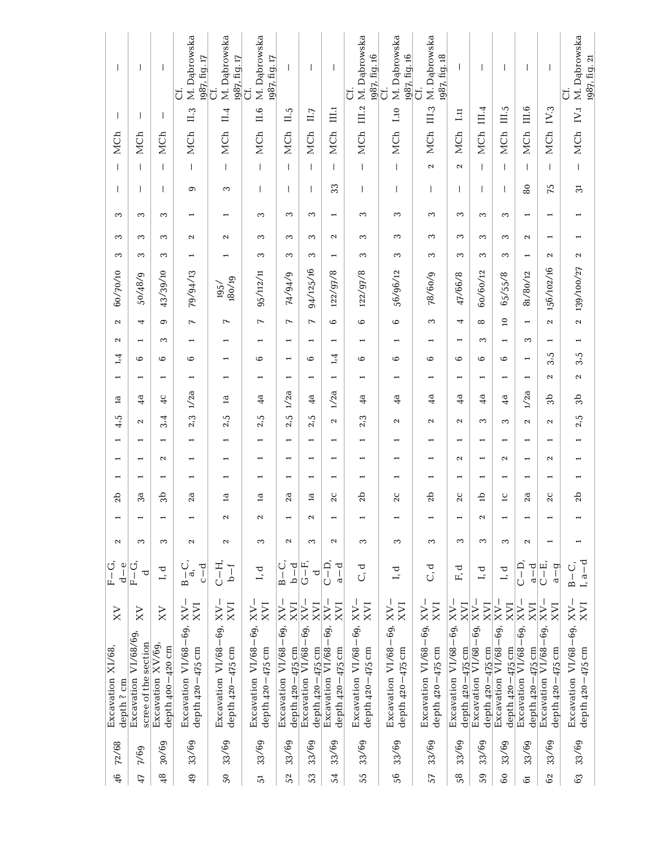| $\overline{1}$                  | I                                            | T                                     | M. Dąbrowska<br>1987, fig. 17<br>ö                   | M. Dabrowska<br>1987, fig. 17<br>J                    | M. Dąbrowska<br>1987, fig. 17<br>ت             | T                                        | $\mathbf{I}$                                 | T                                        | M. Dąbrowska<br>1987, fig. 16<br>J           | M. Dąbrowska<br>1987, fig. 16<br>ö                       | III.3 M. Dąbrowska<br>1987, fig. 18<br>ö | I                                            | $\overline{\phantom{a}}$                     | $\overline{\phantom{a}}$                 | $\overline{\phantom{a}}$                     | I                                          | IV.1 M. Dabrowska<br>1987, fig. 21<br>J  |
|---------------------------------|----------------------------------------------|---------------------------------------|------------------------------------------------------|-------------------------------------------------------|------------------------------------------------|------------------------------------------|----------------------------------------------|------------------------------------------|----------------------------------------------|----------------------------------------------------------|------------------------------------------|----------------------------------------------|----------------------------------------------|------------------------------------------|----------------------------------------------|--------------------------------------------|------------------------------------------|
| T                               | $\mathbf{I}$                                 | I                                     | II.3                                                 | $\overline{11.4}$                                     | 11.6                                           | II.5                                     | $\prod,7$                                    | III.1                                    | III.2                                        | 1.10                                                     |                                          | $\Xi$                                        | III.4                                        |                                          | III.6                                        | IV.3                                       |                                          |
| MCh                             | MCh                                          | MCh                                   | MCh                                                  | MCh                                                   | MCh                                            | MCh                                      | MCh                                          | MCh                                      | MCh                                          | MCh                                                      | MCh                                      | MCh                                          | MCh                                          | MCh III.5                                | MCh                                          | MCh                                        | MCh                                      |
| $\overline{1}$                  | I                                            | T                                     | $\vert$                                              | $\begin{array}{c} \end{array}$                        | $\overline{1}$                                 | $\overline{\phantom{a}}$                 | $\overline{1}$                               | $\overline{1}$                           | $\overline{1}$                               | $\begin{array}{c} \end{array}$                           | $\boldsymbol{\sim}$                      | $\mathbf{\Omega}$                            | $\overline{1}$                               | $\begin{array}{c} \hline \end{array}$    | I                                            | $\overline{1}$                             | $\vert$                                  |
| T                               | I                                            | T                                     | ၜ                                                    | S                                                     | T                                              | ı                                        | T                                            | 33                                       | T                                            | T                                                        | $\mathbf{I}$                             | $\mathbf{I}$                                 | I                                            | $\overline{\phantom{a}}$                 | 80                                           | 75                                         | నె                                       |
| S                               | $\sim$                                       | S                                     |                                                      |                                                       | S                                              | 3                                        | S                                            | $\overline{\phantom{0}}$                 | S                                            | S                                                        | S                                        | S                                            | S                                            | S                                        | $\overline{\phantom{0}}$                     | $\overline{ }$                             |                                          |
| 3                               | 3                                            | 3                                     | $\mathbf{\Omega}$                                    | 2                                                     | 3                                              | 3                                        | 3                                            | 2                                        | S                                            | S                                                        | 3                                        | 3                                            | 3                                            | 3                                        | $\boldsymbol{\sim}$                          | $\overline{\phantom{0}}$                   | 1                                        |
| S                               | S                                            | S                                     |                                                      |                                                       | S                                              | 3                                        | 3                                            | H                                        | S                                            | S                                                        | $\infty$                                 | S                                            | S                                            | S                                        |                                              | $\boldsymbol{\mathsf{c}}$                  | $\boldsymbol{\mathsf{N}}$                |
| 60/70/10                        | 50/48/9                                      | 43/39/10                              | 79/94/13                                             | 180/19<br>195/                                        | 95/112/11                                      | F4/94/9                                  | 94/125/16                                    | 122/97/8                                 | 122/97/8                                     | 56/96/12                                                 | 78/60/9                                  | 47/66/8                                      | 60/60/12                                     | 65/55/8                                  | 81/80/12                                     | 156/102/16                                 | 139/100/27                               |
| $\boldsymbol{\sim}$             | 4                                            | $\circ$                               | $\overline{r}$                                       | 7                                                     | $\overline{ }$                                 | $\overline{ }$                           | $\overline{ }$                               | $\circ$                                  | $\circ$                                      | $\circ$                                                  | 3                                        | 4                                            | $\infty$                                     | $\overline{a}$                           |                                              | $\mathbf{\sim}$                            | $\sim$                                   |
| $\boldsymbol{\sim}$             | -                                            | 3                                     |                                                      |                                                       |                                                |                                          |                                              | H                                        |                                              |                                                          |                                          |                                              | 3                                            | $\overline{\phantom{0}}$                 | 3                                            | $\overline{\phantom{0}}$                   | 1                                        |
| 1,4                             | 6                                            | 6                                     | 6                                                    |                                                       | 6                                              | $\overline{\phantom{0}}$                 | 6                                            | 1,4                                      | $\circ$                                      | $\circ$                                                  | $\circ$                                  | 6                                            | $\circ$                                      | 6                                        |                                              | ريا<br>ઌ                                   | 3.5                                      |
| $\overline{ }$                  |                                              |                                       |                                                      |                                                       |                                                | $\overline{\phantom{0}}$                 |                                              | $\overline{ }$                           |                                              |                                                          |                                          | $\overline{\phantom{0}}$                     | $\overline{ }$                               | $\overline{\phantom{0}}$                 |                                              | $\mathbf{\sim}$                            | 2                                        |
| $\overline{a}$                  | 4 <sup>d</sup>                               | 4 <sup>C</sup>                        | 1/2a                                                 | $\mathbf{\overline{a}}$                               | 4 <sup>d</sup>                                 | 1/2a                                     | 4 <sup>d</sup>                               | 1/2a                                     | 4a                                           | 4a                                                       | $\frac{a}{4}$                            | $\frac{a}{4}$                                | 4 <sup>d</sup>                               | 4 <sup>d</sup>                           | 1/2a                                         | 3b                                         | Эb                                       |
| 4.5                             | 2                                            | 3.4                                   | 2,3                                                  | 2,5                                                   | 2,5                                            | 2.5                                      | $\mathbf{C}$<br>$\tilde{\mathcal{L}}$        | 2                                        | 2.3                                          | $\mathbf{\Omega}$                                        | $\boldsymbol{\sim}$                      | 2                                            | S                                            | S                                        | $\boldsymbol{\sim}$                          | $\boldsymbol{\sim}$                        | 2,5                                      |
| $\overline{\phantom{0}}$        |                                              | $\blacksquare$                        | ÷                                                    |                                                       |                                                | $\overline{\phantom{0}}$                 | ٠                                            | $\overline{\phantom{0}}$                 |                                              |                                                          |                                          |                                              | $\overline{\phantom{0}}$                     | $\overline{\phantom{0}}$                 |                                              | ÷                                          | $\overline{\phantom{0}}$                 |
| $\overline{\phantom{0}}$        |                                              | $\boldsymbol{\sim}$                   |                                                      |                                                       | $\overline{\phantom{0}}$                       | $\overline{\phantom{0}}$                 | -                                            | $\overline{\phantom{0}}$                 |                                              | $\overline{\phantom{0}}$                                 |                                          | 2                                            | ٠                                            | $\mathbf{\Omega}$                        |                                              | $\mathbf{\sim}$                            | $\overline{\phantom{0}}$                 |
| $\overline{\phantom{0}}$        |                                              |                                       |                                                      |                                                       |                                                | 2a                                       |                                              | $\overline{\phantom{0}}$                 |                                              | ٠                                                        |                                          |                                              |                                              | $\overline{\phantom{0}}$                 |                                              |                                            |                                          |
| 2b                              | 3a                                           | 9p                                    | 2a                                                   | ₽                                                     | $\mathbf{a}$                                   |                                          | $\mathbf{a}$                                 | 2C                                       | 2b                                           | 2C                                                       | 2 <sub>b</sub>                           | 2C                                           | 슴                                            | $\overline{a}$                           | $2\overline{a}$                              | 2C                                         | 2b                                       |
|                                 |                                              |                                       |                                                      | 2                                                     | $\boldsymbol{\sim}$                            |                                          | 2                                            | $\overline{\phantom{0}}$                 |                                              |                                                          |                                          |                                              | 2                                            | $\overline{\phantom{0}}$                 |                                              |                                            |                                          |
| $\boldsymbol{\sim}$             | 3                                            | 3                                     | 2                                                    | 2                                                     | 3                                              | $\mathbf{\Omega}$                        | 3                                            | 2                                        | S                                            | S                                                        | 3                                        | 3                                            | S                                            | 3                                        | $\mathbf{\Omega}$                            |                                            | 1                                        |
| $F-G,$<br>$d - e$               | $F-G$<br>ರ                                   | I, d                                  | じ。<br>B a。<br>$c-d$                                  | $C-H$ ,<br>$b - f$                                    | I, d                                           | $B - C$ ,<br>$b - d$                     | $G - F$ ,<br>ರ                               | $C-D$<br>$a-d$                           | ರ<br>$\tilde{\cup}$                          | L, d                                                     | ರ<br>Ū                                   | ರ<br>叫                                       | ರ<br>급                                       | I, d                                     | $C - D$<br>$a-d$                             | $C - E$ ,<br>$a - g$                       | $I, a-d$<br>$B - C$ ,                    |
| XV                              | XV                                           | XV                                    |                                                      | XVI                                                   | $XY-$<br>XVI                                   | $XV -$<br><b>I</b> AX                    | $XV -$<br><b>ZVI</b>                         | $-NN$<br><b>I</b> AX                     | $XV -$<br>XVI                                | XVI                                                      | $XV -$<br>XVI                            | $XV -$<br>XVI                                | $XV -$<br><b>ZVI</b>                         | $\overline{X}$<br>XVI                    | $XV -$<br><b>ZV</b>                          | $XV -$<br><b>I</b> AX                      | $\frac{1}{N}$                            |
| Excavation XI/68,<br>depth ? cm | Excavation VI/68/69,<br>scree of the section | Excavation XV/69,<br>depth 400-420 cm | Excavation $VI/68-69$ , $XV-depth$ 420 –475 cm $XVI$ | Excavation $VI/68-69$ , $XV-$<br>depth $420 - 475$ cm | Excavation $VI/68-69$ ,<br>depth 420 $-475$ cm | Excavation VI/68-69,<br>depth 420-475 cm | Excavation VI/68-69,<br>depth $420 - 475$ cm | Excavation VI/68-69,<br>depth 420-475 cm | Excavation VI/68-69,<br>depth $420 - 475$ cm | Excavation $VI/68 - 69$ , $XV -$<br>depth $420 - 475$ cm | Excavation VI/68-69,<br>depth 420-475 cm | Excavation VI/68-69,<br>depth $420 - 475$ cm | Excavation VI/68-69,<br>depth $420 - 475$ cm | Excavation VI/68-69,<br>depth 420-475 cm | Excavation VI/68-69,<br>depth $420 - 475$ cm | Excavation VI/68-69,<br>depth 420 - 475 cm | Excavation VI/68–69,<br>depth 420–475 cm |
|                                 |                                              |                                       |                                                      |                                                       |                                                |                                          |                                              |                                          |                                              |                                                          |                                          |                                              |                                              |                                          |                                              |                                            |                                          |
| 72/68                           | 7/69                                         | 30/69                                 | 33/69                                                | 33/69                                                 | 33/69                                          | 33/69                                    | 33/69                                        | 33/69                                    | 33/69                                        | 33/69                                                    | 33/69                                    | 33/69                                        | 33/69                                        | 33/69                                    | 33/69                                        | 33/69                                      | 33/69                                    |
| $\frac{6}{4}$                   | 47                                           | 48                                    | 49                                                   | 50                                                    | 51                                             | 52                                       | 53                                           | $\sqrt{2}$                               | 55                                           | 56                                                       | 57                                       | $58\,$                                       | 59                                           | $\mathbb{S}^0$                           | 5                                            | 62                                         | 63                                       |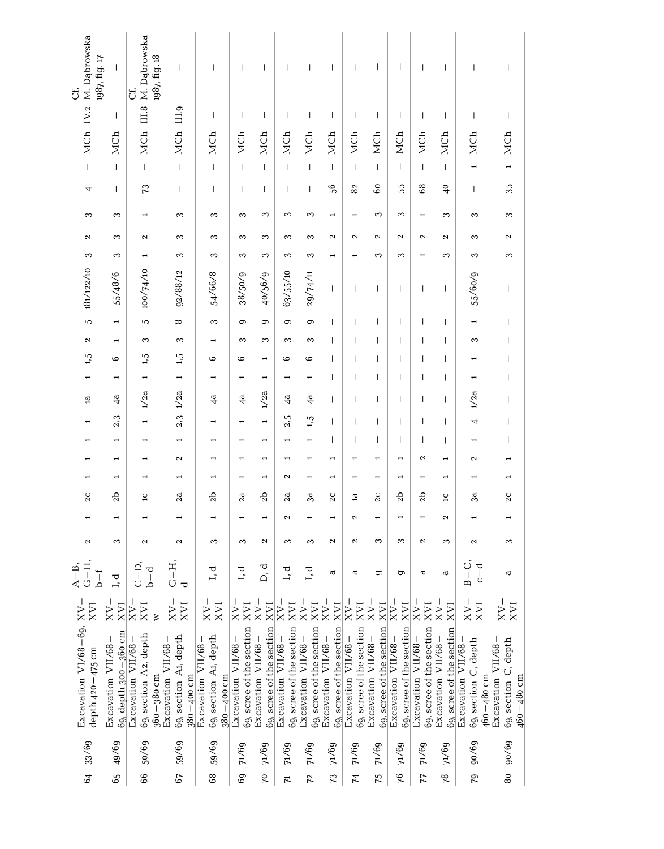| - MCh IV.2 M. Dąbrowska<br>1987, fig. 17<br>J            | $\overline{1}$                            | MCh III.8 M. Dabrowska<br>1987, fig. 18<br>ð              | $\begin{array}{c} \rule{0pt}{2.5ex} \rule{0pt}{2.5ex} \rule{0pt}{2.5ex} \rule{0pt}{2.5ex} \rule{0pt}{2.5ex} \rule{0pt}{2.5ex} \rule{0pt}{2.5ex} \rule{0pt}{2.5ex} \rule{0pt}{2.5ex} \rule{0pt}{2.5ex} \rule{0pt}{2.5ex} \rule{0pt}{2.5ex} \rule{0pt}{2.5ex} \rule{0pt}{2.5ex} \rule{0pt}{2.5ex} \rule{0pt}{2.5ex} \rule{0pt}{2.5ex} \rule{0pt}{2.5ex} \rule{0pt}{2.5ex} \rule{0$ | $\overline{\phantom{a}}$                                      | $\mathsf I$                                    | $\overline{\phantom{a}}$                       | $\overline{1}$                                 | $\begin{array}{c} \end{array}$                 | $\begin{array}{c} \end{array}$                 | $\overline{\phantom{a}}$                       | $\overline{\phantom{a}}$                       | $\overline{1}$                                 | $\begin{array}{c} \hline \end{array}$                       | $\begin{array}{c} \end{array}$                     | $\begin{array}{c} \end{array}$                               | $\begin{array}{c} \rule{0pt}{2.5ex} \rule{0pt}{2.5ex} \rule{0pt}{2.5ex} \rule{0pt}{2.5ex} \rule{0pt}{2.5ex} \rule{0pt}{2.5ex} \rule{0pt}{2.5ex} \rule{0pt}{2.5ex} \rule{0pt}{2.5ex} \rule{0pt}{2.5ex} \rule{0pt}{2.5ex} \rule{0pt}{2.5ex} \rule{0pt}{2.5ex} \rule{0pt}{2.5ex} \rule{0pt}{2.5ex} \rule{0pt}{2.5ex} \rule{0pt}{2.5ex} \rule{0pt}{2.5ex} \rule{0pt}{2.5ex} \rule{0$ |
|----------------------------------------------------------|-------------------------------------------|-----------------------------------------------------------|----------------------------------------------------------------------------------------------------------------------------------------------------------------------------------------------------------------------------------------------------------------------------------------------------------------------------------------------------------------------------------|---------------------------------------------------------------|------------------------------------------------|------------------------------------------------|------------------------------------------------|------------------------------------------------|------------------------------------------------|------------------------------------------------|------------------------------------------------|------------------------------------------------|-------------------------------------------------------------|----------------------------------------------------|--------------------------------------------------------------|----------------------------------------------------------------------------------------------------------------------------------------------------------------------------------------------------------------------------------------------------------------------------------------------------------------------------------------------------------------------------------|
|                                                          | $\overline{\phantom{a}}$                  |                                                           |                                                                                                                                                                                                                                                                                                                                                                                  | $\overline{\phantom{a}}$                                      | $\overline{\phantom{a}}$                       | $\overline{\phantom{a}}$                       | T                                              | $\overline{\phantom{a}}$                       | $\begin{array}{c} \hline \end{array}$          | $\overline{\phantom{a}}$                       | $\mathbf{I}$                                   | $\overline{\phantom{a}}$                       | $\overline{\phantom{a}}$                                    | $\overline{\phantom{a}}$                           | $\overline{\phantom{a}}$                                     | $\overline{\phantom{a}}$                                                                                                                                                                                                                                                                                                                                                         |
|                                                          | MCh                                       |                                                           | MCh III.9                                                                                                                                                                                                                                                                                                                                                                        | MCh                                                           | MCh                                            | MCh                                            | MCh                                            | MCh                                            | MCh                                            | MCh                                            | MCh                                            | MCh                                            | MCh                                                         | MCh                                                | MCh                                                          | MCh                                                                                                                                                                                                                                                                                                                                                                              |
|                                                          | $\overline{1}$                            | $\overline{1}$                                            | $\overline{1}$                                                                                                                                                                                                                                                                                                                                                                   | $\overline{1}$                                                | $\overline{\phantom{a}}$                       | $\overline{1}$                                 | $\overline{1}$                                 | $\overline{1}$                                 | $\overline{1}$                                 | $\overline{1}$                                 | $\overline{1}$                                 | $\begin{array}{c} \hline \end{array}$          | $\overline{1}$                                              | $\overline{1}$                                     | $\overline{a}$                                               |                                                                                                                                                                                                                                                                                                                                                                                  |
| 4                                                        | $\overline{\phantom{a}}$                  | 73                                                        | $\begin{array}{c} \rule{0pt}{2.5ex} \rule{0pt}{2.5ex} \rule{0pt}{2.5ex} \rule{0pt}{2.5ex} \rule{0pt}{2.5ex} \rule{0pt}{2.5ex} \rule{0pt}{2.5ex} \rule{0pt}{2.5ex} \rule{0pt}{2.5ex} \rule{0pt}{2.5ex} \rule{0pt}{2.5ex} \rule{0pt}{2.5ex} \rule{0pt}{2.5ex} \rule{0pt}{2.5ex} \rule{0pt}{2.5ex} \rule{0pt}{2.5ex} \rule{0pt}{2.5ex} \rule{0pt}{2.5ex} \rule{0pt}{2.5ex} \rule{0$ | $\overline{\phantom{a}}$                                      | $\begin{array}{c} \end{array}$                 | $\overline{\phantom{a}}$                       | T                                              | $\overline{\phantom{a}}$                       | 56                                             | 82                                             | 60                                             | 55                                             | 68                                                          | $\frac{6}{5}$                                      | $\overline{\phantom{a}}$                                     | 35                                                                                                                                                                                                                                                                                                                                                                               |
| 3                                                        | 3                                         |                                                           | 3                                                                                                                                                                                                                                                                                                                                                                                | 3                                                             | 3                                              | 3                                              | 3                                              | 3                                              | $\overline{\phantom{0}}$                       | $\overline{\phantom{0}}$                       | 3                                              | 3                                              | $\overline{\phantom{0}}$                                    | 3                                                  | 3                                                            | 3                                                                                                                                                                                                                                                                                                                                                                                |
| 2                                                        | 3                                         | $\mathbf{\Omega}$                                         | S                                                                                                                                                                                                                                                                                                                                                                                | S                                                             | 3                                              | 3                                              | 3                                              | 3                                              | $\mathbf{\sim}$                                | 2                                              | $\sim$                                         | $\sim$                                         | $\mathbf{\Omega}$                                           | 2                                                  | 3                                                            | 2                                                                                                                                                                                                                                                                                                                                                                                |
| S                                                        | 3                                         |                                                           | S                                                                                                                                                                                                                                                                                                                                                                                | S                                                             | 3                                              | 3                                              | S                                              | 3                                              |                                                |                                                | 3                                              | 3                                              |                                                             | 3                                                  | 3                                                            | S                                                                                                                                                                                                                                                                                                                                                                                |
| 181/122/10                                               | 55/48/6                                   | 100/74/10                                                 | 92/88/12                                                                                                                                                                                                                                                                                                                                                                         | $54/66/8$                                                     | 38/50/9                                        | 40/56/9                                        | 63/55/10                                       | 29/74/11                                       | $\overline{1}$                                 | $\overline{1}$                                 | $\begin{array}{c} \end{array}$                 | $\overline{1}$                                 | $\overline{\phantom{a}}$                                    | $\overline{\phantom{a}}$                           | 55/60/9                                                      | $\begin{array}{c} \rule{0pt}{2.5ex} \rule{0pt}{2.5ex} \rule{0pt}{2.5ex} \rule{0pt}{2.5ex} \rule{0pt}{2.5ex} \rule{0pt}{2.5ex} \rule{0pt}{2.5ex} \rule{0pt}{2.5ex} \rule{0pt}{2.5ex} \rule{0pt}{2.5ex} \rule{0pt}{2.5ex} \rule{0pt}{2.5ex} \rule{0pt}{2.5ex} \rule{0pt}{2.5ex} \rule{0pt}{2.5ex} \rule{0pt}{2.5ex} \rule{0pt}{2.5ex} \rule{0pt}{2.5ex} \rule{0pt}{2.5ex} \rule{0$ |
| $\sigma$                                                 | $\overline{ }$                            | $\overline{c}$                                            | $\infty$                                                                                                                                                                                                                                                                                                                                                                         | 3                                                             | 9                                              | $\sigma$                                       | 0                                              | ග                                              | $\overline{1}$                                 | I                                              | $\overline{1}$                                 | $\overline{1}$                                 | I                                                           | T                                                  | $\overline{\phantom{0}}$                                     | $\begin{array}{c} \hline \end{array}$                                                                                                                                                                                                                                                                                                                                            |
| 2                                                        |                                           | 3                                                         | 3                                                                                                                                                                                                                                                                                                                                                                                |                                                               | $\infty$                                       | 3                                              | 3                                              | 3                                              | $\overline{1}$                                 |                                                | T                                              | $\overline{1}$                                 | I                                                           | T                                                  | 3                                                            | $\begin{array}{c} \rule{0pt}{2.5ex} \rule{0pt}{2.5ex} \rule{0pt}{2.5ex} \rule{0pt}{2.5ex} \rule{0pt}{2.5ex} \rule{0pt}{2.5ex} \rule{0pt}{2.5ex} \rule{0pt}{2.5ex} \rule{0pt}{2.5ex} \rule{0pt}{2.5ex} \rule{0pt}{2.5ex} \rule{0pt}{2.5ex} \rule{0pt}{2.5ex} \rule{0pt}{2.5ex} \rule{0pt}{2.5ex} \rule{0pt}{2.5ex} \rule{0pt}{2.5ex} \rule{0pt}{2.5ex} \rule{0pt}{2.5ex} \rule{0$ |
| 1,5                                                      | 6                                         | 1,5                                                       | 1,5                                                                                                                                                                                                                                                                                                                                                                              | 6                                                             | ی                                              |                                                | 6                                              | 6                                              | $\overline{1}$                                 | I                                              | T                                              | I                                              | I                                                           | $\overline{1}$                                     |                                                              | $\begin{array}{c} \hline \end{array}$                                                                                                                                                                                                                                                                                                                                            |
|                                                          |                                           |                                                           | $\overline{ }$                                                                                                                                                                                                                                                                                                                                                                   |                                                               | $\overline{\phantom{0}}$                       | $\overline{ }$                                 |                                                | $\overline{ }$                                 | $\overline{1}$                                 | I                                              | $\overline{\phantom{a}}$                       | I                                              | $\overline{\phantom{a}}$                                    | I                                                  |                                                              | $\begin{array}{c} \hline \end{array}$                                                                                                                                                                                                                                                                                                                                            |
| $\mathbf{\overline{a}}$                                  | 4a                                        | 1/2a                                                      | $2,3$ $1/2a$                                                                                                                                                                                                                                                                                                                                                                     | $\overline{4}$                                                | 4 <sup>d</sup>                                 | 1/2a                                           | 4 <sup>d</sup>                                 | $4\overline{a}$                                | $\overline{1}$                                 | I                                              | $\overline{\phantom{a}}$                       | $\overline{1}$                                 | $\overline{\phantom{a}}$                                    | $\overline{\phantom{a}}$                           | 1/2a                                                         | $\begin{array}{c} \rule{0pt}{2.5ex} \rule{0pt}{2.5ex} \rule{0pt}{2.5ex} \rule{0pt}{2.5ex} \rule{0pt}{2.5ex} \rule{0pt}{2.5ex} \rule{0pt}{2.5ex} \rule{0pt}{2.5ex} \rule{0pt}{2.5ex} \rule{0pt}{2.5ex} \rule{0pt}{2.5ex} \rule{0pt}{2.5ex} \rule{0pt}{2.5ex} \rule{0pt}{2.5ex} \rule{0pt}{2.5ex} \rule{0pt}{2.5ex} \rule{0pt}{2.5ex} \rule{0pt}{2.5ex} \rule{0pt}{2.5ex} \rule{0$ |
| ⊣                                                        | 2,3                                       | $\overline{\phantom{0}}$                                  |                                                                                                                                                                                                                                                                                                                                                                                  | $\overline{\phantom{0}}$                                      | $\overline{\phantom{0}}$                       | $\overline{ }$                                 | 2.5                                            | 1,5                                            | $\overline{1}$                                 | $\mathsf{I}$                                   | $\overline{1}$                                 | I                                              | I                                                           | $\overline{1}$                                     | 4                                                            | $\begin{array}{c} \rule{0pt}{2.5ex} \rule{0pt}{2.5ex} \rule{0pt}{2.5ex} \rule{0pt}{2.5ex} \rule{0pt}{2.5ex} \rule{0pt}{2.5ex} \rule{0pt}{2.5ex} \rule{0pt}{2.5ex} \rule{0pt}{2.5ex} \rule{0pt}{2.5ex} \rule{0pt}{2.5ex} \rule{0pt}{2.5ex} \rule{0pt}{2.5ex} \rule{0pt}{2.5ex} \rule{0pt}{2.5ex} \rule{0pt}{2.5ex} \rule{0pt}{2.5ex} \rule{0pt}{2.5ex} \rule{0pt}{2.5ex} \rule{0$ |
|                                                          |                                           |                                                           |                                                                                                                                                                                                                                                                                                                                                                                  |                                                               | $\overline{\phantom{0}}$                       |                                                |                                                |                                                | $\overline{1}$                                 | I                                              | $\overline{\phantom{a}}$                       | I                                              | T                                                           | T                                                  |                                                              | I                                                                                                                                                                                                                                                                                                                                                                                |
|                                                          | $\overline{\phantom{0}}$                  |                                                           | $\mathbf{\Omega}$                                                                                                                                                                                                                                                                                                                                                                | $\overline{ }$                                                | $\overline{\phantom{0}}$                       |                                                |                                                | $\overline{ }$                                 |                                                |                                                | $\overline{ }$                                 |                                                | $\mathbf{\Omega}$                                           | $\overline{ }$                                     | 2                                                            |                                                                                                                                                                                                                                                                                                                                                                                  |
| $\blacksquare$                                           |                                           |                                                           |                                                                                                                                                                                                                                                                                                                                                                                  | $\overline{\phantom{0}}$                                      | $\overline{ }$                                 | -                                              | 2                                              | $\overline{ }$                                 |                                                |                                                | $\overline{\phantom{0}}$                       | $\overline{\phantom{0}}$                       | $\overline{\phantom{0}}$                                    | $\overline{ }$                                     | $\overline{\phantom{0}}$                                     | H                                                                                                                                                                                                                                                                                                                                                                                |
| 2C                                                       | 2 <sub>b</sub>                            | $\overline{1}$                                            | 2a                                                                                                                                                                                                                                                                                                                                                                               | 2b                                                            | 2a                                             | 2b                                             | 2a                                             | 3a                                             | 2C                                             | $\overline{a}$                                 | 2C                                             | 2b                                             | 2 <sub>b</sub>                                              | $\overline{1}$                                     | 3ā                                                           | 2C                                                                                                                                                                                                                                                                                                                                                                               |
|                                                          |                                           |                                                           |                                                                                                                                                                                                                                                                                                                                                                                  |                                                               | -                                              | -                                              | 2                                              | $\overline{ }$                                 |                                                | 2                                              | $\overline{\phantom{0}}$                       | $\overline{\phantom{0}}$                       | $\overline{ }$                                              | $\mathbf{\Omega}$                                  |                                                              |                                                                                                                                                                                                                                                                                                                                                                                  |
| 2                                                        | 3                                         | 2                                                         | $\mathbf{\Omega}$                                                                                                                                                                                                                                                                                                                                                                | 3                                                             | 3                                              | $\mathbf{\Omega}$                              | 3                                              | 3                                              | $\boldsymbol{\sim}$                            | 2                                              | 3                                              | 3                                              | $\mathbf{\Omega}$                                           | 3                                                  | $\mathbf{\Omega}$                                            | 3                                                                                                                                                                                                                                                                                                                                                                                |
| $G-H$ ,<br>$A - B$ ,<br>$b - f$                          | I, d                                      | $C - D$<br>$D - d$                                        | $G-H$ ,<br>$\overline{\mathtt{c}}$                                                                                                                                                                                                                                                                                                                                               | I, d                                                          | I, d                                           | D, d                                           | I, d                                           | L, d                                           | đ                                              | đ                                              | έ                                              | έ                                              | đ                                                           | đ                                                  | $B-C$ ,<br>$c-d$                                             | đ                                                                                                                                                                                                                                                                                                                                                                                |
| XVI                                                      | $XV -$<br>$\overline{\rm v}$              | $\leq$<br>$\overline{\rm v}$                              | $-25$<br>$\overline{\rm v}$                                                                                                                                                                                                                                                                                                                                                      | $XV -$<br>$\overline{\rm v}$                                  | $XY -$<br>$\overline{\rm W}$                   | $\overline{\mathsf{C}}$<br>$\overline{\rm v}$  | $-XX$<br>$\overline{\rm W}$                    | $\sim$<br>$\overline{\rm v}$                   | $\overline{V}$<br>$\overline{\rm v}$           | $-AXX$<br>$\overline{\rm W}$                   | $XV -$<br><b>I</b> N                           | $\leq$<br>$\overline{\rm v}$                   | $XV -$<br>$\overline{\rm v}$                                | $XV -$                                             | $XV -$<br>XVI                                                | $\frac{N}{N}$                                                                                                                                                                                                                                                                                                                                                                    |
| Excavation $VI/68 - 69$ , $XV -$<br>depth $420 - 475$ cm | 69, depth 300-360 cm<br>Excavation VII/68 | 69, section A2, depth<br>Excavation VII/68-<br>360-380 cm | 69, section A1, depth<br>Excavation VII/68-<br>$380 - 400$ cm                                                                                                                                                                                                                                                                                                                    | 69, section A1, depth<br>Excavation VII/68-<br>$380 - 400$ cm | 69, scree of the section<br>Excavation VII/68- | 69, scree of the section<br>Excavation VII/68- | 69, scree of the section<br>Excavation VII/68- | 69, scree of the section<br>Excavation VII/68- | 69, scree of the section<br>Excavation VII/68- | 69, scree of the section<br>Excavation VII/68- | 69, scree of the section<br>Excavation VII/68- | 69, scree of the section<br>Excavation VII/68- | $69$ , scree of the section $\lambda$<br>Excavation VII/68- | 69, scree of the section XVI<br>Excavation VII/68- | Excavation VII/68-<br>69, section C, depth<br>$460 - 480$ cm | Excavation VII/68-<br>69, section C, depth<br>$460 - 480$ cm                                                                                                                                                                                                                                                                                                                     |
| 33/69                                                    | 49/69                                     | 50/69                                                     | 59/69                                                                                                                                                                                                                                                                                                                                                                            | 59/69                                                         | $71/69$                                        | 71/69                                          | $71/69$                                        | $71/69$                                        | $71/69$                                        | 71/69                                          | $71/69$                                        | 71/69                                          | 71/69                                                       | $71/69$                                            | 90/69                                                        | 90/69                                                                                                                                                                                                                                                                                                                                                                            |
| $\mathfrak{p}_9$                                         | 65                                        | 66                                                        | 67                                                                                                                                                                                                                                                                                                                                                                               | 68                                                            | $60\,$                                         | 70                                             | $\overline{r}$                                 | $72$                                           | $\mathcal{F}$                                  | 44                                             | 75                                             | 76                                             | 77                                                          | $78$                                               | 79                                                           | 80                                                                                                                                                                                                                                                                                                                                                                               |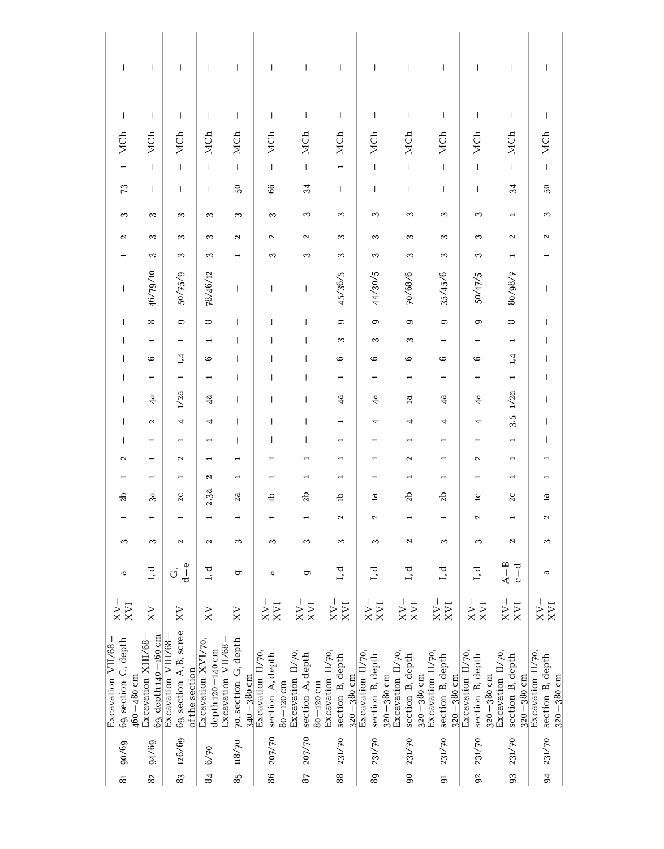| $\overline{\phantom{a}}$                                     | $\overline{\phantom{a}}$                    | $\overline{\phantom{a}}$                                        | $\overline{\phantom{a}}$               | $\overline{1}$                                                                                                                                                                                                                                                                                                                                                                                                 | $\overline{\phantom{a}}$                               | $\overline{\phantom{a}}$                               | I                                                      | $\mathbf{I}$                                           | $\overline{1}$                                          | $\overline{\phantom{a}}$                                | $\mathbf{I}$                                            | I                                                       | I                                                       |
|--------------------------------------------------------------|---------------------------------------------|-----------------------------------------------------------------|----------------------------------------|----------------------------------------------------------------------------------------------------------------------------------------------------------------------------------------------------------------------------------------------------------------------------------------------------------------------------------------------------------------------------------------------------------------|--------------------------------------------------------|--------------------------------------------------------|--------------------------------------------------------|--------------------------------------------------------|---------------------------------------------------------|---------------------------------------------------------|---------------------------------------------------------|---------------------------------------------------------|---------------------------------------------------------|
| $\mathbf{I}$                                                 | $\mathbf{I}$                                | $\begin{array}{c} \end{array}$                                  | $\mathbf{I}$                           | $\mathsf{I}$                                                                                                                                                                                                                                                                                                                                                                                                   | I                                                      | $\overline{\phantom{a}}$                               | $\overline{\phantom{a}}$                               | $\mathsf{I}$                                           | $\overline{\phantom{a}}$                                | $\mathsf I$                                             | $\mathsf{I}$                                            | $\overline{\phantom{a}}$                                | $\mathsf{I}$                                            |
| MCh                                                          | MCh                                         | MCh                                                             | MCh                                    | MCh                                                                                                                                                                                                                                                                                                                                                                                                            | MCh                                                    | MCh                                                    | MCh                                                    | MCh                                                    | MCh                                                     | MCh                                                     | MCh                                                     | MCh                                                     | MCh                                                     |
| $\overline{a}$                                               | $\overline{1}$                              | $\mathsf I$                                                     | $\mathbf{I}$                           | $\begin{array}{c} \end{array}$                                                                                                                                                                                                                                                                                                                                                                                 | $\begin{array}{c} \hline \end{array}$                  | $\mathbf{I}$                                           | $\overline{\phantom{0}}$                               | $\mathbb{I}$                                           | $\overline{1}$                                          | $\mathbf{I}$                                            | $\mathsf I$                                             | $\begin{array}{c} \end{array}$                          | $\mathsf I$                                             |
| $\mathcal{F}3$                                               | $\mathbf{I}$                                | $\mathbf{I}$                                                    | $\mathbf{I}$                           | $50\,$                                                                                                                                                                                                                                                                                                                                                                                                         | 66                                                     | $\approx$                                              | T                                                      | $\begin{array}{c} \hline \end{array}$                  | $\overline{\phantom{a}}$                                | $\mathbf{I}$                                            | $\mathbf{I}$                                            | 34                                                      | $50\,$                                                  |
| 3                                                            | 3                                           | 3                                                               | 3                                      | 3                                                                                                                                                                                                                                                                                                                                                                                                              | S                                                      | 3                                                      | 3                                                      | 3                                                      | 3                                                       | S                                                       | 3                                                       | $\overline{ }$                                          | S                                                       |
| $\boldsymbol{\sim}$                                          | 3                                           | S                                                               | 3                                      | 2                                                                                                                                                                                                                                                                                                                                                                                                              | $\boldsymbol{\sim}$                                    | $\boldsymbol{\sim}$                                    | 3                                                      | 3                                                      | S                                                       | S                                                       | 3                                                       | 2                                                       | $\boldsymbol{\sim}$                                     |
|                                                              | 3                                           | S                                                               | S                                      |                                                                                                                                                                                                                                                                                                                                                                                                                | 3                                                      | 3                                                      | S                                                      | S                                                      | 3                                                       | S                                                       | S                                                       |                                                         | ⊣                                                       |
| $\begin{array}{c} \end{array}$                               | 46/79/10                                    | 50/75/9                                                         | 78/46/12                               | $\begin{array}{c} \rule{0pt}{2ex} \rule{0pt}{2ex} \rule{0pt}{2ex} \rule{0pt}{2ex} \rule{0pt}{2ex} \rule{0pt}{2ex} \rule{0pt}{2ex} \rule{0pt}{2ex} \rule{0pt}{2ex} \rule{0pt}{2ex} \rule{0pt}{2ex} \rule{0pt}{2ex} \rule{0pt}{2ex} \rule{0pt}{2ex} \rule{0pt}{2ex} \rule{0pt}{2ex} \rule{0pt}{2ex} \rule{0pt}{2ex} \rule{0pt}{2ex} \rule{0pt}{2ex} \rule{0pt}{2ex} \rule{0pt}{2ex} \rule{0pt}{2ex} \rule{0pt}{$ | I                                                      | T                                                      | 45/36/5                                                | 44/30/5                                                | 70/68/6                                                 | 35/45/6                                                 | 50/47/5                                                 | 80/98/7                                                 | I                                                       |
| $\begin{array}{c} \hline \end{array}$                        | $\infty$                                    | 0                                                               | $\infty$                               | $\begin{array}{c} \end{array}$                                                                                                                                                                                                                                                                                                                                                                                 | $\overline{1}$                                         | $\overline{1}$                                         | $\circ$                                                | $\circ$                                                | $\circ$                                                 | 0                                                       | $\circ$                                                 | $\infty$                                                | $\overline{\phantom{a}}$                                |
| $\overline{1}$                                               | $\overline{ }$                              | $\overline{\phantom{0}}$                                        | $\overline{\phantom{0}}$               | T                                                                                                                                                                                                                                                                                                                                                                                                              | $\overline{1}$                                         | $\overline{1}$                                         | S                                                      | 3                                                      | 3                                                       |                                                         |                                                         |                                                         | $\overline{\phantom{a}}$                                |
| $\overline{1}$                                               | 6                                           | 1,4                                                             | $\circ$                                | $\overline{\phantom{a}}$                                                                                                                                                                                                                                                                                                                                                                                       | $\overline{\phantom{a}}$                               | $\overline{1}$                                         | 6                                                      | $\circ$                                                | 6                                                       | $\circ$                                                 | $\circ$                                                 | 1,4                                                     | $\overline{\phantom{a}}$                                |
| $\overline{1}$                                               | Η                                           |                                                                 |                                        | $\overline{\phantom{a}}$                                                                                                                                                                                                                                                                                                                                                                                       | $\overline{1}$                                         | $\overline{1}$                                         |                                                        | $\overline{\phantom{0}}$                               |                                                         |                                                         |                                                         |                                                         | T                                                       |
| $\overline{\phantom{a}}$                                     | $\frac{a}{4}$                               | 1/2a                                                            | $\frac{4}{3}$                          | $\overline{\phantom{a}}$                                                                                                                                                                                                                                                                                                                                                                                       | $\overline{\phantom{a}}$                               | $\overline{\phantom{a}}$                               | $\frac{a}{4}$                                          | $\frac{a}{4}$                                          | $\mathbf{\overline{a}}$                                 | $\overline{4}$                                          | $\frac{4}{9}$                                           | $3.5 \frac{1}{2a}$                                      | I                                                       |
| $\overline{\phantom{a}}$                                     | $\boldsymbol{\sim}$                         | 4                                                               | 4                                      | $\overline{\phantom{a}}$                                                                                                                                                                                                                                                                                                                                                                                       | $\overline{\phantom{a}}$                               | $\overline{1}$                                         |                                                        | 4                                                      | 4                                                       | 4                                                       | 4                                                       |                                                         | T                                                       |
| $\overline{1}$                                               | $\overline{\phantom{0}}$                    | $\overline{\phantom{0}}$                                        | $\overline{\phantom{0}}$               | $\mathbf{I}$                                                                                                                                                                                                                                                                                                                                                                                                   | $\overline{\phantom{a}}$                               | T                                                      | $\overline{\phantom{0}}$                               | $\overline{\phantom{0}}$                               |                                                         |                                                         | $\overline{\phantom{0}}$                                | $\overline{\phantom{0}}$                                | T                                                       |
| $\boldsymbol{\sim}$                                          | $\overline{\phantom{0}}$                    | 2                                                               | $\overline{\phantom{0}}$               |                                                                                                                                                                                                                                                                                                                                                                                                                |                                                        |                                                        | $\overline{\phantom{0}}$                               | $\overline{ }$                                         | $\boldsymbol{\sim}$                                     | 1                                                       | $\boldsymbol{\sim}$                                     | $\overline{\phantom{0}}$                                |                                                         |
|                                                              |                                             |                                                                 | $\mathbf{\Omega}$                      |                                                                                                                                                                                                                                                                                                                                                                                                                |                                                        |                                                        |                                                        |                                                        |                                                         |                                                         |                                                         |                                                         |                                                         |
| 2b                                                           | 3a                                          | $2\mathrm{C}$                                                   | 2,3a                                   | 2a                                                                                                                                                                                                                                                                                                                                                                                                             | $\overline{a}$                                         | 2 <sub>b</sub>                                         | đ                                                      | $\mathbf{a}$                                           | 2 <sub>b</sub>                                          | 2 <sub>b</sub>                                          | $\Xi$                                                   | 2C                                                      | $\mathbf{a}$                                            |
|                                                              |                                             |                                                                 | $\overline{\phantom{0}}$               |                                                                                                                                                                                                                                                                                                                                                                                                                |                                                        |                                                        | 2                                                      | $\boldsymbol{\sim}$                                    |                                                         |                                                         | $\boldsymbol{\sim}$                                     |                                                         | $\boldsymbol{\mathsf{c}}$                               |
| 3                                                            | 3                                           | Z                                                               | $\boldsymbol{\sim}$                    | 3                                                                                                                                                                                                                                                                                                                                                                                                              | 3                                                      | 3                                                      | S                                                      | 3                                                      | $\mathbf{\Omega}$                                       | 3                                                       | 3                                                       | 2                                                       | S                                                       |
| $\mathbf{\overline{c}}$                                      | I, d                                        | $\sigma \frac{1}{d}$                                            | I, d                                   | g                                                                                                                                                                                                                                                                                                                                                                                                              | đ                                                      | ס                                                      | L, d                                                   | I, d                                                   | I, d                                                    | I, d                                                    | I, d                                                    | $A-B$<br>c-d                                            | $\, \sigma$                                             |
| $_{\rm XVI}^{\rm XX-}$                                       | $_{\rm XX}$                                 | $_{\rm xx}$                                                     | $_{\rm XX}$                            | $_{\rm XY}$                                                                                                                                                                                                                                                                                                                                                                                                    | $\frac{XV-}{XVI}$                                      | $_{\rm XVI}^{\rm XX-}$                                 | $\frac{\text{XV}-\text{XV}}{\text{XVI}}$               | $_{\rm XVI}^{\rm XX-}$                                 | $\frac{\rm NN^-}{\rm NN}$                               | $\frac{\rm NN^-}{\rm NN}$                               | L<br>$_{\rm XVI}^{\rm XX-}$                             | $_{\rm XVI}^{\rm XX-}$                                  | $\frac{NN}{N}$                                          |
| Excavation VII/68-<br>69, section C, depth<br>$460 - 480$ cm | Excavation XIII/68-<br>69, depth 140-160 cm | 69, section A,B, scree<br>Excavation VIII/68-<br>of the section | Excavation XVI/70,<br>depth 120-140 cm | Excavation VII/68-<br>70, section G, depth<br>$340 - 380$ cm                                                                                                                                                                                                                                                                                                                                                   | Excavation II/70,<br>section A, depth<br>$80 - 120$ cm | Excavation II/70,<br>section A, depth<br>$80 - 120$ cm | Excavation II/70<br>section B, depth<br>$320 - 380$ cm | Excavation II/70<br>section B, depth<br>$320 - 380$ cm | Excavation II/70,<br>section B, depth<br>$320 - 380$ cm | Excavation II/70,<br>section B, depth<br>$320 - 380$ cm | Excavation II/70,<br>section B, depth<br>$320 - 380$ cm | Excavation II/70,<br>section B, depth<br>$320 - 380$ cm | Excavation II/70,<br>section B, depth<br>$320 - 380$ cm |
| 90/69                                                        | 94/69                                       | 126/69                                                          | 6/70                                   | 85 118/70                                                                                                                                                                                                                                                                                                                                                                                                      | 207/70                                                 | 207/70                                                 | 231/70                                                 | 231/70                                                 | 231/70                                                  | 231/70                                                  | 231/70                                                  | 231/70                                                  | 231/70                                                  |
| $\tilde{\infty}$                                             | $\rm 82$                                    | 83                                                              | $\mathbf{g}$                           |                                                                                                                                                                                                                                                                                                                                                                                                                | 86                                                     | $\rm ^{87}$                                            | $88\,$                                                 | 89                                                     | $\overline{6}$                                          | 5                                                       | 92                                                      | 93                                                      | 94                                                      |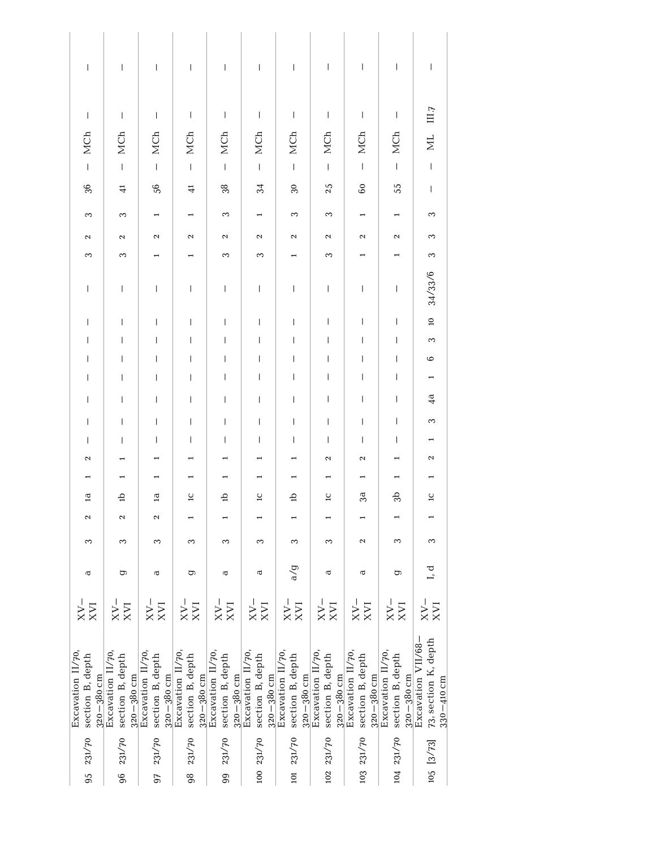| $\ $                                                    | L                                                      | $\vert$                                                 | $\mathsf I$                                                                                                                                                                                                                                                                                                                                                                      | $\begin{array}{c} \end{array}$                          | $\mathsf I$                                             | $\vert$                                                 | $\mathsf I$                                             | $\begin{array}{c} \rule{0pt}{2.5ex} \rule{0pt}{2.5ex} \rule{0pt}{2.5ex} \rule{0pt}{2.5ex} \rule{0pt}{2.5ex} \rule{0pt}{2.5ex} \rule{0pt}{2.5ex} \rule{0pt}{2.5ex} \rule{0pt}{2.5ex} \rule{0pt}{2.5ex} \rule{0pt}{2.5ex} \rule{0pt}{2.5ex} \rule{0pt}{2.5ex} \rule{0pt}{2.5ex} \rule{0pt}{2.5ex} \rule{0pt}{2.5ex} \rule{0pt}{2.5ex} \rule{0pt}{2.5ex} \rule{0pt}{2.5ex} \rule{0$                               | $\begin{array}{c} \rule{0pt}{2.5ex} \rule{0pt}{2.5ex} \rule{0pt}{2.5ex} \rule{0pt}{2.5ex} \rule{0pt}{2.5ex} \rule{0pt}{2.5ex} \rule{0pt}{2.5ex} \rule{0pt}{2.5ex} \rule{0pt}{2.5ex} \rule{0pt}{2.5ex} \rule{0pt}{2.5ex} \rule{0pt}{2.5ex} \rule{0pt}{2.5ex} \rule{0pt}{2.5ex} \rule{0pt}{2.5ex} \rule{0pt}{2.5ex} \rule{0pt}{2.5ex} \rule{0pt}{2.5ex} \rule{0pt}{2.5ex} \rule{0$ | T                                                            |
|---------------------------------------------------------|--------------------------------------------------------|---------------------------------------------------------|----------------------------------------------------------------------------------------------------------------------------------------------------------------------------------------------------------------------------------------------------------------------------------------------------------------------------------------------------------------------------------|---------------------------------------------------------|---------------------------------------------------------|---------------------------------------------------------|---------------------------------------------------------|----------------------------------------------------------------------------------------------------------------------------------------------------------------------------------------------------------------------------------------------------------------------------------------------------------------------------------------------------------------------------------------------------------------|----------------------------------------------------------------------------------------------------------------------------------------------------------------------------------------------------------------------------------------------------------------------------------------------------------------------------------------------------------------------------------|--------------------------------------------------------------|
| $\mathbf{I}$                                            | $\mathbf{I}$                                           | $\mathsf I$                                             | $\mathsf I$                                                                                                                                                                                                                                                                                                                                                                      | $\begin{array}{c} \end{array}$                          | $\mathsf I$                                             | $\mathsf I$                                             | $\boldsymbol{\mathsf{I}}$                               | $\mathsf I$                                                                                                                                                                                                                                                                                                                                                                                                    | $\mathbf{I}$                                                                                                                                                                                                                                                                                                                                                                     | III.7                                                        |
| MCh                                                     | MCh                                                    | MCh                                                     | MCh                                                                                                                                                                                                                                                                                                                                                                              | MCh                                                     | MCh                                                     | MCh                                                     | MCh                                                     | <b>MCh</b>                                                                                                                                                                                                                                                                                                                                                                                                     | MCh                                                                                                                                                                                                                                                                                                                                                                              | <b>NI</b>                                                    |
| $\overline{1}$                                          | $\mathbf{I}$                                           | $\bar{\rm I}$                                           | $\mathsf I$                                                                                                                                                                                                                                                                                                                                                                      | $\mathbf{I}$                                            | $\vert$                                                 |                                                         |                                                         | $\bar{\rm I}$                                                                                                                                                                                                                                                                                                                                                                                                  | $\vert$                                                                                                                                                                                                                                                                                                                                                                          | $\mathsf I$                                                  |
| 36                                                      | $\ddot{=}$                                             | \$                                                      | 극                                                                                                                                                                                                                                                                                                                                                                                | 38                                                      | 34                                                      | $30^{\circ}$                                            | 25                                                      | $\rm ^{\rm o}$                                                                                                                                                                                                                                                                                                                                                                                                 | 55                                                                                                                                                                                                                                                                                                                                                                               | $\vert$                                                      |
| 3                                                       | 3                                                      | $\overline{ }$                                          |                                                                                                                                                                                                                                                                                                                                                                                  | 3                                                       | $\overline{\phantom{0}}$                                | 3                                                       | 3                                                       | $\overline{\phantom{0}}$                                                                                                                                                                                                                                                                                                                                                                                       |                                                                                                                                                                                                                                                                                                                                                                                  | S                                                            |
| 2                                                       | $\boldsymbol{\sim}$                                    | $\sim$                                                  | $\mathbf{\Omega}$                                                                                                                                                                                                                                                                                                                                                                | $\boldsymbol{\sim}$                                     | 2                                                       | 2                                                       | $\sim$                                                  | 2                                                                                                                                                                                                                                                                                                                                                                                                              | 2                                                                                                                                                                                                                                                                                                                                                                                | S                                                            |
| 3                                                       | S                                                      |                                                         |                                                                                                                                                                                                                                                                                                                                                                                  | S                                                       | 3                                                       |                                                         | 3                                                       |                                                                                                                                                                                                                                                                                                                                                                                                                |                                                                                                                                                                                                                                                                                                                                                                                  | S                                                            |
| $\mathsf I$                                             | $\vert$                                                | $\bar{\rm I}$                                           | $\mathsf I$                                                                                                                                                                                                                                                                                                                                                                      | $\vert$                                                 | $\mathsf I$                                             | $\vert$                                                 | $\vert$                                                 | $\begin{array}{c} \rule{0pt}{2ex} \rule{0pt}{2ex} \rule{0pt}{2ex} \rule{0pt}{2ex} \rule{0pt}{2ex} \rule{0pt}{2ex} \rule{0pt}{2ex} \rule{0pt}{2ex} \rule{0pt}{2ex} \rule{0pt}{2ex} \rule{0pt}{2ex} \rule{0pt}{2ex} \rule{0pt}{2ex} \rule{0pt}{2ex} \rule{0pt}{2ex} \rule{0pt}{2ex} \rule{0pt}{2ex} \rule{0pt}{2ex} \rule{0pt}{2ex} \rule{0pt}{2ex} \rule{0pt}{2ex} \rule{0pt}{2ex} \rule{0pt}{2ex} \rule{0pt}{$ | $\,$ $\,$                                                                                                                                                                                                                                                                                                                                                                        | 34/33/6                                                      |
| $\overline{1}$                                          | L                                                      | $\overline{\phantom{a}}$                                | $\begin{array}{c} \rule{0pt}{2.5ex} \rule{0pt}{2.5ex} \rule{0pt}{2.5ex} \rule{0pt}{2.5ex} \rule{0pt}{2.5ex} \rule{0pt}{2.5ex} \rule{0pt}{2.5ex} \rule{0pt}{2.5ex} \rule{0pt}{2.5ex} \rule{0pt}{2.5ex} \rule{0pt}{2.5ex} \rule{0pt}{2.5ex} \rule{0pt}{2.5ex} \rule{0pt}{2.5ex} \rule{0pt}{2.5ex} \rule{0pt}{2.5ex} \rule{0pt}{2.5ex} \rule{0pt}{2.5ex} \rule{0pt}{2.5ex} \rule{0$ | $\overline{1}$                                          | $\begin{array}{c} \hline \end{array}$                   | $\overline{\phantom{a}}$                                | $\begin{array}{c} \hline \end{array}$                   | I                                                                                                                                                                                                                                                                                                                                                                                                              | $\begin{array}{c} \hline \end{array}$                                                                                                                                                                                                                                                                                                                                            | $\overline{a}$                                               |
| T                                                       | T                                                      | $\overline{1}$                                          | T                                                                                                                                                                                                                                                                                                                                                                                | $\overline{1}$                                          | L                                                       | $\overline{1}$                                          | $\overline{1}$                                          | Ť                                                                                                                                                                                                                                                                                                                                                                                                              | $\overline{1}$                                                                                                                                                                                                                                                                                                                                                                   | S                                                            |
| T                                                       | I                                                      | $\overline{\phantom{a}}$                                | T                                                                                                                                                                                                                                                                                                                                                                                | T                                                       | $\overline{\phantom{a}}$                                | $\begin{array}{c} \hline \end{array}$                   | $\overline{\phantom{a}}$                                | T                                                                                                                                                                                                                                                                                                                                                                                                              | I                                                                                                                                                                                                                                                                                                                                                                                | $\circ$                                                      |
| T                                                       | I                                                      | $\overline{\phantom{a}}$                                | I                                                                                                                                                                                                                                                                                                                                                                                | $\overline{\phantom{a}}$                                | L                                                       | L                                                       | L                                                       | T                                                                                                                                                                                                                                                                                                                                                                                                              | I                                                                                                                                                                                                                                                                                                                                                                                |                                                              |
| L                                                       | I                                                      | L                                                       | $\overline{\phantom{a}}$                                                                                                                                                                                                                                                                                                                                                         | $\overline{\phantom{a}}$                                | L                                                       | $\mathsf{I}$                                            | L                                                       | I                                                                                                                                                                                                                                                                                                                                                                                                              | $\overline{\phantom{a}}$                                                                                                                                                                                                                                                                                                                                                         | 4a                                                           |
| $\overline{1}$                                          | T                                                      | $\overline{\phantom{a}}$                                | $\overline{\phantom{a}}$                                                                                                                                                                                                                                                                                                                                                         | $\overline{1}$                                          | L                                                       | $\overline{1}$                                          | $\overline{1}$                                          | T                                                                                                                                                                                                                                                                                                                                                                                                              | $\overline{\phantom{a}}$                                                                                                                                                                                                                                                                                                                                                         | 3                                                            |
| T<br>2                                                  | I                                                      | $\overline{\phantom{a}}$                                | $\overline{\phantom{a}}$                                                                                                                                                                                                                                                                                                                                                         | $\overline{\phantom{a}}$                                | T                                                       | L                                                       | L<br>$\mathbf{\Omega}$                                  | T<br>$\mathbf{\Omega}$                                                                                                                                                                                                                                                                                                                                                                                         | $\mathbf{I}$                                                                                                                                                                                                                                                                                                                                                                     | 2                                                            |
| $\overline{ }$                                          | $\overline{a}$                                         | $\overline{ }$                                          |                                                                                                                                                                                                                                                                                                                                                                                  |                                                         |                                                         | $\overline{ }$                                          | $\overline{a}$                                          | $\overline{a}$                                                                                                                                                                                                                                                                                                                                                                                                 |                                                                                                                                                                                                                                                                                                                                                                                  |                                                              |
| $\mathbf{\overline{a}}$                                 | 습                                                      | $\overline{a}$                                          | $\overline{\mathsf{L}}$                                                                                                                                                                                                                                                                                                                                                          | 습                                                       | $\overline{c}$                                          | 습                                                       | $\overline{\phantom{a}}$                                | 3a                                                                                                                                                                                                                                                                                                                                                                                                             | 9p                                                                                                                                                                                                                                                                                                                                                                               | $\overline{\phantom{a}}$                                     |
| 2                                                       | $\boldsymbol{\sim}$                                    | $\boldsymbol{\sim}$                                     |                                                                                                                                                                                                                                                                                                                                                                                  |                                                         |                                                         | $\overline{a}$                                          | $\blacksquare$                                          | $\overline{a}$                                                                                                                                                                                                                                                                                                                                                                                                 | H                                                                                                                                                                                                                                                                                                                                                                                | H                                                            |
| 3                                                       | 3                                                      | 3                                                       | 3                                                                                                                                                                                                                                                                                                                                                                                | 3                                                       | 3                                                       | 3                                                       | 3                                                       | 2                                                                                                                                                                                                                                                                                                                                                                                                              | 3                                                                                                                                                                                                                                                                                                                                                                                | S                                                            |
| ā                                                       | ρ                                                      | đ                                                       | έ                                                                                                                                                                                                                                                                                                                                                                                | đ                                                       | $\overline{\textbf{c}}$                                 | a/g                                                     | $\sigma$                                                | đ                                                                                                                                                                                                                                                                                                                                                                                                              | ρ                                                                                                                                                                                                                                                                                                                                                                                | I, d                                                         |
| $\frac{N}{N}$                                           | $\frac{1}{N}$                                          | $XV$ <sup>-</sup>                                       | $\frac{1}{N}$                                                                                                                                                                                                                                                                                                                                                                    | $\frac{XV}{XVI}$                                        | $\frac{1}{N}$                                           | $\frac{N}{N}$                                           | $\frac{N}{N}$                                           | $\frac{1}{N}$                                                                                                                                                                                                                                                                                                                                                                                                  | $\frac{1 \times N}{N}$                                                                                                                                                                                                                                                                                                                                                           | XX                                                           |
| Excavation II/70,<br>section B, depth<br>$320 - 380$ cm | Excavation 11/70<br>section B, depth<br>$320 - 380$ cm | Excavation II/70,<br>section B, depth<br>$320 - 380$ cm | Excavation II/70,<br>section B, depth<br>$320 - 380$ cm                                                                                                                                                                                                                                                                                                                          | Excavation II/70,<br>section B, depth<br>$320 - 380$ cm | Excavation II/70,<br>section B, depth<br>$320 - 380$ cm | Excavation II/70,<br>section B, depth<br>$320 - 380$ cm | Excavation II/70,<br>section B, depth<br>$320 - 380$ cm | Excavation II/70,<br>section B, depth<br>$320 - 380$ cm                                                                                                                                                                                                                                                                                                                                                        | Excavation II/70<br>section B, depth<br>$320 - 380$ cm                                                                                                                                                                                                                                                                                                                           | Excavation VII/68-<br>73, section K, depth<br>$330 - 410$ cm |
| 95 231/70                                               | 96 231/70                                              | 97 231/70                                               | 98 231/70                                                                                                                                                                                                                                                                                                                                                                        | 231/70                                                  | 100 231/70                                              | 101 231/70                                              | 102 231/70                                              | 103 231/70                                                                                                                                                                                                                                                                                                                                                                                                     | 104 231/70                                                                                                                                                                                                                                                                                                                                                                       | 105 [3/73]                                                   |
|                                                         |                                                        |                                                         |                                                                                                                                                                                                                                                                                                                                                                                  | 99                                                      |                                                         |                                                         |                                                         |                                                                                                                                                                                                                                                                                                                                                                                                                |                                                                                                                                                                                                                                                                                                                                                                                  |                                                              |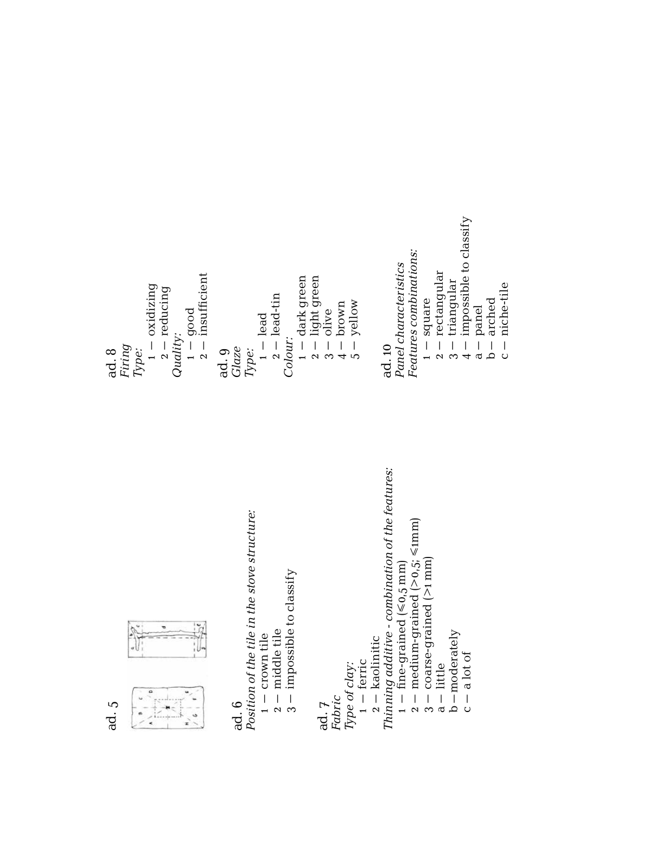ad. 5



# ad. 6

Position of the tile in the stove structure: *Position of the tile in the stove structure:* – crown tile

- $1 -$  crown tile<br> $2 -$  middle tile 2– middle tile
- $3 -$  impossible to classify 3– impossible to classify

ad. 7

*Fabric Type of clay:*

 $Type of clay:   
1 - ferric$ – ferric

 $2 -$  kaolinitic 2– kaolinitic

Thinning additive - combination of the features: *Thinning additive - combination of the features:*

 $1 - \text{ fine-grained} (\leq 0.5 \text{ mm})$ <br> $2 - \text{medium-grained} (\geq 0.5 \text{ s/mm})$ – fine-grained (≤0,5 mm)

2– medium-grained (>0,5; ≤1mm)  $3 - \text{coarse-grained}$  (>1 mm) 3– coarse-grained (>1 mm)

 $a$  – little a– little

 $b$ -moderately b–moderately

 $c - a$ lot of  $c - a$  lot of

2– insufficient 2– light green  $1 -$  dark green<br> $2 -$  light green – dark green  $1 -$  oxidizing – oxidizing 2– reducing  $2 -$  reducing 2– lead-tin  $2 -$  lead-tin  $3 - 0$ live<br>  $4 - 1$ <br>  $5 - 1$ <br>  $9 - 10$ <br>  $5 - 10$ 5– yellow 4– brown 1 – good  $1 -$  lead – lead *Quality: Colour:* ad. 8 *Firing Type:* ad. 9 *Glaze Type:*

Panel characteristics *Panel characteristics* ad. 10

Features combinations: *Features combinations:*

1 – square – square

 $2 -$  rectangular 2– rectangular

 $4 -$  impossible to classify  $3 -$  triangular 3– triangular

4– impossible to classify

a– panel b– arched

niche-tile c– niche-tile $\frac{1}{\sqrt{2}}$  $\cup$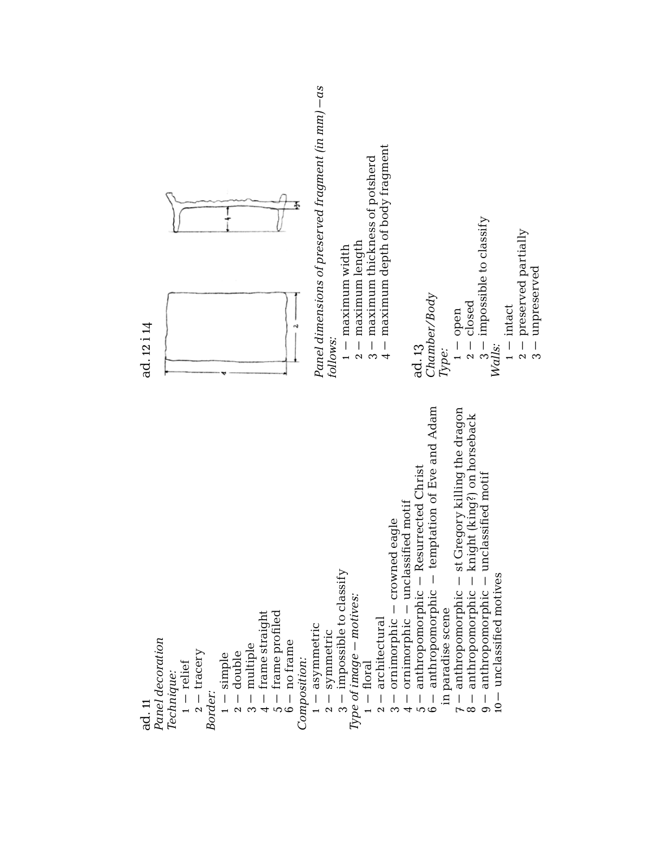Panel decoration *Panel decoration* Technique: *Technique:* ad. 11

- $1 -$ relief – relief
- $2 -$ tracery 2– tracery *Border:*
	- $1 -$  simple  $_1 -$  simple
- $2 -$  double 2– double
- $3 -$  multiple 3– multiple
- 4– frame straight  $4 - \text{frame}$  straight
- 5– frame profiled  $5 -$  frame profiled
	- $6 -$  no frame 6– no frame
- Composition: *Composition:*
- 1 asymmetric – asymmetric
- $2 -$  symmetric 2– symmetric
- $3 -$  impossible to classify 3– impossible to classify
	- Type of image motives: *Type of image – motives:*
		- $1 -$ floral  $1-\text{foral}$
- $2 architectural$ 2– architectural
- 3 ornimorphic crowned eagle 3– ornimorphic – crowned eagle
- 4 ornimorphic unclassified motif 4– ornimorphic – unclassified motif
- 5 anthropomorphic Resurrected Christ 5– anthropomorphic – Resurrected Christ
- 6 anthropomorphic temptation of Eve and Adam 6– anthropomorphic – temptation of Eve and Adam in paradise scene in paradise scene
	- $7$  anthropomorphic st Gregory killing the dragon  $7-\mathrm{ant}$ hropomorphic  $-$  st Gregory killing the dragon
		- 8– anthropomorphic knight (king?) on horseback  $8$  – anthropomorphic – knight (king?) on horseback
			- 9 anthropomorphic unclassified motif
				- 9– anthropomorphic unclassified motif
					- 10-unclassified motives 10– unclassified motives



*Panel dimensions of preserved fragment (in mm) –as*  Panel dimensions of preserved fragment (in mm) - as *follows:*

- $1 maximum width$ – maximum width
- $-$  maximum length 2– maximum length
- 3 maximum thickness of potsherd 3– maximum thickness of potsherd
- 4 maximum depth of body fragment 4– maximum depth of body fragment
- ad. 13<br>Chamber/Body
	- *Chamber/Body*
		- *Type:*  $1 -$  open
- $2$ closed 2– closed – open
- $3 -$  impossible to classify 3– impossible to classify
	- *Walls:*
- $1 intact$ – intact
- $2 -$  preserved partially 2– preserved partially  $3 -$ unpreserved 3– unpreserved
	-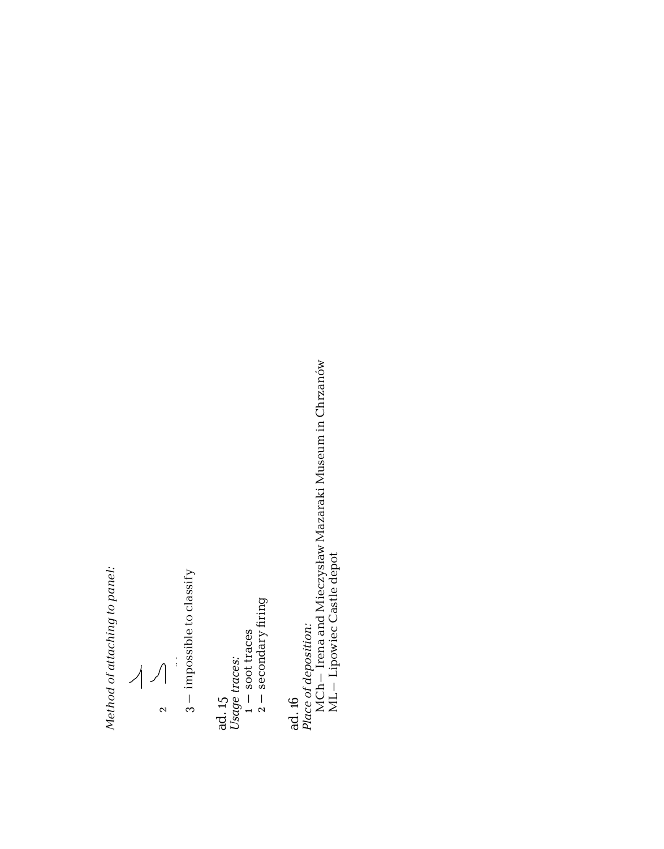Method of attaching to panel: *Method of attaching to panel:* hod of attaching to p

1–  $\frac{1}{2}$ 

ا<br>–

 $\frac{1}{3}$  – impossible to classify 3– impossible to classify  $\frac{3}{2}$  , impossible to classify the classification of the classification of the classification of the classification of the classification of the classification of the classification of the classification of the classi

ad. 15 *Usage traces:*  $\overline{\phantom{0}}$  – soot traces Usage traces:  $\mathbf{C}$ 

2– secondary firing

*Place of deposition:*

ad. 16<br>Place of deposition:<br>MCh – Irena and Mieczysław Mazaraki Museum in Chrzanów<br>ML – Lipowiec Castle depot MCh– Irena and Mieczysław Mazaraki Museum in Chrzanów

ML– Lipowiec Castle depot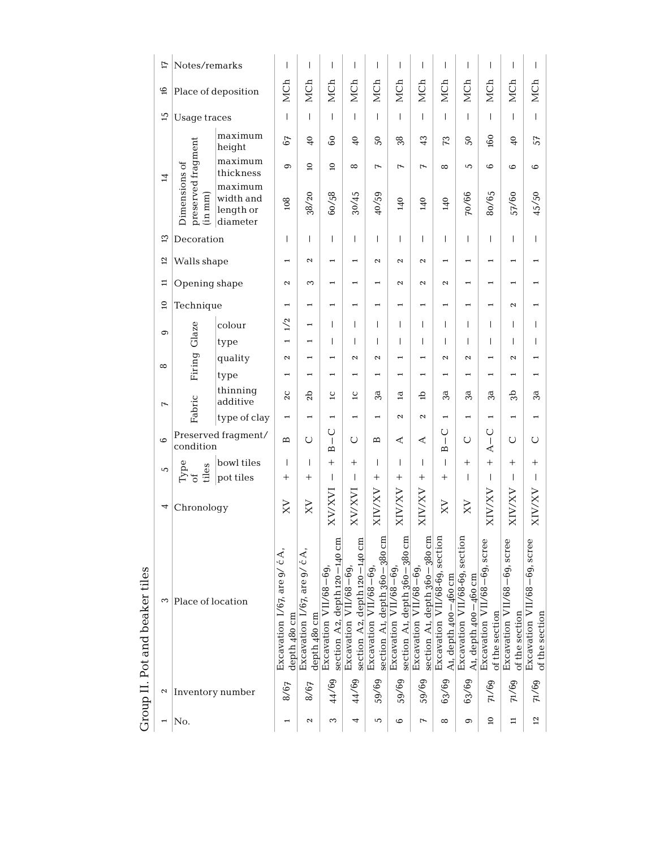|                                   | Ħ               | Notes/remarks                                   |                                               | $\overline{1}$                                                            | I                                                             | T                                                           | $\overline{\phantom{a}}$                                  | I                                                           | T                                                        | T                                                       | $\overline{1}$                                        | T                                                     | $\overline{1}$                                | T                                             | I                                             |
|-----------------------------------|-----------------|-------------------------------------------------|-----------------------------------------------|---------------------------------------------------------------------------|---------------------------------------------------------------|-------------------------------------------------------------|-----------------------------------------------------------|-------------------------------------------------------------|----------------------------------------------------------|---------------------------------------------------------|-------------------------------------------------------|-------------------------------------------------------|-----------------------------------------------|-----------------------------------------------|-----------------------------------------------|
|                                   | $\frac{6}{1}$   |                                                 | Place of deposition                           | MCh                                                                       | MCh                                                           | MCh                                                         | MCh                                                       | MCh                                                         | MCh                                                      | MCh                                                     | MCh                                                   | MCh                                                   | MCh                                           | MCh                                           | MCh                                           |
|                                   | 51              | Usage traces                                    |                                               | $\overline{1}$                                                            | $\overline{1}$                                                | $\overline{1}$                                              | $\overline{1}$                                            | $\overline{1}$                                              | T                                                        | $\overline{1}$                                          | $\overline{1}$                                        | $\overline{1}$                                        | $\overline{1}$                                | T                                             | $\overline{1}$                                |
|                                   |                 |                                                 | maximum<br>height                             | 67                                                                        | $\frac{6}{4}$                                                 | 8                                                           | $\frac{6}{4}$                                             | $50\,$                                                      | 38                                                       | 43                                                      | 73                                                    | 50                                                    | 60                                            | $\frac{6}{5}$                                 | 57                                            |
|                                   | $\overline{z}$  |                                                 | maximum<br>thickness                          | 9                                                                         | $\mathbf{c}$                                                  | ទ                                                           | $\infty$                                                  | $\overline{1}$                                              | $\overline{1}$                                           | $\overline{1}$                                          | $\infty$                                              | 5                                                     | $\circ$                                       | $\circ$                                       | $\circ$                                       |
|                                   |                 | preserved fragment<br>Dimensions of<br>mm)<br>Ë | maximum<br>width and<br>length or<br>diameter | 108                                                                       | 38/20                                                         | 60/58                                                       | 30/45                                                     | 40/59                                                       | 140                                                      | 140                                                     | 140                                                   | 70/66                                                 | 80/65                                         | 57/60                                         | 45/50                                         |
|                                   | ౢ               | Decoration                                      |                                               | $\overline{1}$                                                            | $\overline{1}$                                                | T                                                           | $\mathbf{I}$                                              | $\overline{1}$                                              | T                                                        | T                                                       | $\overline{1}$                                        | $\overline{1}$                                        | $\overline{1}$                                | T                                             | $\overline{1}$                                |
|                                   | 5               | Walls shape                                     |                                               | $\overline{\phantom{0}}$                                                  | $\mathbf{\Omega}$                                             |                                                             |                                                           | $\mathbf{\mathcal{L}}$                                      | $\mathbf{\mathcal{L}}$                                   | $\mathbf{\Omega}$                                       | $\overline{\phantom{0}}$                              | ÷                                                     | $\overline{\phantom{0}}$                      |                                               |                                               |
|                                   | ≔               | Opening shape                                   |                                               | $\mathbf{\Omega}$                                                         | 3                                                             |                                                             |                                                           |                                                             | $\mathbf{\Omega}$                                        | $\mathbf{\Omega}$                                       | $\mathbf{\Omega}$                                     |                                                       |                                               |                                               |                                               |
|                                   | $\overline{a}$  | Technique                                       |                                               |                                                                           | $\overline{ }$                                                |                                                             |                                                           |                                                             |                                                          |                                                         |                                                       |                                                       |                                               | $\mathbf{\Omega}$                             |                                               |
|                                   | $\circ$         |                                                 | colour                                        | 1/2                                                                       | $\overline{ }$                                                | T                                                           | $\mathbf{I}$                                              | $\mathsf{I}$                                                | T                                                        | T                                                       | $\overline{1}$                                        | $\overline{1}$                                        | $\overline{1}$                                | T                                             | T                                             |
|                                   |                 | Firing Glaze                                    | type                                          | $\overline{ }$                                                            | $\overline{ }$                                                | T                                                           | $\mathbf{I}$                                              | $\overline{1}$                                              | T                                                        | $\overline{1}$                                          | $\overline{1}$                                        | T                                                     | $\overline{1}$                                | T                                             | $\overline{1}$                                |
|                                   | $\infty$        |                                                 | quality                                       | Z                                                                         |                                                               |                                                             | $\boldsymbol{\sim}$                                       | $\mathbf{\mathcal{L}}$                                      |                                                          |                                                         | $\mathbf{\mathcal{L}}$                                | $\mathbf{\Omega}$                                     |                                               | $\mathbf{\Omega}$                             |                                               |
|                                   |                 |                                                 | type                                          | $\overline{\phantom{0}}$                                                  | $\overline{\phantom{0}}$                                      |                                                             |                                                           | $\overline{\phantom{0}}$                                    | $\overline{\phantom{0}}$                                 |                                                         |                                                       |                                                       | 1                                             |                                               |                                               |
|                                   | $\overline{r}$  | Fabric                                          | thinning<br>additive                          | $_{2c}$                                                                   | 5p                                                            | $\overline{c}$                                              | $\overline{c}$                                            | 3ā                                                          | $\mathbf{a}$                                             | 습                                                       | 3a                                                    | 3ā                                                    | 3a                                            | ಕೆ                                            | 3ā                                            |
|                                   |                 |                                                 | type of clay                                  | $\overline{\phantom{0}}$                                                  | $\overline{\phantom{0}}$                                      | $\overline{\phantom{0}}$                                    | $\overline{ }$                                            | $\overline{ }$                                              | $\mathbf{\mathcal{L}}$                                   | $\mathbf{\Omega}$                                       | $\overline{\phantom{0}}$                              | $\overline{\phantom{0}}$                              | $\overline{\phantom{0}}$                      | $\overline{\phantom{0}}$                      | $\overline{\phantom{0}}$                      |
|                                   | $\circ$         | condition                                       | Preserved fragment/                           | Б                                                                         | Õ                                                             | ں<br>$\mathbf{I}$<br>Б                                      | O                                                         | Б                                                           | ⋖                                                        | ⋖                                                       | O<br>$\overline{1}$<br>$\overline{B}$                 | U                                                     | U<br>$\mathsf{I}$<br>⋖                        | O                                             | U                                             |
|                                   | 5               |                                                 | bowl tiles                                    | $\overline{1}$                                                            | $\overline{1}$                                                | $^{+}$                                                      | $^{+}$                                                    | $\mathsf{I}$                                                | T                                                        | $\overline{1}$                                          | $\overline{1}$                                        | $^{+}$                                                | $^{+}$                                        | $^{+}$                                        | $^{+}$                                        |
|                                   |                 | Type<br>tiles<br>ð                              | pot tiles                                     | $\overline{+}$                                                            | $\overline{+}$                                                | T                                                           | $\overline{1}$                                            | $\overline{+}$                                              | $^+$                                                     | $\overline{+}$                                          | $^{+}$                                                | T                                                     | $\overline{\phantom{a}}$                      | T                                             | $\overline{\phantom{a}}$                      |
|                                   | 4               | Chronology                                      |                                               | XV                                                                        | $_{\rm XX}$                                                   | KV/XVI                                                      | XV/XVI                                                    | XIV/XV                                                      | <b>XIV/XV</b>                                            | <b>XIV/XV</b>                                           | XV                                                    | XV                                                    | <b>AX/AIX</b>                                 | <b>XIV/XV</b>                                 | <b>XIV/XV</b>                                 |
| beaker tiles<br>Group II. Pot and | 3               | Place of location                               |                                               | ć A,<br>Excavation 1/67, are 9/<br>$180 \text{ cm}$<br>depth <sub>4</sub> | ćA,<br>Excavation 1/67, are 9/<br>$180 \text{ cm}$<br>depth 4 | A2, depth 120-140 cm<br>Excavation $VI1/68-69$ ,<br>section | A2, depth 120-140 cm<br>Excavation $VII/68-69$<br>section | depth 360-380 cm<br>Excavation VII/68-69,<br>A1,<br>section | A1, depth 360-380 cm<br>Excavation VII/68-69,<br>section | A1, depth 360-380 cm<br>Excavation VII/68-69<br>section | Excavation VII/68-69, section<br>A1, depth 400-460 cm | Excavation VII/68-69, section<br>A1, depth 400-460 cm | Excavation VII/68-69, scree<br>of the section | Excavation VII/68-69, scree<br>of the section | Excavation VII/68-69, scree<br>of the section |
|                                   | $\mathbf{\sim}$ | Inventory number                                | 8/67                                          | 8/67                                                                      | 44/69                                                         | 44/69                                                       | 59/69                                                     | 59/69                                                       | 59/69                                                    | 63/69                                                   | 63/69                                                 | 71/69                                                 | 71/69                                         | p3/rq                                         |                                               |
|                                   | $\overline{ }$  | No.                                             |                                               | 2                                                                         | S                                                             | 4                                                           | 5                                                         | 6                                                           | F                                                        | $\infty$                                                | ග                                                     | $\overline{a}$                                        | $\Xi$                                         | $\overline{12}$                               |                                               |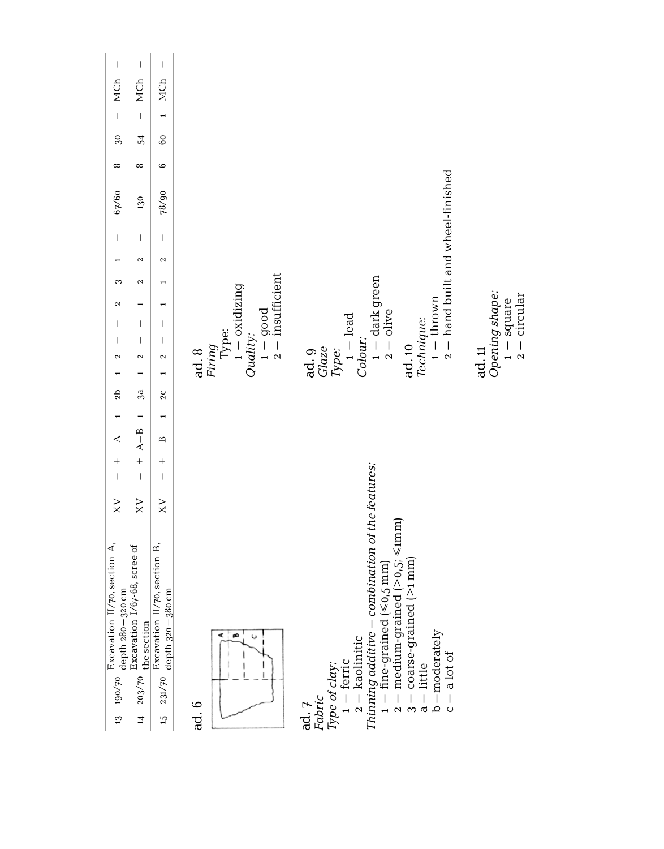| $\begin{array}{c} \rule{0pt}{2.5ex} \rule{0pt}{2.5ex} \rule{0pt}{2.5ex} \rule{0pt}{2.5ex} \rule{0pt}{2.5ex} \rule{0pt}{2.5ex} \rule{0pt}{2.5ex} \rule{0pt}{2.5ex} \rule{0pt}{2.5ex} \rule{0pt}{2.5ex} \rule{0pt}{2.5ex} \rule{0pt}{2.5ex} \rule{0pt}{2.5ex} \rule{0pt}{2.5ex} \rule{0pt}{2.5ex} \rule{0pt}{2.5ex} \rule{0pt}{2.5ex} \rule{0pt}{2.5ex} \rule{0pt}{2.5ex} \rule{0$ | $\begin{array}{c} \rule{0pt}{2.5ex} \rule{0pt}{2.5ex} \rule{0pt}{2.5ex} \rule{0pt}{2.5ex} \rule{0pt}{2.5ex} \rule{0pt}{2.5ex} \rule{0pt}{2.5ex} \rule{0pt}{2.5ex} \rule{0pt}{2.5ex} \rule{0pt}{2.5ex} \rule{0pt}{2.5ex} \rule{0pt}{2.5ex} \rule{0pt}{2.5ex} \rule{0pt}{2.5ex} \rule{0pt}{2.5ex} \rule{0pt}{2.5ex} \rule{0pt}{2.5ex} \rule{0pt}{2.5ex} \rule{0pt}{2.5ex} \rule{0$ | $\begin{array}{c} \rule{0pt}{2.5ex} \rule{0pt}{2.5ex} \rule{0pt}{2.5ex} \rule{0pt}{2.5ex} \rule{0pt}{2.5ex} \rule{0pt}{2.5ex} \rule{0pt}{2.5ex} \rule{0pt}{2.5ex} \rule{0pt}{2.5ex} \rule{0pt}{2.5ex} \rule{0pt}{2.5ex} \rule{0pt}{2.5ex} \rule{0pt}{2.5ex} \rule{0pt}{2.5ex} \rule{0pt}{2.5ex} \rule{0pt}{2.5ex} \rule{0pt}{2.5ex} \rule{0pt}{2.5ex} \rule{0pt}{2.5ex} \rule{0$ |                                                                                                                                                                                                                                                                                                                                              |
|----------------------------------------------------------------------------------------------------------------------------------------------------------------------------------------------------------------------------------------------------------------------------------------------------------------------------------------------------------------------------------|----------------------------------------------------------------------------------------------------------------------------------------------------------------------------------------------------------------------------------------------------------------------------------------------------------------------------------------------------------------------------------|----------------------------------------------------------------------------------------------------------------------------------------------------------------------------------------------------------------------------------------------------------------------------------------------------------------------------------------------------------------------------------|----------------------------------------------------------------------------------------------------------------------------------------------------------------------------------------------------------------------------------------------------------------------------------------------------------------------------------------------|
| MCh                                                                                                                                                                                                                                                                                                                                                                              | MCh                                                                                                                                                                                                                                                                                                                                                                              | MCh                                                                                                                                                                                                                                                                                                                                                                              |                                                                                                                                                                                                                                                                                                                                              |
| $\overline{1}$                                                                                                                                                                                                                                                                                                                                                                   | $\overline{1}$                                                                                                                                                                                                                                                                                                                                                                   | $\overline{a}$                                                                                                                                                                                                                                                                                                                                                                   |                                                                                                                                                                                                                                                                                                                                              |
| 30                                                                                                                                                                                                                                                                                                                                                                               | 54                                                                                                                                                                                                                                                                                                                                                                               | $\overline{60}$                                                                                                                                                                                                                                                                                                                                                                  |                                                                                                                                                                                                                                                                                                                                              |
| $\infty$                                                                                                                                                                                                                                                                                                                                                                         | $\infty$                                                                                                                                                                                                                                                                                                                                                                         | $\circ$                                                                                                                                                                                                                                                                                                                                                                          |                                                                                                                                                                                                                                                                                                                                              |
| 67/60                                                                                                                                                                                                                                                                                                                                                                            | 130                                                                                                                                                                                                                                                                                                                                                                              | 78/90                                                                                                                                                                                                                                                                                                                                                                            | $1 -$ thrown<br>$2 -$ hand built and wheel-finished                                                                                                                                                                                                                                                                                          |
| $\overline{1}$                                                                                                                                                                                                                                                                                                                                                                   | $\overline{1}$                                                                                                                                                                                                                                                                                                                                                                   | $\begin{array}{c} \end{array}$                                                                                                                                                                                                                                                                                                                                                   |                                                                                                                                                                                                                                                                                                                                              |
|                                                                                                                                                                                                                                                                                                                                                                                  | 2                                                                                                                                                                                                                                                                                                                                                                                | 2                                                                                                                                                                                                                                                                                                                                                                                |                                                                                                                                                                                                                                                                                                                                              |
| 3                                                                                                                                                                                                                                                                                                                                                                                | $\mathbf{\Omega}$                                                                                                                                                                                                                                                                                                                                                                |                                                                                                                                                                                                                                                                                                                                                                                  | Quality:<br>$1 - \text{good}$<br>$2 - \text{insufficient}$<br>$1 -$ dark green<br>$2 -$ olive                                                                                                                                                                                                                                                |
| $\mathbf{\Omega}$                                                                                                                                                                                                                                                                                                                                                                |                                                                                                                                                                                                                                                                                                                                                                                  |                                                                                                                                                                                                                                                                                                                                                                                  | $1 - square$<br>$2 - circular$                                                                                                                                                                                                                                                                                                               |
| $\overline{1}$                                                                                                                                                                                                                                                                                                                                                                   | $\overline{1}$                                                                                                                                                                                                                                                                                                                                                                   | I                                                                                                                                                                                                                                                                                                                                                                                |                                                                                                                                                                                                                                                                                                                                              |
| $\overline{1}$                                                                                                                                                                                                                                                                                                                                                                   | $\overline{1}$                                                                                                                                                                                                                                                                                                                                                                   | $\overline{1}$                                                                                                                                                                                                                                                                                                                                                                   |                                                                                                                                                                                                                                                                                                                                              |
| $\mathbf{\Omega}$                                                                                                                                                                                                                                                                                                                                                                | $\mathbf{\tilde{c}}$                                                                                                                                                                                                                                                                                                                                                             | $\mathbf{\Omega}$                                                                                                                                                                                                                                                                                                                                                                | ad. 8<br>Firing<br>Type:<br>1 — oxidizing<br>Opening shape:<br>ad. 9<br><i>Glaze</i><br>Type:<br>1 – lead<br>Technique:<br>Colour:<br>ad. 10<br>ad. 11                                                                                                                                                                                       |
| 2b                                                                                                                                                                                                                                                                                                                                                                               | 3a                                                                                                                                                                                                                                                                                                                                                                               | $\overline{2}C$                                                                                                                                                                                                                                                                                                                                                                  |                                                                                                                                                                                                                                                                                                                                              |
|                                                                                                                                                                                                                                                                                                                                                                                  | $\overline{ }$                                                                                                                                                                                                                                                                                                                                                                   |                                                                                                                                                                                                                                                                                                                                                                                  |                                                                                                                                                                                                                                                                                                                                              |
| ∢                                                                                                                                                                                                                                                                                                                                                                                | $A - B$                                                                                                                                                                                                                                                                                                                                                                          | $\mathbf{z}$                                                                                                                                                                                                                                                                                                                                                                     |                                                                                                                                                                                                                                                                                                                                              |
| $\overline{+}$                                                                                                                                                                                                                                                                                                                                                                   | $^{+}$                                                                                                                                                                                                                                                                                                                                                                           | $^{+}$                                                                                                                                                                                                                                                                                                                                                                           |                                                                                                                                                                                                                                                                                                                                              |
| $\overline{1}$                                                                                                                                                                                                                                                                                                                                                                   | $\overline{1}$                                                                                                                                                                                                                                                                                                                                                                   | $\overline{1}$                                                                                                                                                                                                                                                                                                                                                                   |                                                                                                                                                                                                                                                                                                                                              |
| XV                                                                                                                                                                                                                                                                                                                                                                               | XV                                                                                                                                                                                                                                                                                                                                                                               | $_{\rm XY}$                                                                                                                                                                                                                                                                                                                                                                      |                                                                                                                                                                                                                                                                                                                                              |
| Excavation $II/70$ , section A, depth $280-320$ cm<br>190/70<br>13                                                                                                                                                                                                                                                                                                               | Excavation 1/67-68, scree of<br>the section<br>203/70<br>$\overline{1}$                                                                                                                                                                                                                                                                                                          | Excavation II/70, section B,<br>depth 320-380 cm<br>231/70<br>$15 \,$                                                                                                                                                                                                                                                                                                            | $2 -$ kaolinitic<br>Thinning additive $-$ combination of the features:<br>$2 - \text{medium-grained} (\ge 0.5; \le \text{tnm})$<br>$3 - \cos$ -grained $(>1 \text{ mm})$<br>$1 -$ fine-grained ( $\leqslant$ 0,5 mm)<br>$b$ -moderately<br>ø<br>U<br>$c - a$ lot of<br>$Type of clay:1 - ferric$<br>$a -$ little<br>ad. 7<br>Fabric<br>ad. 6 |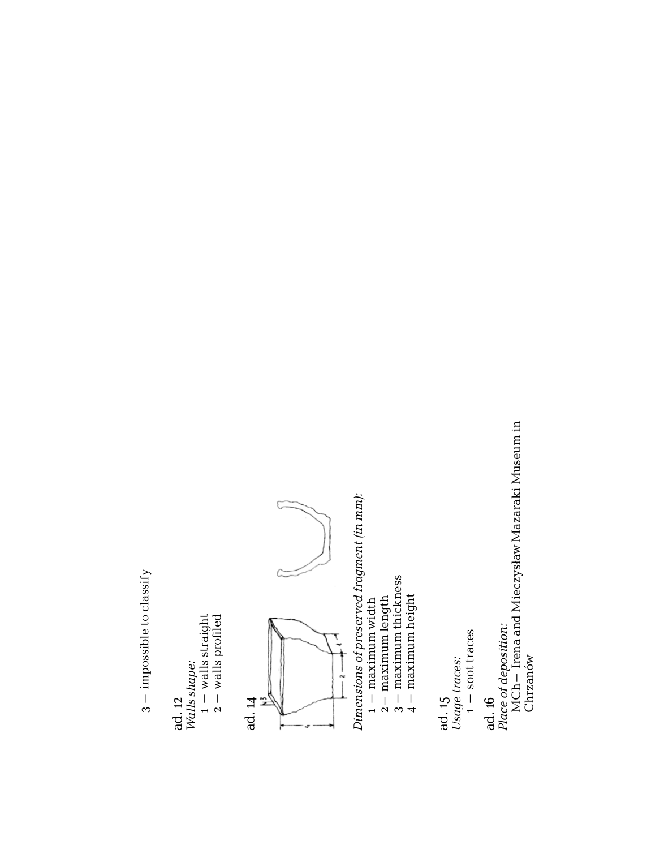$3 -$  impossible to classify 3– impossible to classify

ad. 12 *Walls shape:* Walls shape:<br>1 — walls straight<br>2 — walls profiled – walls straight 2– walls profiled



Dimensions of preserved fragment (in mm): *Dimensions of preserved fragment (in mm):*

- maximum width
- $\begin{array}{ll} 1-\text{ maximum width} \\ 2-\text{ maximum length} \\ 3-\text{ maximum thickness} \\ 4-\text{ maximum thickness} \end{array}$ 2– maximum length 3– maximum thickness
	- 4– maximum height

ad. 15

*Usage traces:*  $\overline{\phantom{0}}$ – soot traces

*Place of deposition:*<br>MCh— Irena and Mieczysław Mazaraki Museum in<br>Chrzanów MCh– Irena and Mieczysław Mazaraki Museum in *Place of deposition:* Chrzanów ad. 16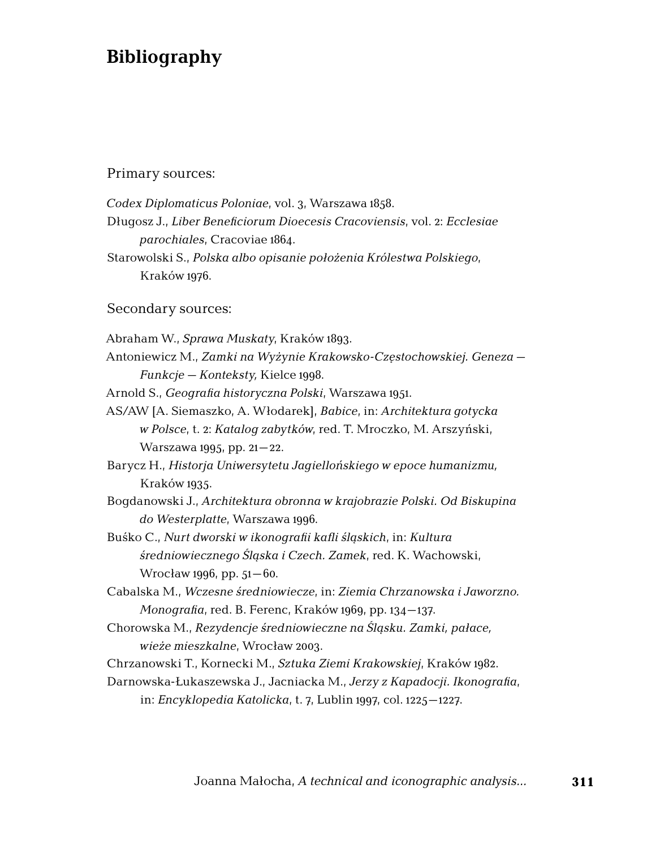# **Bibliography**

#### Primary sources:

*Codex Diplomaticus Poloniae*, vol. 3, Warszawa 1858.

Długosz J., *Liber Beneficiorum Dioecesis Cracoviensis*, vol. 2: *Ecclesiae parochiales*, Cracoviae 1864.

Starowolski S., *Polska albo opisanie położenia Królestwa Polskiego*, Kraków 1976.

#### Secondary sources:

Abraham W., *Sprawa Muskaty*, Kraków 1893.

Antoniewicz M., *Zamki na Wyżynie Krakowsko-Częstochowskiej. Geneza – Funkcje – Konteksty,* Kielce 1998.

Arnold S., *Geografia historyczna Polski*, Warszawa 1951.

AS/AW [A. Siemaszko, A. Włodarek], *Babice*, in: *Architektura gotycka w Polsce*, t. 2: *Katalog zabytków*, red. T. Mroczko, M. Arszyński, Warszawa 1995, pp. 21–22.

Barycz H., *Historja Uniwersytetu Jagiellońskiego w epoce humanizmu,*  Kraków 1935.

Bogdanowski J., *Architektura obronna w krajobrazie Polski. Od Biskupina do Westerplatte*, Warszawa 1996.

Buśko C., *Nurt dworski w ikonografii kafli śląskich*, in: *Kultura średniowiecznego Śląska i Czech. Zamek*, red. K. Wachowski, Wrocław 1996, pp. 51–60.

Cabalska M., *Wczesne średniowiecze*, in: *Ziemia Chrzanowska i Jaworzno. Monografia*, red. B. Ferenc, Kraków 1969, pp. 134–137.

Chorowska M., *Rezydencje średniowieczne na Śląsku. Zamki, pałace, wieże mieszkalne*, Wrocław 2003.

Chrzanowski T., Kornecki M., *Sztuka Ziemi Krakowskiej*, Kraków 1982.

Darnowska-Łukaszewska J., Jacniacka M., *Jerzy z Kapadocji. Ikonografia*, in: *Encyklopedia Katolicka*, t. 7, Lublin 1997, col. 1225–1227.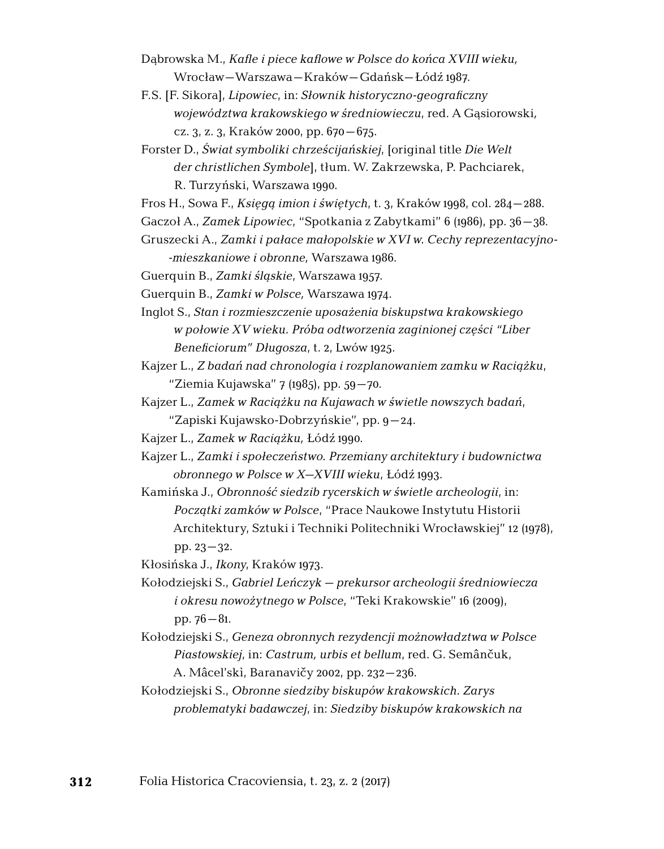- Dąbrowska M., *Kafle i piece kaflowe w Polsce do końca XVIII wieku,*  Wrocław–Warszawa–Kraków–Gdańsk–Łódź 1987.
- F.S. [F. Sikora], *Lipowiec*, in: *Słownik historyczno-geograficzny województwa krakowskiego w średniowieczu*, red. A Gąsiorowski*,*  cz. 3, z. 3, Kraków 2000, pp. 670–675.
- Forster D., *Świat symboliki chrześcijańskiej*, [original title *Die Welt der christlichen Symbole*], tłum. W. Zakrzewska, P. Pachciarek, R. Turzyński, Warszawa 1990.
- Fros H., Sowa F., *Księgą imion i świętych*, t. 3, Kraków 1998, col. 284–288.
- Gaczoł A., *Zamek Lipowiec*, "Spotkania z Zabytkami" 6 (1986), pp. 36–38.

Gruszecki A., *Zamki i pałace małopolskie w XVI w. Cechy reprezentacyjnomieszkaniowe i obronne,* Warszawa 1986.

- Guerquin B., *Zamki śląskie*, Warszawa 1957.
- Guerquin B., *Zamki w Polsce,* Warszawa 1974.
- Inglot S., *Stan i rozmieszczenie uposażenia biskupstwa krakowskiego w połowie XV wieku. Próba odtworzenia zaginionej części "Liber Beneficiorum" Długosza*, t. 2, Lwów 1925.
- Kajzer L., *Z badań nad chronologia i rozplanowaniem zamku w Raciążku*, "Ziemia Kujawska" 7 (1985), pp. 59–70.
- Kajzer L., *Zamek w Raciążku na Kujawach w świetle nowszych badań*, "Zapiski Kujawsko-Dobrzyńskie", pp. 9–24.
- Kajzer L., *Zamek w Raciążku,* Łódź 1990.
- Kajzer L., *Zamki i społeczeństwo. Przemiany architektury i budownictwa obronnego w Polsce w X–XVIII wieku*, Łódź 1993.
- Kamińska J., *Obronność siedzib rycerskich w świetle archeologii*, in: *Początki zamków w Polsce*, "Prace Naukowe Instytutu Historii Architektury, Sztuki i Techniki Politechniki Wrocławskiej" 12 (1978), pp. 23–32.

Kłosińska J., *Ikony*, Kraków 1973.

- Kołodziejski S., *Gabriel Leńczyk prekursor archeologii średniowiecza i okresu nowożytnego w Polsce*, "Teki Krakowskie" 16 (2009), pp. 76–81.
- Kołodziejski S., *Geneza obronnych rezydencji możnowładztwa w Polsce Piastowskiej*, in: *Castrum, urbis et bellum*, red. G. Semânčuk, A. Mâcel'skì, Baranavičy 2002, pp. 232–236.
- Kołodziejski S., *Obronne siedziby biskupów krakowskich. Zarys problematyki badawczej*, in: *Siedziby biskupów krakowskich na*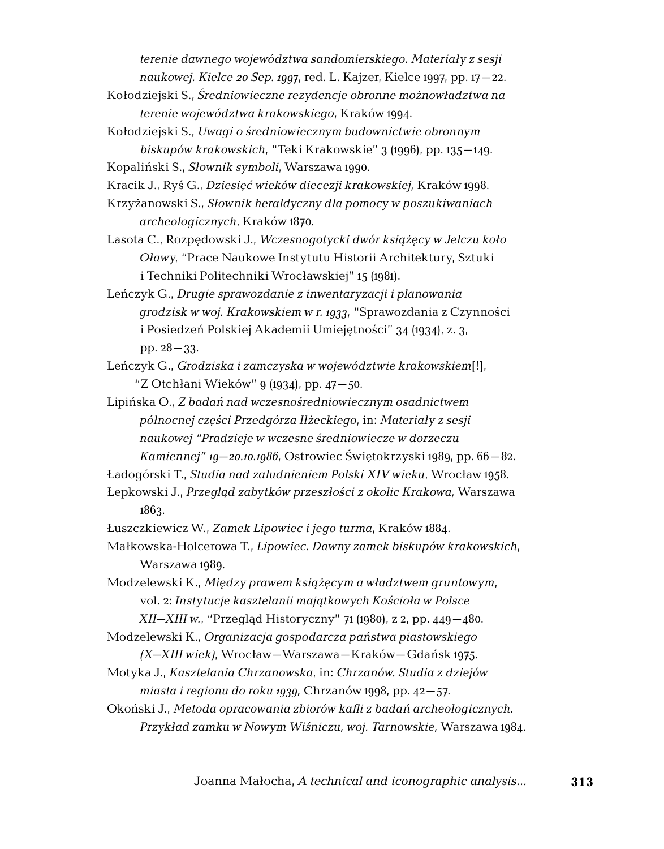*terenie dawnego województwa sandomierskiego. Materiały z sesji naukowej. Kielce 20 Sep. 1997*, red. L. Kajzer, Kielce 1997, pp. 17–22.

- Kołodziejski S., *Średniowieczne rezydencje obronne możnowładztwa na terenie województwa krakowskiego*, Kraków 1994.
- Kołodziejski S., *Uwagi o średniowiecznym budownictwie obronnym biskupów krakowskich*, "Teki Krakowskie" 3 (1996), pp. 135–149.
- Kopaliński S., *Słownik symboli*, Warszawa 1990.
- Kracik J., Ryś G., *Dziesięć wieków diecezji krakowskiej,* Kraków 1998.
- Krzyżanowski S., *Słownik heraldyczny dla pomocy w poszukiwaniach archeologicznych*, Kraków 1870.
- Lasota C., Rozpędowski J., *Wczesnogotycki dwór książęcy w Jelczu koło Oławy*, "Prace Naukowe Instytutu Historii Architektury, Sztuki i Techniki Politechniki Wrocławskiej" 15 (1981).
- Leńczyk G., *Drugie sprawozdanie z inwentaryzacji i planowania grodzisk w woj. Krakowskiem w r. 1933*, "Sprawozdania z Czynności i Posiedzeń Polskiej Akademii Umiejętności" 34 (1934), z. 3, pp. 28–33.
- Leńczyk G., *Grodziska i zamczyska w województwie krakowskiem*[!], "Z Otchłani Wieków" 9 (1934), pp. 47–50.
- Lipińska O., *Z badań nad wczesnośredniowiecznym osadnictwem północnej części Przedgórza Iłżeckiego*, in: *Materiały z sesji naukowej "Pradzieje w wczesne średniowiecze w dorzeczu Kamiennej" 19–20.10.1986*, Ostrowiec Świętokrzyski 1989, pp. 66–82.

- Ładogórski T., *Studia nad zaludnieniem Polski XIV wieku*, Wrocław 1958.
- Łepkowski J., *Przegląd zabytków przeszłości z okolic Krakowa,* Warszawa 1863.
- Łuszczkiewicz W., *Zamek Lipowiec i jego turma*, Kraków 1884.
- Małkowska-Holcerowa T., *Lipowiec. Dawny zamek biskupów krakowskich*, Warszawa 1989.
- Modzelewski K., *Między prawem książęcym a władztwem gruntowym*, vol. 2: *Instytucje kasztelanii majątkowych Kościoła w Polsce*

*XII–XIII w.*, "Przegląd Historyczny" 71 (1980), z 2, pp. 449–480.

- Modzelewski K., *Organizacja gospodarcza państwa piastowskiego (X–XIII wiek)*, Wrocław–Warszawa–Kraków–Gdańsk 1975.
- Motyka J., *Kasztelania Chrzanowska*, in: *Chrzanów. Studia z dziejów miasta i regionu do roku 1939,* Chrzanów 1998, pp. 42–57.
- Okoński J., *Metoda opracowania zbiorów kafli z badań archeologicznych. Przykład zamku w Nowym Wiśniczu, woj. Tarnowskie,* Warszawa 1984.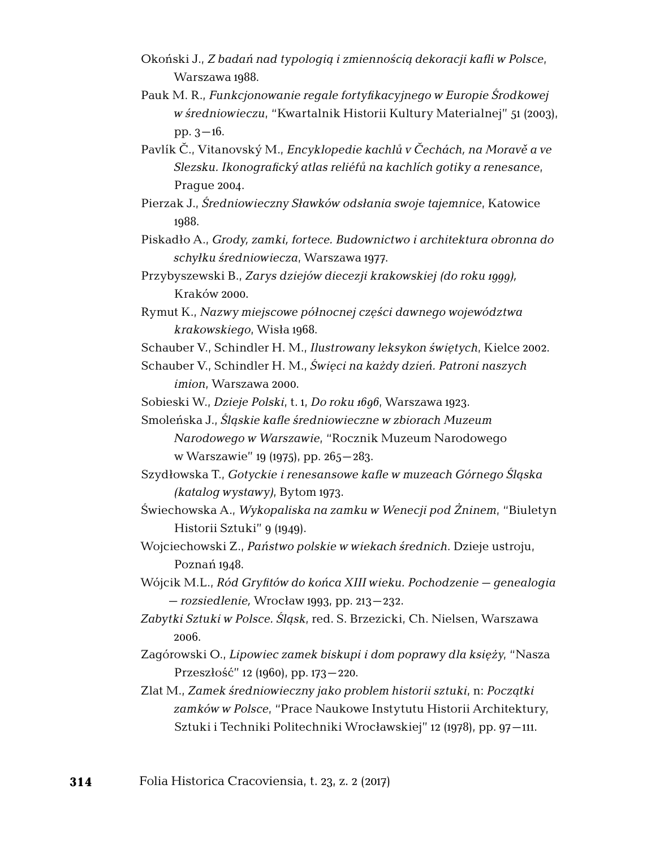- Okoński J., *Z badań nad typologią i zmiennością dekoracji kafli w Polsce*, Warszawa 1988.
- Pauk M. R., *Funkcjonowanie regale fortyfikacyjnego w Europie Środkowej w średniowieczu*, "Kwartalnik Historii Kultury Materialnej" 51 (2003), pp.  $3-16$ .
- Pavlík Č., Vitanovský M., *Encyklopedie kachlů v Čechách, na Moravě a ve Slezsku. Ikonografický atlas reliéfů na kachlích gotiky a renesance*, Prague 2004.
- Pierzak J., *Średniowieczny Sławków odsłania swoje tajemnice*, Katowice 1988.
- Piskadło A., *Grody, zamki, fortece. Budownictwo i architektura obronna do schyłku średniowiecza*, Warszawa 1977.
- Przybyszewski B., *Zarys dziejów diecezji krakowskiej (do roku 1999),*  Kraków 2000.
- Rymut K., *Nazwy miejscowe północnej części dawnego województwa krakowskiego*, Wisła 1968.
- Schauber V., Schindler H. M., *Ilustrowany leksykon świętych*, Kielce 2002.
- Schauber V., Schindler H. M., *Święci na każdy dzień. Patroni naszych imion*, Warszawa 2000.

Sobieski W., *Dzieje Polski*, t. 1, *Do roku 1696*, Warszawa 1923.

- Smoleńska J., *Śląskie kafle średniowieczne w zbiorach Muzeum Narodowego w Warszawie*, "Rocznik Muzeum Narodowego w Warszawie" 19 (1975), pp. 265–283.
- Szydłowska T., *Gotyckie i renesansowe kafle w muzeach Górnego Śląska (katalog wystawy)*, Bytom 1973.
- Świechowska A., *Wykopaliska na zamku w Wenecji pod Żninem*, "Biuletyn Historii Sztuki" 9 (1949).
- Wojciechowski Z., *Państwo polskie w wiekach średnich*. Dzieje ustroju, Poznań 1948.
- Wójcik M.L., *Ród Gryfitów do końca XIII wieku. Pochodzenie genealogia – rozsiedlenie,* Wrocław 1993, pp. 213–232.
- *Zabytki Sztuki w Polsce. Śląsk*, red. S. Brzezicki, Ch. Nielsen, Warszawa 2006.
- Zagórowski O., *Lipowiec zamek biskupi i dom poprawy dla księży*, "Nasza Przeszłość" 12 (1960), pp. 173–220.
- Zlat M., *Zamek średniowieczny jako problem historii sztuki*, n: *Początki zamków w Polsce*, "Prace Naukowe Instytutu Historii Architektury, Sztuki i Techniki Politechniki Wrocławskiej" 12 (1978), pp. 97–111.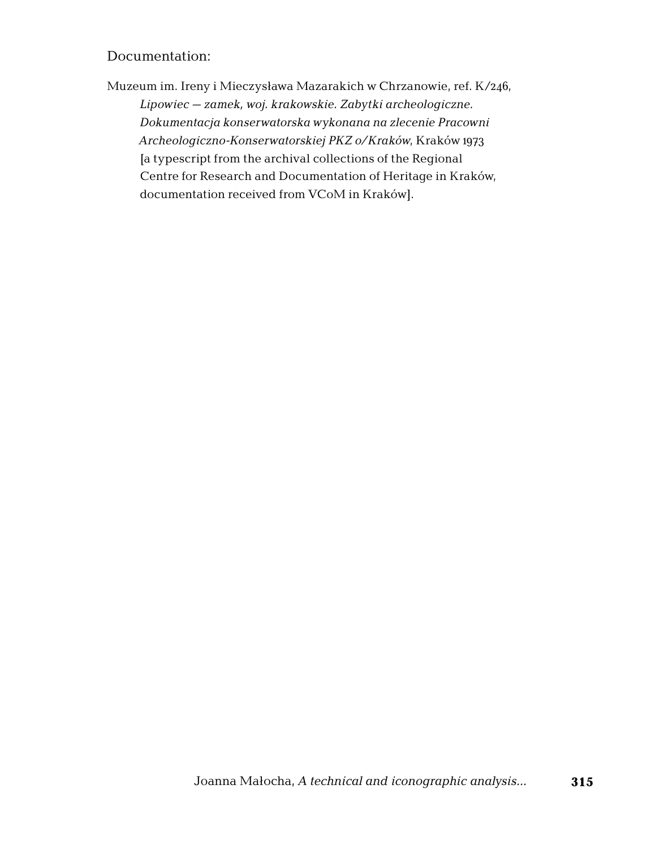### Documentation:

Muzeum im. Ireny i Mieczysława Mazarakich w Chrzanowie, ref. K/246, *Lipowiec – zamek, woj. krakowskie. Zabytki archeologiczne. Dokumentacja konserwatorska wykonana na zlecenie Pracowni Archeologiczno-Konserwatorskiej PKZ o/Kraków*, Kraków 1973 [a typescript from the archival collections of the Regional Centre for Research and Documentation of Heritage in Kraków, documentation received from VCoM in Kraków].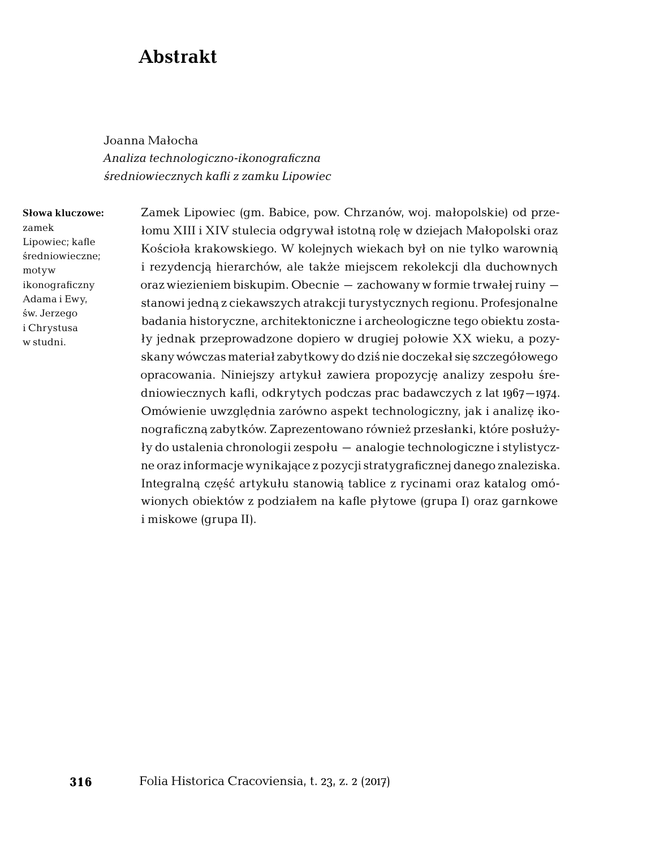## **Abstrakt**

Joanna Małocha *Analiza technologiczno-ikonograficzna średniowiecznych kafli z zamku Lipowiec*

#### **Słowa kluczowe:**  zamek Lipowiec; kafle średniowieczne; motyw ikonograficzny Adama i Ewy, św. Jerzego i Chrystusa w studni.

Zamek Lipowiec (gm. Babice, pow. Chrzanów, woj. małopolskie) od przełomu XIII i XIV stulecia odgrywał istotną rolę w dziejach Małopolski oraz Kościoła krakowskiego. W kolejnych wiekach był on nie tylko warownią i rezydencją hierarchów, ale także miejscem rekolekcji dla duchownych oraz wiezieniem biskupim. Obecnie – zachowany w formie trwałej ruiny – stanowi jedną z ciekawszych atrakcji turystycznych regionu. Profesjonalne badania historyczne, architektoniczne i archeologiczne tego obiektu zostały jednak przeprowadzone dopiero w drugiej połowie XX wieku, a pozyskany wówczas materiał zabytkowy do dziś nie doczekał się szczegółowego opracowania. Niniejszy artykuł zawiera propozycję analizy zespołu średniowiecznych kafli, odkrytych podczas prac badawczych z lat 1967–1974. Omówienie uwzględnia zarówno aspekt technologiczny, jak i analizę ikonograficzną zabytków. Zaprezentowano również przesłanki, które posłużyły do ustalenia chronologii zespołu – analogie technologiczne i stylistyczne oraz informacje wynikające z pozycji stratygraficznej danego znaleziska. Integralną część artykułu stanowią tablice z rycinami oraz katalog omówionych obiektów z podziałem na kafle płytowe (grupa I) oraz garnkowe i miskowe (grupa II).